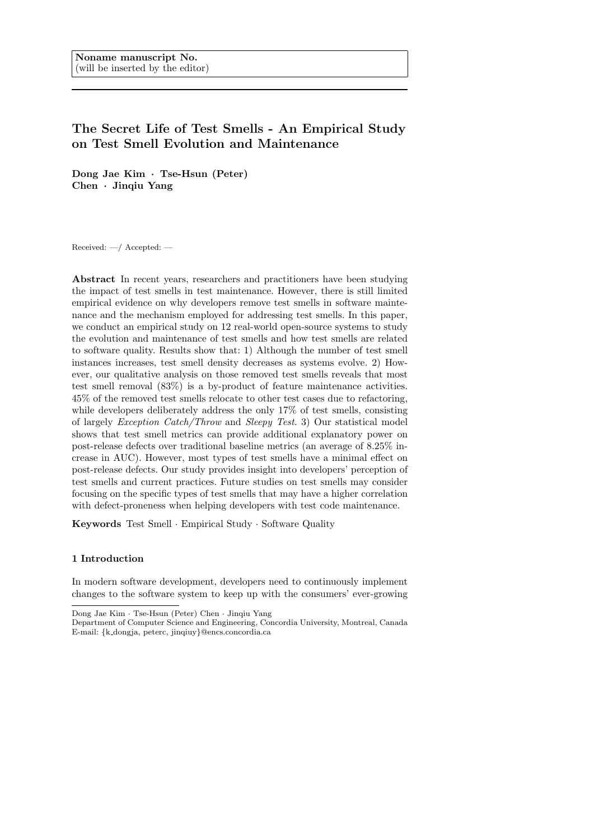# The Secret Life of Test Smells - An Empirical Study on Test Smell Evolution and Maintenance

Dong Jae Kim · Tse-Hsun (Peter) Chen · Jinqiu Yang

Received: —/ Accepted: —

Abstract In recent years, researchers and practitioners have been studying the impact of test smells in test maintenance. However, there is still limited empirical evidence on why developers remove test smells in software maintenance and the mechanism employed for addressing test smells. In this paper, we conduct an empirical study on 12 real-world open-source systems to study the evolution and maintenance of test smells and how test smells are related to software quality. Results show that: 1) Although the number of test smell instances increases, test smell density decreases as systems evolve. 2) However, our qualitative analysis on those removed test smells reveals that most test smell removal (83%) is a by-product of feature maintenance activities. 45% of the removed test smells relocate to other test cases due to refactoring, while developers deliberately address the only 17% of test smells, consisting of largely Exception Catch/Throw and Sleepy Test. 3) Our statistical model shows that test smell metrics can provide additional explanatory power on post-release defects over traditional baseline metrics (an average of 8.25% increase in AUC). However, most types of test smells have a minimal effect on post-release defects. Our study provides insight into developers' perception of test smells and current practices. Future studies on test smells may consider focusing on the specific types of test smells that may have a higher correlation with defect-proneness when helping developers with test code maintenance.

Keywords Test Smell · Empirical Study · Software Quality

## 1 Introduction

In modern software development, developers need to continuously implement changes to the software system to keep up with the consumers' ever-growing

Dong Jae Kim · Tse-Hsun (Peter) Chen · Jinqiu Yang

Department of Computer Science and Engineering, Concordia University, Montreal, Canada E-mail: {k dongja, peterc, jinqiuy}@encs.concordia.ca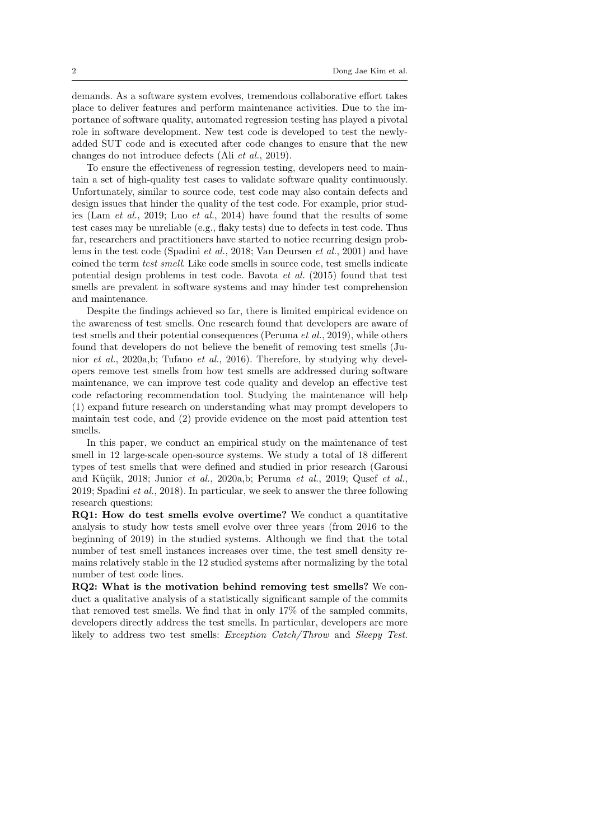demands. As a software system evolves, tremendous collaborative effort takes place to deliver features and perform maintenance activities. Due to the importance of software quality, automated regression testing has played a pivotal role in software development. New test code is developed to test the newlyadded SUT code and is executed after code changes to ensure that the new changes do not introduce defects (Ali [et al.](#page-33-0), [2019\)](#page-33-0).

To ensure the effectiveness of regression testing, developers need to maintain a set of high-quality test cases to validate software quality continuously. Unfortunately, similar to source code, test code may also contain defects and design issues that hinder the quality of the test code. For example, prior studies (Lam [et al.](#page-35-0), [2019;](#page-35-0) Luo [et al.](#page-35-1), [2014\)](#page-35-1) have found that the results of some test cases may be unreliable (e.g., flaky tests) due to defects in test code. Thus far, researchers and practitioners have started to notice recurring design problems in the test code [\(Spadini](#page-37-0) et al., [2018;](#page-37-0) [Van Deursen](#page-37-1) et al., [2001\)](#page-37-1) and have coined the term test smell. Like code smells in source code, test smells indicate potential design problems in test code. [Bavota](#page-33-1) et al. [\(2015\)](#page-33-1) found that test smells are prevalent in software systems and may hinder test comprehension and maintenance.

Despite the findings achieved so far, there is limited empirical evidence on the awareness of test smells. One research found that developers are aware of test smells and their potential consequences [\(Peruma](#page-36-0) et al., [2019\)](#page-36-0), while others found that developers do not believe the benefit of removing test smells [\(Ju](#page-34-0)nior [et al.](#page-34-0), [2020a,](#page-34-0)[b;](#page-34-1) [Tufano](#page-37-2) et al., [2016\)](#page-37-2). Therefore, by studying why developers remove test smells from how test smells are addressed during software maintenance, we can improve test code quality and develop an effective test code refactoring recommendation tool. Studying the maintenance will help (1) expand future research on understanding what may prompt developers to maintain test code, and (2) provide evidence on the most paid attention test smells.

In this paper, we conduct an empirical study on the maintenance of test smell in 12 large-scale open-source systems. We study a total of 18 different types of test smells that were defined and studied in prior research [\(Garousi](#page-34-2) and Küçük, 2018; [Junior](#page-34-0) et al., [2020a,](#page-34-0)[b;](#page-34-1) [Peruma](#page-36-0) et al., [2019;](#page-36-0) [Qusef](#page-36-1) et al., [2019;](#page-36-1) [Spadini](#page-37-0) et al., [2018\)](#page-37-0). In particular, we seek to answer the three following research questions:

RQ1: How do test smells evolve overtime? We conduct a quantitative analysis to study how tests smell evolve over three years (from 2016 to the beginning of 2019) in the studied systems. Although we find that the total number of test smell instances increases over time, the test smell density remains relatively stable in the 12 studied systems after normalizing by the total number of test code lines.

RQ2: What is the motivation behind removing test smells? We conduct a qualitative analysis of a statistically significant sample of the commits that removed test smells. We find that in only 17% of the sampled commits, developers directly address the test smells. In particular, developers are more likely to address two test smells: Exception Catch/Throw and Sleepy Test.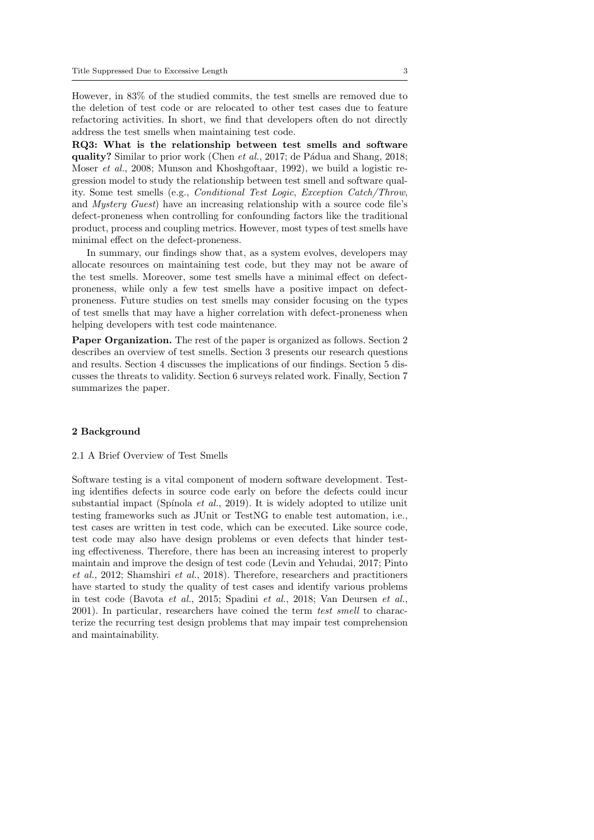However, in 83% of the studied commits, the test smells are removed due to the deletion of test code or are relocated to other test cases due to feature refactoring activities. In short, we find that developers often do not directly address the test smells when maintaining test code.

RQ3: What is the relationship between test smells and software quality? Similar to prior work [\(Chen](#page-34-3) et al., [2017;](#page-34-3) de Pádua and Shang, 2018; [Moser](#page-35-2) et al., [2008;](#page-35-2) [Munson and Khoshgoftaar, 1992\)](#page-35-3), we build a logistic regression model to study the relationship between test smell and software quality. Some test smells (e.g., Conditional Test Logic, Exception Catch/Throw, and *Mustery Guest*) have an increasing relationship with a source code file's defect-proneness when controlling for confounding factors like the traditional product, process and coupling metrics. However, most types of test smells have minimal effect on the defect-proneness.

In summary, our findings show that, as a system evolves, developers may allocate resources on maintaining test code, but they may not be aware of the test smells. Moreover, some test smells have a minimal effect on defectproneness, while only a few test smells have a positive impact on defectproneness. Future studies on test smells may consider focusing on the types of test smells that may have a higher correlation with defect-proneness when helping developers with test code maintenance.

Paper Organization. The rest of the paper is organized as follows. Section [2](#page-2-0) describes an overview of test smells. Section [3](#page-5-0) presents our research questions and results. Section [4](#page-28-0) discusses the implications of our findings. Section [5](#page-29-0) discusses the threats to validity. Section [6](#page-30-0) surveys related work. Finally, Section [7](#page-32-0) summarizes the paper.

### <span id="page-2-0"></span>2 Background

### 2.1 A Brief Overview of Test Smells

Software testing is a vital component of modern software development. Testing identifies defects in source code early on before the defects could incur substantial impact (Spínola *et al.*, [2019\)](#page-37-3). It is widely adopted to utilize unit testing frameworks such as JUnit or TestNG to enable test automation, i.e., test cases are written in test code, which can be executed. Like source code, test code may also have design problems or even defects that hinder testing effectiveness. Therefore, there has been an increasing interest to properly maintain and improve the design of test code [\(Levin and Yehudai, 2017;](#page-35-4) [Pinto](#page-36-2) [et al.](#page-36-2), [2012;](#page-36-2) [Shamshiri](#page-36-3) et al., [2018\)](#page-36-3). Therefore, researchers and practitioners have started to study the quality of test cases and identify various problems in test code [\(Bavota](#page-33-1) et al., [2015;](#page-33-1) [Spadini](#page-37-0) et al., [2018;](#page-37-0) [Van Deursen](#page-37-1) et al., [2001\)](#page-37-1). In particular, researchers have coined the term test smell to characterize the recurring test design problems that may impair test comprehension and maintainability.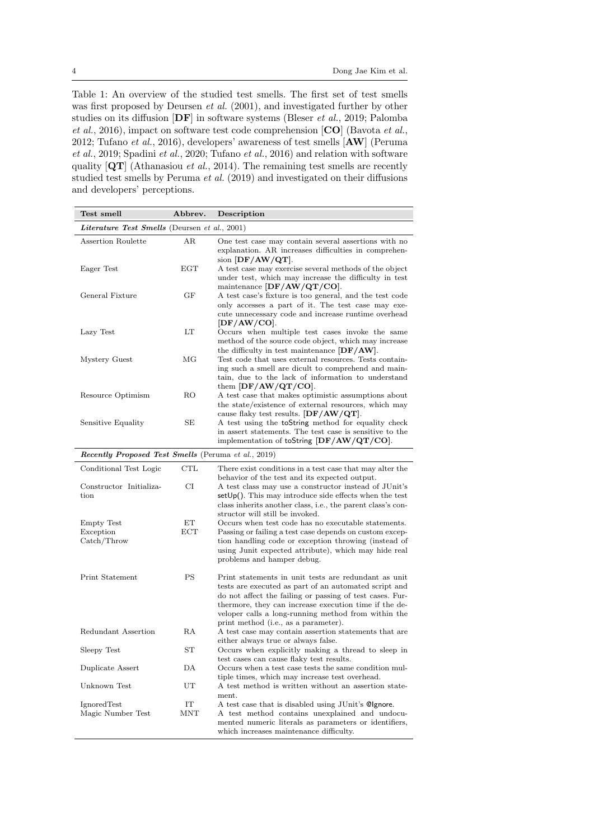<span id="page-3-0"></span>Table 1: An overview of the studied test smells. The first set of test smells was first proposed by [Deursen](#page-34-5) *et al.* [\(2001\)](#page-34-5), and investigated further by other studies on its diffusion [DF] in software systems [\(Bleser](#page-34-6) et al., [2019;](#page-34-6) [Palomba](#page-35-5) [et al.](#page-35-5), [2016\)](#page-35-5), impact on software test code comprehension [CO] [\(Bavota](#page-33-2) et al., [2012;](#page-33-2) [Tufano](#page-37-2) et al., [2016\)](#page-37-2), developers' awareness of test smells [AW] [\(Peruma](#page-36-0) [et al.](#page-36-0), [2019;](#page-36-0) [Spadini](#page-37-4) et al., [2020;](#page-37-4) [Tufano](#page-37-2) et al., [2016\)](#page-37-2) and relation with software quality  $\left[{\bf QT}\right]$  [\(Athanasiou](#page-33-3) *et al.*, [2014\)](#page-33-3). The remaining test smells are recently studied test smells by [Peruma](#page-36-0) et al. [\(2019\)](#page-36-0) and investigated on their diffusions and developers' perceptions.

| Test smell                                                   | Abbrev.        | Description                                                                                                                                                                                                                                                                                                                       |
|--------------------------------------------------------------|----------------|-----------------------------------------------------------------------------------------------------------------------------------------------------------------------------------------------------------------------------------------------------------------------------------------------------------------------------------|
| <i>Literature Test Smells</i> (Deursen <i>et al.</i> , 2001) |                |                                                                                                                                                                                                                                                                                                                                   |
| Assertion Roulette                                           | ΑR             | One test case may contain several assertions with no<br>explanation. AR increases difficulties in comprehen-<br>$\sin$ [DF/AW/QT].                                                                                                                                                                                                |
| Eager Test                                                   | EGT            | A test case may exercise several methods of the object<br>under test, which may increase the difficulty in test                                                                                                                                                                                                                   |
| General Fixture                                              | GF             | maintenance $[DF/AW/QT/CO]$ .<br>A test case's fixture is too general, and the test code<br>only accesses a part of it. The test case may exe-<br>cute unnecessary code and increase runtime overhead                                                                                                                             |
| Lazy Test                                                    | LT             | [DF/AW/CO].<br>Occurs when multiple test cases invoke the same<br>method of the source code object, which may increase<br>the difficulty in test maintenance $[DF/AW]$ .                                                                                                                                                          |
| Mystery Guest                                                | МG             | Test code that uses external resources. Tests contain-<br>ing such a smell are dicult to comprehend and main-<br>tain, due to the lack of information to understand<br>them $[DF/AW/QT/CO]$ .                                                                                                                                     |
| Resource Optimism                                            | RO             | A test case that makes optimistic assumptions about<br>the state/existence of external resources, which may<br>cause flaky test results. $[DF/AW/QT]$ .                                                                                                                                                                           |
| Sensitive Equality                                           | SЕ             | A test using the toString method for equality check<br>in assert statements. The test case is sensitive to the<br>implementation of toString $[DF/AW/QT/CO]$ .                                                                                                                                                                    |
| <b>Recently Proposed Test Smells</b> (Peruma et al., 2019)   |                |                                                                                                                                                                                                                                                                                                                                   |
| Conditional Test Logic                                       | $_{\rm {CTL}}$ | There exist conditions in a test case that may alter the                                                                                                                                                                                                                                                                          |
| Constructor Initializa-<br>tion                              | СI             | behavior of the test and its expected output.<br>A test class may use a constructor instead of JUnit's<br>$setUp()$ . This may introduce side effects when the test<br>class inherits another class, i.e., the parent class's con-<br>structor will still be invoked.                                                             |
| Empty Test                                                   | ET             | Occurs when test code has no executable statements.                                                                                                                                                                                                                                                                               |
| Exception<br>$\operatorname{Catch}/\operatorname{Throw}$     | $_{\rm ECT}$   | Passing or failing a test case depends on custom excep-<br>tion handling code or exception throwing (instead of<br>using Junit expected attribute), which may hide real<br>problems and hamper debug.                                                                                                                             |
| Print Statement                                              | PS             | Print statements in unit tests are redundant as unit<br>tests are executed as part of an automated script and<br>do not affect the failing or passing of test cases. Fur-<br>thermore, they can increase execution time if the de-<br>veloper calls a long-running method from within the<br>print method (i.e., as a parameter). |
| Redundant Assertion                                          | RA             | A test case may contain assertion statements that are<br>either always true or always false.                                                                                                                                                                                                                                      |
| Sleepy Test                                                  | ST             | Occurs when explicitly making a thread to sleep in<br>test cases can cause flaky test results.                                                                                                                                                                                                                                    |
| Duplicate Assert                                             | DA             | Occurs when a test case tests the same condition mul-<br>tiple times, which may increase test overhead.                                                                                                                                                                                                                           |
| Unknown Test                                                 | UT             | A test method is written without an assertion state-<br>ment.                                                                                                                                                                                                                                                                     |
| <b>Ignored</b> Test<br>Magic Number Test                     | IT<br>MNT      | A test case that is disabled using JUnit's Clgnore.<br>A test method contains unexplained and undocu-<br>mented numeric literals as parameters or identifiers,<br>which increases maintenance difficulty.                                                                                                                         |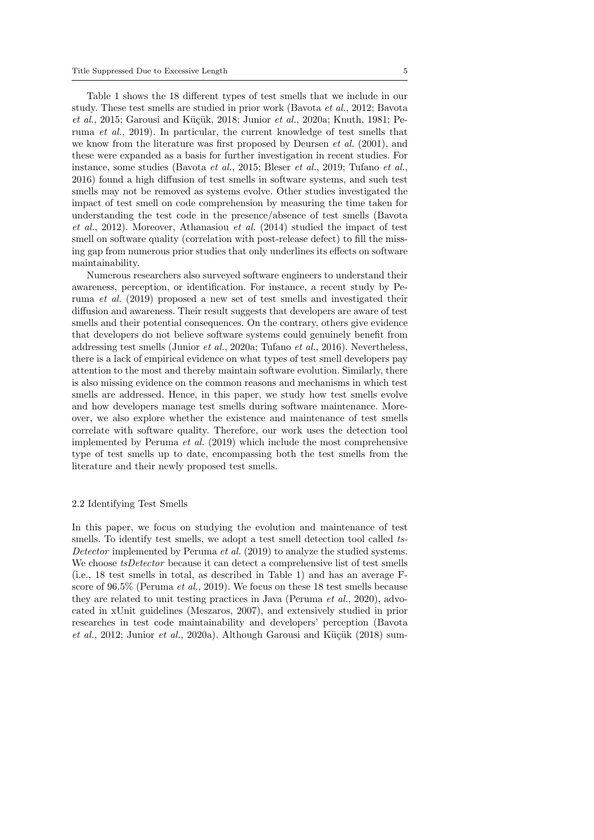Table [1](#page-3-0) shows the 18 different types of test smells that we include in our study. These test smells are studied in prior work [\(Bavota](#page-33-4) et al., [2012;](#page-33-4) [Bavota](#page-33-1)  $et \ al., 2015$ ; Garousi and Küçük, 2018; [Junior](#page-34-0)  $et \ al., 2020$ a; [Knuth, 1981;](#page-35-6) [Pe](#page-36-0)ruma [et al.](#page-36-0), [2019\)](#page-36-0). In particular, the current knowledge of test smells that we know from the literature was first proposed by [Deursen](#page-34-5) *et al.* [\(2001\)](#page-34-5), and these were expanded as a basis for further investigation in recent studies. For instance, some studies [\(Bavota](#page-33-1) et al., [2015;](#page-33-1) [Bleser](#page-34-6) et al., [2019;](#page-34-6) [Tufano](#page-37-2) et al., [2016\)](#page-37-2) found a high diffusion of test smells in software systems, and such test smells may not be removed as systems evolve. Other studies investigated the impact of test smell on code comprehension by measuring the time taken for understanding the test code in the presence/absence of test smells [\(Bavota](#page-33-2) [et al.](#page-33-2), [2012\)](#page-33-2). Moreover, [Athanasiou](#page-33-3) et al. [\(2014\)](#page-33-3) studied the impact of test smell on software quality (correlation with post-release defect) to fill the missing gap from numerous prior studies that only underlines its effects on software maintainability.

Numerous researchers also surveyed software engineers to understand their awareness, perception, or identification. For instance, a recent study by [Pe](#page-36-0)ruma [et al.](#page-36-0) [\(2019\)](#page-36-0) proposed a new set of test smells and investigated their diffusion and awareness. Their result suggests that developers are aware of test smells and their potential consequences. On the contrary, others give evidence that developers do not believe software systems could genuinely benefit from addressing test smells [\(Junior](#page-34-0) et al., [2020a;](#page-34-0) [Tufano](#page-37-2) et al., [2016\)](#page-37-2). Nevertheless, there is a lack of empirical evidence on what types of test smell developers pay attention to the most and thereby maintain software evolution. Similarly, there is also missing evidence on the common reasons and mechanisms in which test smells are addressed. Hence, in this paper, we study how test smells evolve and how developers manage test smells during software maintenance. Moreover, we also explore whether the existence and maintenance of test smells correlate with software quality. Therefore, our work uses the detection tool implemented by [Peruma](#page-36-0) et al. [\(2019\)](#page-36-0) which include the most comprehensive type of test smells up to date, encompassing both the test smells from the literature and their newly proposed test smells.

#### <span id="page-4-0"></span>2.2 Identifying Test Smells

In this paper, we focus on studying the evolution and maintenance of test smells. To identify test smells, we adopt a test smell detection tool called ts-Detector implemented by [Peruma](#page-36-0) et al. [\(2019\)](#page-36-0) to analyze the studied systems. We choose *tsDetector* because it can detect a comprehensive list of test smells (i.e., 18 test smells in total, as described in Table [1\)](#page-3-0) and has an average Fscore of 96.5% [\(Peruma](#page-36-0) et al., [2019\)](#page-36-0). We focus on these 18 test smells because they are related to unit testing practices in Java [\(Peruma](#page-36-4) et al., [2020\)](#page-36-4), advocated in xUnit guidelines [\(Meszaros, 2007\)](#page-35-7), and extensively studied in prior researches in test code maintainability and developers' perception [\(Bavota](#page-33-4) [et al.](#page-33-4), [2012;](#page-33-4) [Junior](#page-34-0) et al., [2020a\)](#page-34-0). Although Garousi and Küçük [\(2018\)](#page-34-2) sum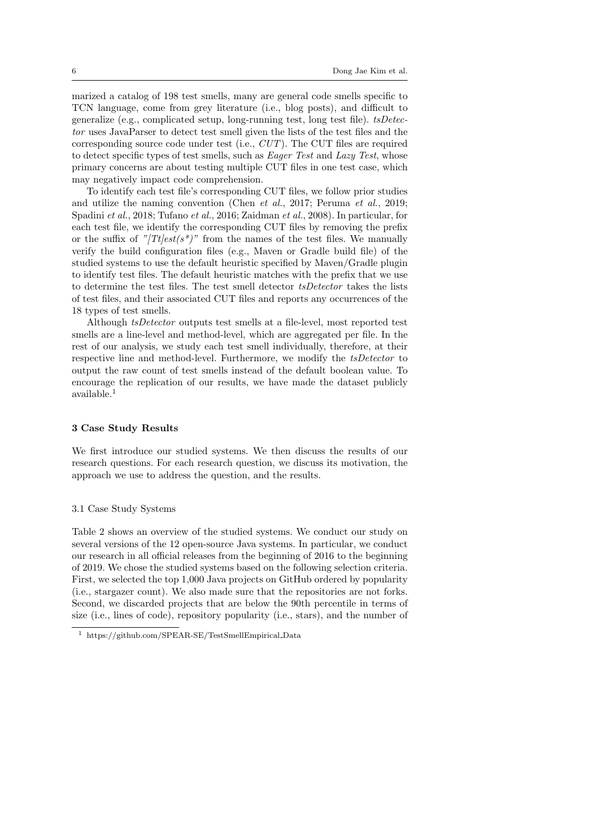marized a catalog of 198 test smells, many are general code smells specific to TCN language, come from grey literature (i.e., blog posts), and difficult to generalize (e.g., complicated setup, long-running test, long test file).  $tsDetec$ tor uses JavaParser to detect test smell given the lists of the test files and the corresponding source code under test (i.e., CUT). The CUT files are required to detect specific types of test smells, such as Eager Test and Lazy Test, whose primary concerns are about testing multiple CUT files in one test case, which may negatively impact code comprehension.

To identify each test file's corresponding CUT files, we follow prior studies and utilize the naming convention [\(Chen](#page-34-7) et al., [2017;](#page-34-7) [Peruma](#page-36-0) et al., [2019;](#page-36-0) [Spadini](#page-37-0) et al., [2018;](#page-37-0) [Tufano](#page-37-2) et al., [2016;](#page-37-2) [Zaidman](#page-37-5) et al., [2008\)](#page-37-5). In particular, for each test file, we identify the corresponding CUT files by removing the prefix or the suffix of " $|Tt|est(s^*)$ " from the names of the test files. We manually verify the build configuration files (e.g., Maven or Gradle build file) of the studied systems to use the default heuristic specified by Maven/Gradle plugin to identify test files. The default heuristic matches with the prefix that we use to determine the test files. The test smell detector tsDetector takes the lists of test files, and their associated CUT files and reports any occurrences of the 18 types of test smells.

Although tsDetector outputs test smells at a file-level, most reported test smells are a line-level and method-level, which are aggregated per file. In the rest of our analysis, we study each test smell individually, therefore, at their respective line and method-level. Furthermore, we modify the tsDetector to output the raw count of test smells instead of the default boolean value. To encourage the replication of our results, we have made the dataset publicly available.[1](#page-5-1)

#### <span id="page-5-0"></span>3 Case Study Results

We first introduce our studied systems. We then discuss the results of our research questions. For each research question, we discuss its motivation, the approach we use to address the question, and the results.

### 3.1 Case Study Systems

Table [2](#page-6-0) shows an overview of the studied systems. We conduct our study on several versions of the 12 open-source Java systems. In particular, we conduct our research in all official releases from the beginning of 2016 to the beginning of 2019. We chose the studied systems based on the following selection criteria. First, we selected the top 1,000 Java projects on GitHub ordered by popularity (i.e., stargazer count). We also made sure that the repositories are not forks. Second, we discarded projects that are below the 90th percentile in terms of size (i.e., lines of code), repository popularity (i.e., stars), and the number of

<span id="page-5-1"></span><sup>1</sup> https://github.com/SPEAR-SE/TestSmellEmpirical Data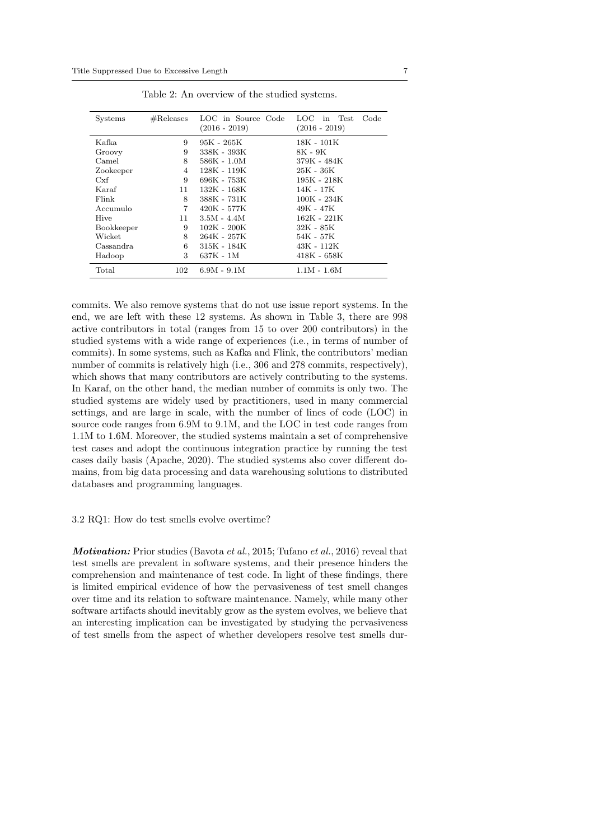<span id="page-6-0"></span>

| Systems    | #Releases      | LOC in Source Code | LOC in Test<br>Code |
|------------|----------------|--------------------|---------------------|
|            |                | $(2016 - 2019)$    | $(2016 - 2019)$     |
| Kafka.     | 9              | 95K - 265K         | 18K - 101K          |
| Groovy     | 9              | 338K - 393K        | 8K - 9K             |
| Camel      | 8              | $586K - 1.0M$      | 379K - 484K         |
| Zookeeper  | $\overline{4}$ | 128K - 119K        | 25K - 36K           |
| Cxf        | 9              | 696K - 753K        | 195K - 218K         |
| Karaf      | 11             | 132K - 168K        | 14K - 17K           |
| Flink      | 8              | 388K - 731K        | $100K - 234K$       |
| Accumulo   | 7              | 420K - 577K        | 49K - 47K           |
| Hive       | 11             | $3.5M - 4.4M$      | 162K - 221K         |
| Bookkeeper | 9              | $102K - 200K$      | 32K - 85K           |
| Wicket     | 8              | 264K - 257K        | 54K - 57K           |
| Cassandra. | 6              | 315K - 184K        | 43K - 112K          |
| Hadoop     | 3              | 637K - 1M          | 418K - 658K         |
| Total      | 102            | $6.9M - 9.1M$      | $1.1M - 1.6M$       |

Table 2: An overview of the studied systems.

commits. We also remove systems that do not use issue report systems. In the end, we are left with these 12 systems. As shown in Table [3,](#page-7-0) there are 998 active contributors in total (ranges from 15 to over 200 contributors) in the studied systems with a wide range of experiences (i.e., in terms of number of commits). In some systems, such as Kafka and Flink, the contributors' median number of commits is relatively high (i.e., 306 and 278 commits, respectively), which shows that many contributors are actively contributing to the systems. In Karaf, on the other hand, the median number of commits is only two. The studied systems are widely used by practitioners, used in many commercial settings, and are large in scale, with the number of lines of code (LOC) in source code ranges from 6.9M to 9.1M, and the LOC in test code ranges from 1.1M to 1.6M. Moreover, the studied systems maintain a set of comprehensive test cases and adopt the continuous integration practice by running the test cases daily basis [\(Apache, 2020\)](#page-33-5). The studied systems also cover different domains, from big data processing and data warehousing solutions to distributed databases and programming languages.

3.2 RQ1: How do test smells evolve overtime?

*Motivation:* Prior studies [\(Bavota](#page-33-1) *et al.*, [2015;](#page-33-1) [Tufano](#page-37-2) *et al.*, [2016\)](#page-37-2) reveal that test smells are prevalent in software systems, and their presence hinders the comprehension and maintenance of test code. In light of these findings, there is limited empirical evidence of how the pervasiveness of test smell changes over time and its relation to software maintenance. Namely, while many other software artifacts should inevitably grow as the system evolves, we believe that an interesting implication can be investigated by studying the pervasiveness of test smells from the aspect of whether developers resolve test smells dur-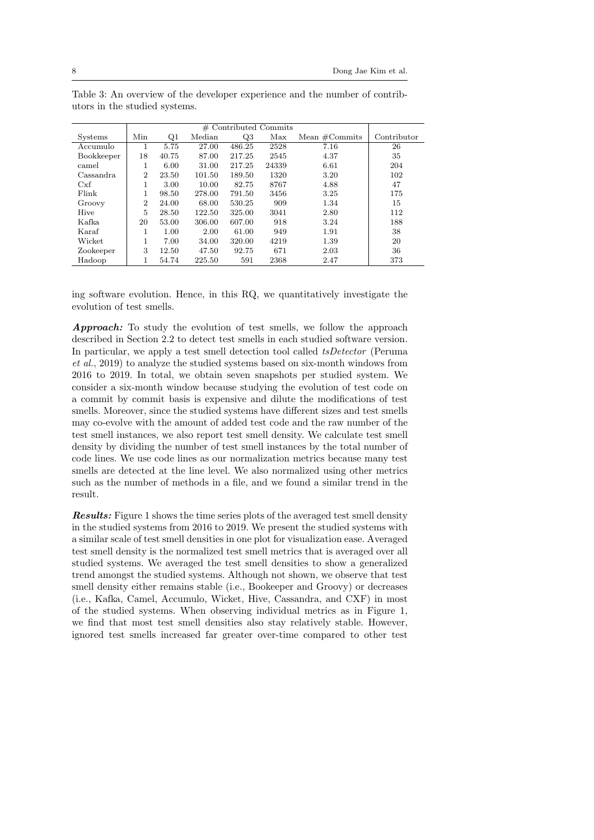|                |                |       |        | $#$ Contributed Commits |       |                 |             |
|----------------|----------------|-------|--------|-------------------------|-------|-----------------|-------------|
| <b>Systems</b> | Min            | Q1    | Median | $\Omega$ 3              | Max   | Mean $#Commits$ | Contributor |
| Accumulo       | 1              | 5.75  | 27.00  | 486.25                  | 2528  | 7.16            | 26          |
| Bookkeeper     | 18             | 40.75 | 87.00  | 217.25                  | 2545  | 4.37            | 35          |
| camel          | 1              | 6.00  | 31.00  | 217.25                  | 24339 | 6.61            | 204         |
| Cassandra      | $\overline{2}$ | 23.50 | 101.50 | 189.50                  | 1320  | 3.20            | 102         |
| Cxf            | 1              | 3.00  | 10.00  | 82.75                   | 8767  | 4.88            | 47          |
| Flink          | 1              | 98.50 | 278.00 | 791.50                  | 3456  | 3.25            | 175         |
| Groovy         | $\overline{2}$ | 24.00 | 68.00  | 530.25                  | 909   | 1.34            | 15          |
| Hive           | 5              | 28.50 | 122.50 | 325.00                  | 3041  | 2.80            | 112         |
| Kafka          | 20             | 53.00 | 306.00 | 607.00                  | 918   | 3.24            | 188         |
| Karaf          | 1              | 1.00  | 2.00   | 61.00                   | 949   | 1.91            | 38          |
| Wicket         | 1              | 7.00  | 34.00  | 320.00                  | 4219  | 1.39            | 20          |
| Zookeeper      | 3              | 12.50 | 47.50  | 92.75                   | 671   | 2.03            | 36          |
| Hadoop         | 1              | 54.74 | 225.50 | 591                     | 2368  | 2.47            | 373         |

<span id="page-7-0"></span>Table 3: An overview of the developer experience and the number of contributors in the studied systems.

ing software evolution. Hence, in this RQ, we quantitatively investigate the evolution of test smells.

Approach: To study the evolution of test smells, we follow the approach described in Section [2.2](#page-4-0) to detect test smells in each studied software version. In particular, we apply a test smell detection tool called tsDetector [\(Peruma](#page-36-0) [et al.](#page-36-0), [2019\)](#page-36-0) to analyze the studied systems based on six-month windows from 2016 to 2019. In total, we obtain seven snapshots per studied system. We consider a six-month window because studying the evolution of test code on a commit by commit basis is expensive and dilute the modifications of test smells. Moreover, since the studied systems have different sizes and test smells may co-evolve with the amount of added test code and the raw number of the test smell instances, we also report test smell density. We calculate test smell density by dividing the number of test smell instances by the total number of code lines. We use code lines as our normalization metrics because many test smells are detected at the line level. We also normalized using other metrics such as the number of methods in a file, and we found a similar trend in the result.

Results: Figure [1](#page-8-0) shows the time series plots of the averaged test smell density in the studied systems from 2016 to 2019. We present the studied systems with a similar scale of test smell densities in one plot for visualization ease. Averaged test smell density is the normalized test smell metrics that is averaged over all studied systems. We averaged the test smell densities to show a generalized trend amongst the studied systems. Although not shown, we observe that test smell density either remains stable (i.e., Bookeeper and Groovy) or decreases (i.e., Kafka, Camel, Accumulo, Wicket, Hive, Cassandra, and CXF) in most of the studied systems. When observing individual metrics as in Figure [1,](#page-8-0) we find that most test smell densities also stay relatively stable. However, ignored test smells increased far greater over-time compared to other test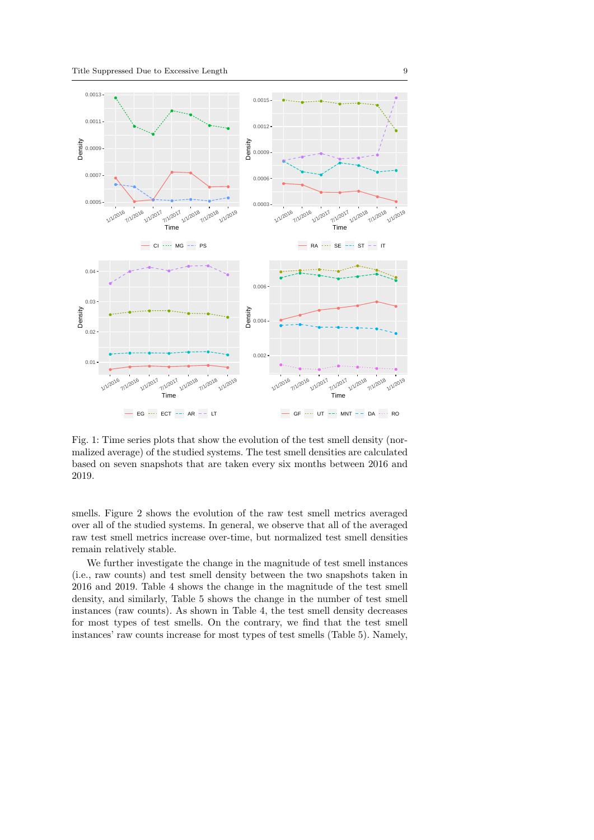<span id="page-8-0"></span>

Fig. 1: Time series plots that show the evolution of the test smell density (normalized average) of the studied systems. The test smell densities are calculated based on seven snapshots that are taken every six months between 2016 and 2019.

smells. Figure [2](#page-9-0) shows the evolution of the raw test smell metrics averaged over all of the studied systems. In general, we observe that all of the averaged raw test smell metrics increase over-time, but normalized test smell densities remain relatively stable.

We further investigate the change in the magnitude of test smell instances (i.e., raw counts) and test smell density between the two snapshots taken in 2016 and 2019. Table [4](#page-10-0) shows the change in the magnitude of the test smell density, and similarly, Table [5](#page-11-0) shows the change in the number of test smell instances (raw counts). As shown in Table [4,](#page-10-0) the test smell density decreases for most types of test smells. On the contrary, we find that the test smell instances' raw counts increase for most types of test smells (Table [5\)](#page-11-0). Namely,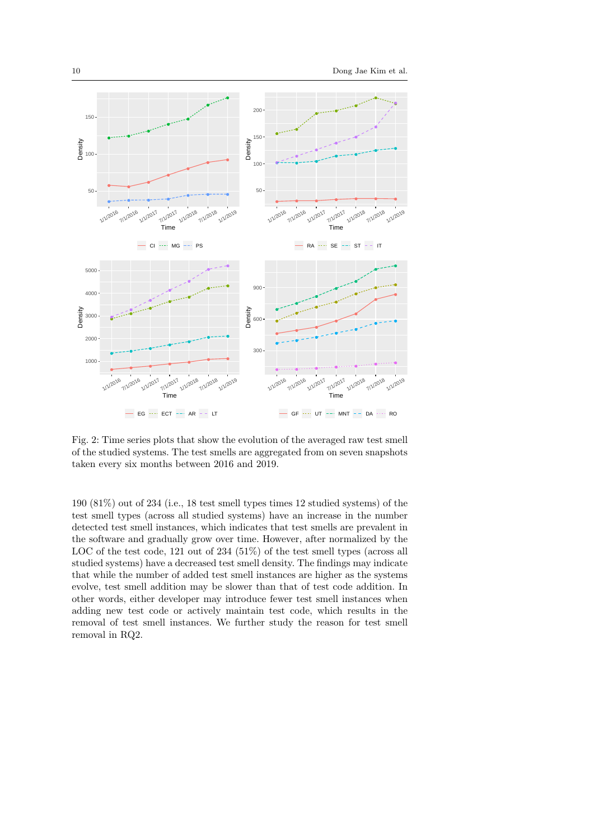<span id="page-9-0"></span>

Fig. 2: Time series plots that show the evolution of the averaged raw test smell of the studied systems. The test smells are aggregated from on seven snapshots taken every six months between 2016 and 2019.

190 (81%) out of 234 (i.e., 18 test smell types times 12 studied systems) of the test smell types (across all studied systems) have an increase in the number detected test smell instances, which indicates that test smells are prevalent in the software and gradually grow over time. However, after normalized by the LOC of the test code, 121 out of 234 (51%) of the test smell types (across all studied systems) have a decreased test smell density. The findings may indicate that while the number of added test smell instances are higher as the systems evolve, test smell addition may be slower than that of test code addition. In other words, either developer may introduce fewer test smell instances when adding new test code or actively maintain test code, which results in the removal of test smell instances. We further study the reason for test smell removal in RQ2.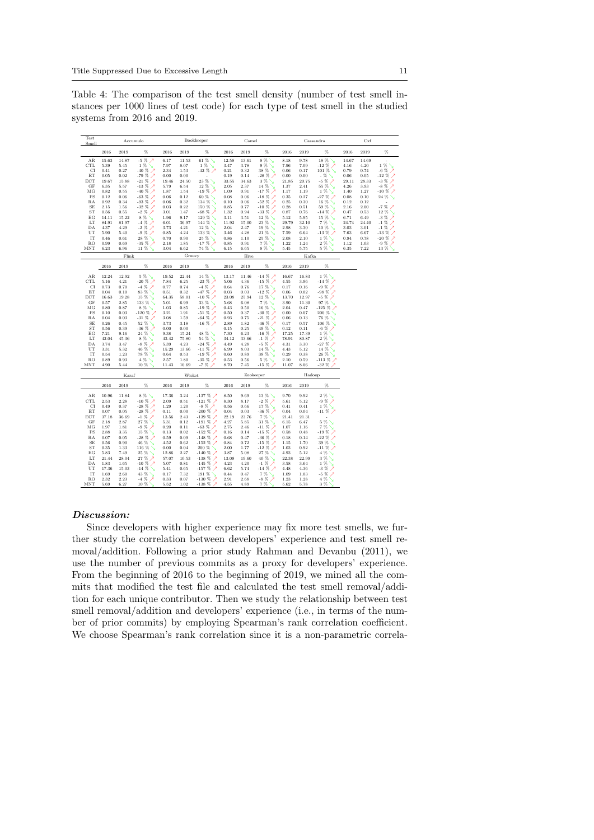<span id="page-10-0"></span>Table 4: The comparison of the test smell density (number of test smell instances per 1000 lines of test code) for each type of test smell in the studied systems from 2016 and 2019.

| Test<br>Smell |               |               | Accumulo                               |               |               | Bookkeeper               |               | Camel         |                                                            |               |                | Cassandra                            |              | Cxf          |                    |
|---------------|---------------|---------------|----------------------------------------|---------------|---------------|--------------------------|---------------|---------------|------------------------------------------------------------|---------------|----------------|--------------------------------------|--------------|--------------|--------------------|
|               | 2016          | 2019          | %                                      | 2016          | 2019          | %                        | 2016          | 2019          | %                                                          | 2016          | 2019           | %                                    | 2016         | 2019         | %                  |
| AR            | 15.63         | 14.87         | $-5\%$                                 | 6.17          | 11.53         | 61 %<br>↘                | 12.58         | 13.61         | $8~\%$                                                     | 8.18          | 9.78           | 18 %<br>↘                            | 14.67        | 14.69        |                    |
| <b>CTL</b>    | 5.39          | 5.45          | $1~\%$                                 | 7.97          | 8.07          | $1\%$                    | 3.47          | 3.78          | $9~\%$<br>↘                                                | 7.96          | 7.09           | $-12~\%$                             | 4.16         | 4.20         | $1~\%$             |
| $_{\rm CI}$   | 0.41          | 0.27          | $-40\%$ /                              | 2.34          | 1.53          | $-42\%$ /                | 0.21          | 0.32          | $38~\%$<br>↘                                               | 0.06          | 0.17           | $101~\%$<br>↘                        | 0.79         | 0.74         | -6 $\%$            |
| ET            | 0.05          | 0.02          | $-79 \%$                               | 0.00          | 0.00          |                          | 0.19          | 0.14          | $-28\%$                                                    | 0.00          | 0.00           | $-$ %                                | 0.06         | 0.05         | $-12%$             |
| ECT           | 19.67         | 15.88         | Ž<br>$-21~\%$                          | 19.46         | 24.50         | 23 % \                   | 33.55         | 34.63         | $3\%$<br>↘                                                 | 21.85         | 20.75          | -5 $\%$                              | 29.11        | 28.33        | $-3\%$<br>٠,       |
| GF            | 6.35          | 5.57          | -13 $\%$ $\nearrow$                    | 5.79          | 6.54          | 12 %                     | 2.05          | 2.37          | 14 %<br>↘                                                  | 1.37          | 2.41           | 55 %                                 | 4.26         | 3.93         | -8 $\%$            |
| MG<br>PS      | 0.82<br>0.12  | 0.55<br>0.06  | -40 $\%$ $\!\!\!\nearrow$<br>$-63\%$ / | 1.87<br>0.06  | 1.54<br>0.12  | $-19\%$<br>60 %          | 1.09<br>0.08  | 0.91<br>0.06  | $-17\%$ /<br>$-18\%$ /                                     | 1.17<br>0.35  | 1.19<br>0.27   | $1\%$<br>↘<br>$-27~\%$               | 1.40<br>0.08 | 1.27<br>0.10 | $-10\%$<br>$24~\%$ |
| RA            | 0.92          | 0.34          | $-93\%$ /                              | 0.06          | 0.32          | 134 %<br>↘               | 0.10          | 0.06          | $-52\%$ /                                                  | 0.25          | 0.30           | 16 %                                 | 0.12         | 0.12         |                    |
| SE            | 2.15          | 1.56          | $-32\%$ /                              | 0.03          | 0.22          | $150~\%$<br>↘            | 0.85          | 0.77          | $-10\%$ /                                                  | 0.28          | 0.51           | $59~\%$                              | 2.16         | 2.00         | $-7%$              |
| <b>ST</b>     | 0.56          | 0.55          | $-2\%$<br>↗                            | 3.01          | 1.47          | $-68\%$                  | 1.32          | 0.94          | $-33\%$ /                                                  | 0.87          | 0.76           | $-14\%$                              | 0.47         | 0.53         | 12 %               |
| EG            | 14.11         | 15.22         | 8%                                     | 1.96          | 9.17          | $129~\%$<br>↘            | 3.11          | 3.51          | 12 %<br>↘                                                  | 5.12          | 5.95           | 15 %<br>↘                            | 6.71         | 6.49         | $-3\%$             |
| LT            | 84.91         | 81.97         | $-4\%$<br>↗                            | 6.01          | 36.97         | 144 %<br>↘               | 11.92         | 15.00         | 23 %<br>↘                                                  | 29.79         | 32.10          | 7%<br>↘                              | 24.74        | 24.40        | $-1\%$<br>↗        |
| DA            | 4.37          | 4.29          | $\bar{\mathcal{E}}$<br>$-2~\%$         | 3.73          | 4.21          | 12 %<br>↘                | 2.04          | 2.47          | $19~\%$<br>↘                                               | 2.98          | 3.30           | $10~\%$<br>↘                         | 3.03         | 3.01         | ⊵<br>$-1\%$        |
| UT            | 5.90          | 5.40          | $\bar{\mathcal{E}}$<br>-9 $\%$         | 0.85          | 4.24          | 133 %<br>╲               | 3.46          | 4.28          | 21 %<br>$\searrow$                                         | 7.59          | 6.64           | -13 $\%$                             | 7.63         | 6.67         | $-13\%$ /          |
| IT            | 0.46          | 0.61          | 28 %                                   | 0.70          | 0.90          | 25 %                     | 0.86          | 1.10          | 25 %                                                       | 2.08          | 2.10           | 1%<br>╲                              | 0.94         | 0.78         | $-20%$<br>↗        |
| RO<br>MNT     | 0.99<br>6.23  | 0.69<br>6.96  | -35 $\%$<br>11 %                       | 2.18<br>3.04  | 1.85<br>6.62  | $-17%$<br>74 %           | 0.85<br>6.15  | 0.91<br>6.65  | 7%<br>↘<br>$8~\%$                                          | 1.22<br>5.45  | 1.24<br>5.75   | $2\%$<br>↘<br>$5~\%$                 | 1.12<br>6.35 | 1.03<br>7.22 | $-9 \%$<br>13 %    |
|               |               |               |                                        |               |               |                          |               |               |                                                            |               |                |                                      |              |              |                    |
|               |               | Flink         |                                        |               | Groovy        |                          |               | Hive          |                                                            |               | Kafka          |                                      |              |              |                    |
|               | 2016          | 2019          | $\%$                                   | 2016          | 2019          | %                        | 2016          | 2019          | %                                                          | 2016          | 2019           | %                                    |              |              |                    |
| AR            | 12.24         | 12.92         | $5\%$                                  | 19.52         | 22.44         | 14 % \                   | 13.17         | 11.46         | $-14\%$ /                                                  | 16.67         | 16.83          | $1\%$                                |              |              |                    |
| <b>CTL</b>    | 5.16          | 4.21          | -20 $\%$<br>↗                          | 7.84          | 6.25          | $-23\%$ /                | 5.06          | 4.36          | $\bar{\mathcal{E}}$<br>$-15~\%$                            | 4.55          | 3.96           | $-14\%$                              |              |              |                    |
| CI            | 0.73          | 0.70          | z<br>$-4\%$                            | 0.77          | 0.74          | $-4\%$ /                 | 0.64          | 0.76          | 17 %                                                       | 0.17          | 0.16           | $-9\%$                               |              |              |                    |
| ET            | 0.04          | 0.10          | 83 %                                   | 0.51          | 0.32          | $-47 \%$                 | 0.03          | 0.03          | -12 $\%$<br>- 7                                            | $\rm 0.06$    | 0.02           | -98 $\%$<br>$\overline{\phantom{a}}$ |              |              |                    |
| ECT<br>GF     | 16.63<br>0.57 | 19.28<br>2.85 | 15 %<br>$133\%$                        | 64.35<br>5.01 | 58.01         | -10 $\%$<br>↗<br>33 %    | 23.08         | 25.94         | $12~\%$<br>7%                                              | 13.70<br>3.90 | 12.97<br>11.30 | $-5\%$<br>97 %                       |              |              |                    |
| MG            | 0.80          | 0.87          | $8\%$                                  | 1.03          | 6.99<br>0.85  | ↘<br>$-19\%$ /           | 5.68<br>0.43  | 6.08<br>0.50  | $\searrow$<br>$16~\%$<br>Ň,                                | 2.04          | 0.47           | $-125%$                              |              |              |                    |
| PS            | 0.10          | 0.03          | $-120\%$ /                             | 3.21          | 1.91          | $-51\%$ /                | 0.50          | 0.37          | $-30\%$ /                                                  | 0.00          | 0.07           | 200 %                                |              |              |                    |
| RA            | 0.04          | 0.03          | ↗<br>$-31\%$                           | 3.08          | 1.59          | -64 $\%$ $\times$        | 0.93          | 0.75          | -21 $\%$ $\nearrow$                                        | 0.06          | 0.13           | 76 %                                 |              |              |                    |
| $\rm SE$      | 0.26          | 0.45          | $52~\%$<br>↘                           | 3.73          | 3.18          | $-16\%$ /                | 2.89          | 1.82          |                                                            | 0.17          | 0.57           | 106 %                                |              |              |                    |
| <b>ST</b>     | 0.56          | 0.39          | $-36\%$                                | 0.00          | 0.00          |                          | 0.15          | 0.25          | 49 %<br>$\begin{array}{c} 49 \ \%\ \\ -16 \ \%\end{array}$ | 0.12          | 0.11           | $-6\%$                               |              |              |                    |
| EG            | 7.21          | 9.16          | 24 %                                   | 9.38          | 15.24         | 48 % \                   | 7.30          | 6.23          |                                                            | 17.25         | 17.39          | 1%                                   |              |              |                    |
| LT            | 42.04         | 45.36         | 8%                                     | 43.42         | 75.80         | 54 % \                   | 34.12         | 33.66         | $-1\%$ /                                                   | 78.91         | 80.87          | $2\%$                                |              |              |                    |
| DA            | 3.74          | 3.47          | $-8\%$                                 | 5.39          | 4.23          | $-24\%$ 7                | 4.49          | 4.28          | $-5\%$<br>↗                                                | 4.31          | 3.30           | $-27%$                               |              |              |                    |
| UT<br>IT      | 3.31<br>0.54  | 5.32<br>1.23  | 46 %<br>78 %                           | 15.29<br>0.64 | 13.66<br>0.53 | $-11\%$ /<br>$-19\%$ /   | 6.99<br>0.60  | 8.03<br>0.89  | 14 %<br>38 %                                               | 4.43<br>0.29  | 5.12<br>0.38   | 14 %<br>$26~\%$                      |              |              |                    |
| RO            | 0.89          | 0.93          | 4 %                                    | 2.57          | 1.80          | $-35\%$ /                | 0.53          | 0.56          | 5 %<br>↘                                                   | 2.10          | 0.59           | $-113%$                              |              |              |                    |
| <b>MNT</b>    | 4.90          | 5.44          | 10 %                                   | 11.43         | 10.69         | $-7%$                    | 8.70          | 7.45          | $-15\%$                                                    | 11.07         | 8.06           | $-32\%$                              |              |              |                    |
|               |               |               |                                        |               |               |                          |               |               |                                                            |               |                |                                      |              |              |                    |
|               |               | Karaf         |                                        |               | Wicket        |                          |               | Zookeeper     |                                                            |               | Hadoop         |                                      |              |              |                    |
|               | 2016          | 2019          | %                                      | 2016          | 2019          | %                        | 2016          | 2019          | %                                                          | 2016          | 2019           | $\%$                                 |              |              |                    |
| AR            | 10.96         | 11.84         | $8\%$                                  | 17.36         | 3.24          | $-137 \%$ /              | 8.50          | 9.69          | 13 %<br>↘                                                  | 9.70          | 9.92           | $2\%$                                |              |              |                    |
| <b>CTL</b>    | 2.53          | 2.28          | $-10\%$ /                              | 2.09          | 0.51          | $-121\%$ /               | 8.30          | 8.17          | $-2\%$                                                     | 5.61          | 5.12           | $-9 \%$                              |              |              |                    |
| CI            | 0.49          | 0.37          | $-28\%$ /                              | 1.29          | 1.20          | $-8\%$ 7                 | 0.56          | 0.66          | 17 %                                                       | 0.41          | 0.41           | $1\%$                                |              |              |                    |
| ET            | 0.07          | 0.05          | $-28\%$ /<br>z                         | 0.11          | 0.00          | $-200\%$ /               | 0.04          | 0.03          | $-36\%$ 7                                                  | 0.04          | 0.04           | $-11\%$ /                            |              |              |                    |
| ECT<br>GF     | 37.18<br>2.18 | 36.69<br>2.87 | $-1\%$<br>27 %<br>↘                    | 13.56<br>5.31 | 2.43<br>0.12  | $-139\%$ /<br>$-191\%$ / | 22.19<br>4.27 | 23.76<br>5.85 | $7~\%$<br>↘<br>31 %<br>↘                                   | 21.41<br>6.15 | 21.31<br>6.47  | 5 %                                  |              |              |                    |
| MG            | 1.97          | 1.81          | -9 $\%$<br>↗                           | 0.20          | 0.11          | $-63\%$ /                | 2.75          | 2.46          | $-11\%$ /                                                  | 1.07          | 1.16           | ╲<br>7 %<br>↘                        |              |              |                    |
| PS            | 2.88          | 3.35          | 15 %                                   | 0.13          | 0.02          | $-152\%$                 | 0.16          | 0.14          | $-15\%$ /                                                  | 0.58          | 0.48           | $-19\%$<br>1                         |              |              |                    |
| RA            | 0.07          | 0.05          | $-28\%$                                | 0.59          | 0.09          | $-148 \%$                | 0.68          | 0.47          |                                                            | 0.18          | 0.14           | $-22\%$                              |              |              |                    |
| $\rm SE$      | 0.56          | 0.90          | 46 %                                   | 4.52          | 0.62          | $-152\%$ /               | 0.84          | 0.72          |                                                            | 1.15          | 1.70           | 39 %                                 |              |              |                    |
| <b>ST</b>     | 0.35          | 1.33          | 116 %<br>╲                             | 0.00          | 0.04          | 200 %                    | 2.00          | 1.77          | $-12\%$ /                                                  | 1.03          | 0.92           | $-11\%$                              |              |              |                    |
| EG            | 5.83          | 7.49          | 25 %                                   | 12.86         | 2.27          | $-140\%$ /               | 3.87          | 5.08          | 27 %                                                       | 4.93          | 5.12           | 4 %                                  |              |              |                    |
| LT            | 21.44         | 28.04         | $27~\%$                                | 57.07         | 10.53         | $-138\%$ /               | 13.09         | 19.60         | 40 %                                                       | 22.38         | 22.99          | 3%                                   |              |              |                    |
| DA<br>UT      | 1.83<br>17.36 | 1.65<br>15.03 | $-10 \%$<br>$-14\%$                    | 5.07<br>5.41  | 0.81<br>0.65  | $-145 \%$ /<br>$-157%$   | 4.23<br>6.62  | 4.20<br>5.74  | $-1\%$<br>$-14\%$                                          | 3.58<br>4.48  | 3.64<br>4.36   | $1\%$<br>$-3\%$                      |              |              |                    |
| IT            | 1.69          | 2.60          | 43 %<br>↘                              | 0.17          | 7.32          | 191 %<br>↘               | 0.44          | 0.47          | 7%<br>↘                                                    | 1.09          | 1.03           | $-5\%$                               |              |              |                    |
| RO            | 2.32          | 2.23          | $-4\%$<br>- 2                          | 0.33          | 0.07          | $-130\%$ /               | 2.91          | 2.68          | $-8\%$<br>↗                                                | 1.23          | 1.28           | 4 %                                  |              |              |                    |
| <b>MNT</b>    | 5.69          | 6.27          | 10 %                                   | 5.52          | 1.02          | $-138%$<br>z             | 4.55          | 4.89          | 7%                                                         | 5.62          | 5.78           | 3%                                   |              |              |                    |

### Discussion:

Since developers with higher experience may fix more test smells, we further study the correlation between developers' experience and test smell removal/addition. Following a prior study [Rahman and Devanbu](#page-36-5) [\(2011\)](#page-36-5), we use the number of previous commits as a proxy for developers' experience. From the beginning of 2016 to the beginning of 2019, we mined all the commits that modified the test file and calculated the test smell removal/addition for each unique contributor. Then we study the relationship between test smell removal/addition and developers' experience (i.e., in terms of the number of prior commits) by employing Spearman's rank correlation coefficient. We choose Spearman's rank correlation since it is a non-parametric correla-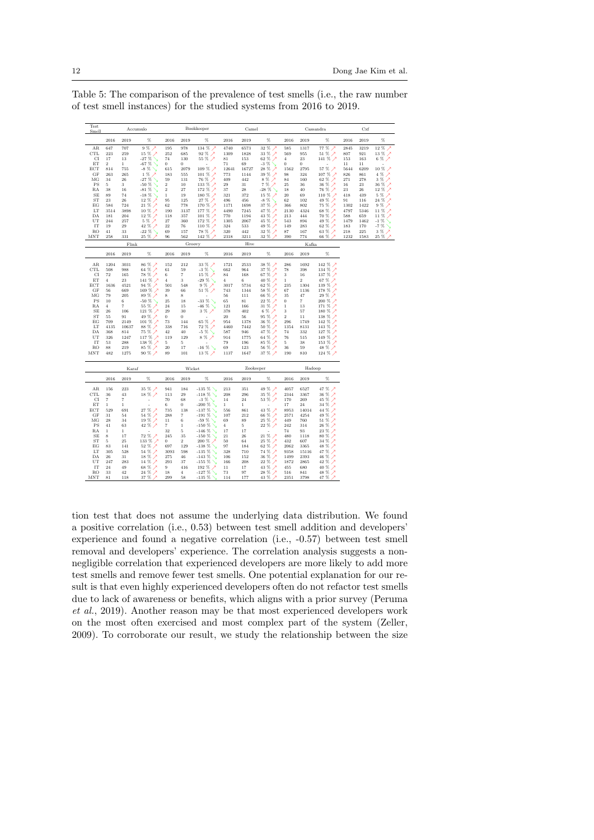| $\%$<br>$\%$<br>2016<br>2019<br>%<br>2016<br>2019<br>%<br>2016<br>2019<br>2016<br>2019<br>%<br>2016<br>2019<br>$9\%$ /<br>195<br>134 % /<br>32 % /<br>77 % /<br>12 % /<br>AR<br>647<br>707<br>978<br>4740<br>6573<br>585<br>1317<br>2845<br>3219<br>13 % /<br>92 % /<br>33 % /<br>51 % /<br>CTL<br>223<br>259<br>$15\%$ /<br>252<br>1309<br>921<br>685<br>1828<br>569<br>955<br>807<br>55 % /<br>62 % /<br>141 % /<br>$6\%$ $\times$<br>$_{\rm CI}$<br>17<br>13<br>$-27%$<br>74<br>130<br>153<br>23<br>163<br>$\searrow$<br>81<br>$\overline{4}$<br>153<br>$-67%$<br>$-3\%$<br>ET<br>$\,2$<br>$\bf{0}$<br>$\bf{0}$<br>69<br>$\boldsymbol{0}$<br>0<br>$\mathbf{1}$<br>71<br>11<br>11<br>109 % /<br>57 %<br>ECT<br>-8 $\%$ $\searrow$<br>28 % /<br>2795<br>5644<br>$\begin{smallmatrix} 10 & \%\ & \nearrow \\ 4 & \%\ & \nearrow \end{smallmatrix}$<br>814<br>755<br>615<br>2079<br>12641<br>16727<br>1562<br>6209<br>$39 \%$<br>$101\%$ /<br>GF<br>263<br>265<br>1 %<br>183<br>555<br>773<br>1144<br>324<br>$107\%$ $\times$<br>826<br>861<br>98<br>$3\%$ $\times$<br>MG<br>34<br>${\bf 26}$<br>$-27\%$<br>59<br>131<br>76 % /<br>409<br>442<br>$8\%$ /<br>$62\%$ /<br>271<br>278<br>84<br>160<br>$\,2\,$<br>133 % /<br>36 % /<br>PS<br>$-50%$<br>10<br>29<br>31<br>$7\%$ $\nearrow$<br>$36\%$ 7<br>5<br>3<br>25<br>36<br>16<br>23<br>$-81\%$<br>$\,2$<br>172 % /<br>$-28\%$<br>12 % /<br>RA<br>38<br>$16\,$<br>27<br>37<br>$\bf 28$<br>18<br>40<br>$76\%$ /<br>23<br>26<br>$5\%$<br>SE<br>$-18\%$<br>19<br>$180\%$ /<br>15 %<br>$110\%$ /<br>89<br>74<br>$\mathbf{1}$<br>321<br>372<br>20<br>69<br>418<br>439<br>12 % /<br>$-8\%$<br>24 % /<br><b>ST</b><br>23<br>${\bf 26}$<br>95<br>125<br>$27\%$ /<br>496<br>62<br>102<br>49 % /<br>91<br>116<br>456<br>↘<br>21 % /<br>170 % /<br>37 % /<br>75 % /<br>EG<br>584<br>724<br>62<br>778<br>1302<br>1422<br>$9\%$ /<br>1171<br>1698<br>366<br>802<br>$10\%$ /<br>47 % /<br>$11~\%$ $\nearrow$<br>177 % /<br>68 % /<br>LT<br>3898<br>190<br>3137<br>4797<br>5346<br>3514<br>4490<br>7245<br>2130<br>4324<br>101 % /<br>12 % /<br>43 % /<br>70 % /<br>11 %<br>↗<br>DA<br>181<br>204<br>118<br>357<br>770<br>1194<br>213<br>444<br>588<br>659<br>$172~\%$ $\times$<br>≫<br>2<br>49 % /<br>$45~\%$<br>$-1~\%$<br>UT<br>244<br>5 %<br>27<br>360<br>543<br>1479<br>1462<br>257<br>1305<br>2067<br>894<br>↗<br>110 % /<br>49 % /<br>62 % /<br>$-7%$<br>42 %<br>22<br>149<br>170<br>IT<br>19<br>29<br>76<br>324<br>533<br>283<br>183<br>↘<br>RO<br>$-22\%$<br>78 % /<br>$32 \%$<br>$63 \%$<br>225<br>$3\%$<br>41<br>33<br>69<br>157<br>320<br>442<br>87<br>167<br>218<br>142 % /<br>$32~\%$<br>1232<br>$25~\%$<br>↗<br>MNT<br>258<br>331<br>25 %<br>96<br>562<br>2318<br>3211<br>390<br>66 %<br>1583<br>774<br>Groovy<br>Flink<br>Kafka<br>Hive<br>$\%$<br>$\%$<br>%<br>$\%$<br>2016<br>2019<br>2016<br>2019<br>2016<br>2019<br>2016<br>2019<br>AR<br>1204<br>3031<br>86 % /<br>152<br>212<br>33 %<br>2533<br>38 % /<br>286<br>1692<br>142 % 7<br>↗<br>1721<br>64 % /<br>-3 $\%$<br>37 % /<br>134 %<br>CTL<br>508<br>988<br>61<br>59<br>662<br>964<br>78<br>398<br>7<br>78 % /<br>$\scriptstyle{7}$<br>67 % /<br>$_{\rm CI}$<br>72<br>165<br>6<br>15 %<br>84<br>168<br>3<br>16<br>137 %<br>40 % /<br>141 % /<br>ET<br>23<br>3<br>$-29\%$<br>$\overline{2}$<br>67 %<br>$\overline{4}$<br>4<br>4<br>6<br>$\mathbf{1}$<br>ECT<br>94 % 7<br>$9\%$ $\times$<br>62 % /<br>1304<br>139 % /<br>1636<br>4521<br>501<br>548<br>3017<br>5734<br>235<br>$58~\%$ $\nearrow$<br>GF<br>169 $%$ /<br>$51\%$ /<br>178 % /<br>56<br>669<br>39<br>66<br>743<br>1344<br>67<br>1136<br>66 % /<br>89 % /<br>MG<br>79<br>205<br>8<br>8<br>56<br>111<br>35<br>47<br>29 %<br>$22\%$ /<br>-33 $\%$<br>200 % /<br>PS<br>10<br>$-50\%$<br>25<br>18<br>81<br>7<br>6<br>$\searrow$<br>65<br>$\bf{0}$<br>$31\%$<br>171 % /<br>RA<br>$\overline{7}$<br>55 % /<br>24<br>-46 $\%$<br>13<br>$\overline{4}$<br>15<br>121<br>166<br>$\mathbf{1}$<br>121 % /<br>180 % /<br>$3\%$ $\nearrow$<br>6%/<br>SE<br>26<br>106<br>29<br>30<br>378<br>402<br>3<br>57<br>138 % /<br>49 % /<br>$95\%$ /<br>$\,2$<br><b>ST</b><br>55<br>91<br>$\boldsymbol{0}$<br>$\bf{0}$<br>$^{20}$<br>56<br>11<br>$101\%$ /<br>65 % /<br>36 % /<br>EG<br>709<br>2149<br>73<br>144<br>954<br>1378<br>296<br>1749<br>142 %<br>LT<br>88 % /<br>72 %<br>↗<br>$50\%$ /<br>143 $%$ 7<br>4135<br>10637<br>338<br>716<br>4460<br>7442<br>1354<br>8131<br>127 % /<br>75 % 入<br>$-5\%$<br>47 % 入<br>DA<br>368<br>814<br>42<br>40<br>587<br>946<br>74<br>332<br>UT<br>117 % /<br>$8\%$ /<br>64 % /<br>↗<br>326<br>1247<br>119<br>129<br>914<br>1775<br>76<br>515<br>149 %<br>138 % /<br>85 % /<br>IT<br>$153 \%$ $\nearrow$<br>$53\,$<br>288<br>5<br>79<br>196<br>38<br>5<br>5<br>$56~\%$ $\times$<br>$-16\%$<br>RO.<br>88<br>219<br>$85\%$ /<br>20<br>17<br>69<br>123<br>59<br>48 % 7<br>36<br>37 % /<br>MNT<br>482<br>1275<br>90 % /<br>101<br>13 % /<br>124 % /<br>89<br>1137<br>1647<br>190<br>810<br>Zookeeper<br>Hadoop<br>Karaf<br>Wicket<br>2016<br>2019<br>%<br>2016<br>2019<br>%<br>2016<br>2019<br>%<br>2016<br>2019<br>%<br>35 % /<br>$-135\%$<br>49 % /<br>47 % /<br>AR<br>156<br>223<br>941<br>184<br>213<br>351<br>4057<br>6527<br>CTL<br>43<br>$18\%$ /<br>113<br>29<br>$-118\%$<br>208<br>$35\%$ /<br>2344<br>3367<br>$36\%$ /<br>36<br>296<br>$\scriptstyle{7}$<br>-3 $\%$<br>53 % /<br>CI<br>$\scriptstyle\rm 7$<br>70<br>68<br>170<br>269<br>45 % /<br>$\overline{\phantom{a}}$<br>14<br>24<br>ET<br>$-200\%$<br>17<br>34 % /<br>$\mathbf{1}$<br>$\mathbf{1}$<br>L.<br>6<br>$\bf{0}$<br>$\mathbf{1}$<br>24<br>$\mathbf{1}$<br>27 % /<br>$-137%$<br>43 % /<br>44 %<br>ECT<br>529<br>691<br>138<br>8953<br>735<br>556<br>861<br>14014<br>54 % /<br>66 % /<br>49 %<br>31<br>288<br>7<br>$-191%$<br>212<br>2571<br>4254<br>GF<br>54<br>107<br>↘<br>19 % /<br>25 % /<br>28<br>11<br>-59 $\%$<br>449<br>51 %<br>МG<br>34<br>6<br>69<br>89<br>760<br>↘<br>42 % /<br>$-150%$<br>22 % /<br>26 %<br>PS<br>41<br>63<br>7<br>242<br>$\mathbf{1}$<br>314<br>4<br>5<br>-146 $\%$<br>RA<br>$\,1\,$<br>$\mathbf{1}$<br>32<br>5<br>17<br>17<br>74<br>93<br>23 %<br>72 % /<br>-150 $\%$<br>$21\%$ /<br>SE<br>8<br>17<br>245<br>35<br>21<br>26<br>480<br>1118<br>80 %<br>↘<br>133 % /<br>$\,2\,$<br>25 % /<br><b>ST</b><br>25<br>200 %<br>432<br>34 %<br>↗<br>5<br>0<br>↗<br>50<br>64<br>607<br>EG<br>$52\%$ /<br>$-138%$<br>$62\%$ /<br>83<br>141<br>697<br>129<br>97<br>184<br>2062<br>3365<br>48 %<br>54 % /<br>-135 $\%$<br>74 % /<br>LT<br>305<br>528<br>3093<br>598<br>9358<br>47 % /<br>328<br>710<br>15116<br>$36~\%$ $\times$<br>18 % /<br>$-143%$<br>DA<br>26<br>31<br>275<br>46<br>106<br>152<br>1499<br>2393<br>46 %<br>↘<br>$22\%$ /<br>14 % /<br>UT<br>247<br>283<br>293<br>37<br>$-155%$<br>1872<br>42 %<br>↘<br>166<br>208<br>2865<br>43 % /<br>IT<br>68 % /<br>416<br>192 % /<br>$40~\%$<br>24<br>49<br>9<br>11<br>17<br>455<br>680<br>28 % /<br>24 % /<br>33<br>$-127%$<br>48 % /<br>RO<br>42<br>18<br>$\overline{4}$<br>73<br>97<br>516<br>841<br>↘ | Test<br>Smell |    |     | Accumulo                         |     |    | Bookkeeper |     | Camel |           | Cassandra |      |      | Cxf |  |
|-------------------------------------------------------------------------------------------------------------------------------------------------------------------------------------------------------------------------------------------------------------------------------------------------------------------------------------------------------------------------------------------------------------------------------------------------------------------------------------------------------------------------------------------------------------------------------------------------------------------------------------------------------------------------------------------------------------------------------------------------------------------------------------------------------------------------------------------------------------------------------------------------------------------------------------------------------------------------------------------------------------------------------------------------------------------------------------------------------------------------------------------------------------------------------------------------------------------------------------------------------------------------------------------------------------------------------------------------------------------------------------------------------------------------------------------------------------------------------------------------------------------------------------------------------------------------------------------------------------------------------------------------------------------------------------------------------------------------------------------------------------------------------------------------------------------------------------------------------------------------------------------------------------------------------------------------------------------------------------------------------------------------------------------------------------------------------------------------------------------------------------------------------------------------------------------------------------------------------------------------------------------------------------------------------------------------------------------------------------------------------------------------------------------------------------------------------------------------------------------------------------------------------------------------------------------------------------------------------------------------------------------------------------------------------------------------------------------------------------------------------------------------------------------------------------------------------------------------------------------------------------------------------------------------------------------------------------------------------------------------------------------------------------------------------------------------------------------------------------------------------------------------------------------------------------------------------------------------------------------------------------------------------------------------------------------------------------------------------------------------------------------------------------------------------------------------------------------------------------------------------------------------------------------------------------------------------------------------------------------------------------------------------------------------------------------------------------------------------------------------------------------------------------------------------------------------------------------------------------------------------------------------------------------------------------------------------------------------------------------------------------------------------------------------------------------------------------------------------------------------------------------------------------------------------------------------------------------------------------------------------------------------------------------------------------------------------------------------------------------------------------------------------------------------------------------------------------------------------------------------------------------------------------------------------------------------------------------------------------------------------------------------------------------------------------------------------------------------------------------------------------------------------------------------------------------------------------------------------------------------------------------------------------------------------------------------------------------------------------------------------------------------------------------------------------------------------------------------------------------------------------------------------------------------------------------------------------------------------------------------------------------------------------------------------------------------------------------------------------------------------------------------------------------------------------------------------------------------------------------------------------------------------------------------------------------------------------------------------------------------------------------------------------------------------------------------------------------------------------------------------------------------------------------------------------------------------------------------------------------------------------------------------------------------------------------------------------------------------------------------------------------------------------------------------------------------------------------------------------------------------------------------------------------------------------------------------------------------------------------------------------------------------------------------------------------------------------------------------------------------------------------------------------------------------------------------------------------------------------------------------------------------------------------------------------------------------------------------------------------------------------------------------------------------------------------------------------------------------------------------------------------------------------------------------------------------------------------------------------------------------------------------------------------------------------------------------------------------------------------------------------------------------------|---------------|----|-----|----------------------------------|-----|----|------------|-----|-------|-----------|-----------|------|------|-----|--|
|                                                                                                                                                                                                                                                                                                                                                                                                                                                                                                                                                                                                                                                                                                                                                                                                                                                                                                                                                                                                                                                                                                                                                                                                                                                                                                                                                                                                                                                                                                                                                                                                                                                                                                                                                                                                                                                                                                                                                                                                                                                                                                                                                                                                                                                                                                                                                                                                                                                                                                                                                                                                                                                                                                                                                                                                                                                                                                                                                                                                                                                                                                                                                                                                                                                                                                                                                                                                                                                                                                                                                                                                                                                                                                                                                                                                                                                                                                                                                                                                                                                                                                                                                                                                                                                                                                                                                                                                                                                                                                                                                                                                                                                                                                                                                                                                                                                                                                                                                                                                                                                                                                                                                                                                                                                                                                                                                                                                                                                                                                                                                                                                                                                                                                                                                                                                                                                                                                                                                                                                                                                                                                                                                                                                                                                                                                                                                                                                                                                                                                                                                                                                                                                                                                                                                                                                                                                                                                                                                                                                                                     |               |    |     |                                  |     |    |            |     |       |           |           |      |      |     |  |
|                                                                                                                                                                                                                                                                                                                                                                                                                                                                                                                                                                                                                                                                                                                                                                                                                                                                                                                                                                                                                                                                                                                                                                                                                                                                                                                                                                                                                                                                                                                                                                                                                                                                                                                                                                                                                                                                                                                                                                                                                                                                                                                                                                                                                                                                                                                                                                                                                                                                                                                                                                                                                                                                                                                                                                                                                                                                                                                                                                                                                                                                                                                                                                                                                                                                                                                                                                                                                                                                                                                                                                                                                                                                                                                                                                                                                                                                                                                                                                                                                                                                                                                                                                                                                                                                                                                                                                                                                                                                                                                                                                                                                                                                                                                                                                                                                                                                                                                                                                                                                                                                                                                                                                                                                                                                                                                                                                                                                                                                                                                                                                                                                                                                                                                                                                                                                                                                                                                                                                                                                                                                                                                                                                                                                                                                                                                                                                                                                                                                                                                                                                                                                                                                                                                                                                                                                                                                                                                                                                                                                                     |               |    |     |                                  |     |    |            |     |       |           |           |      |      |     |  |
|                                                                                                                                                                                                                                                                                                                                                                                                                                                                                                                                                                                                                                                                                                                                                                                                                                                                                                                                                                                                                                                                                                                                                                                                                                                                                                                                                                                                                                                                                                                                                                                                                                                                                                                                                                                                                                                                                                                                                                                                                                                                                                                                                                                                                                                                                                                                                                                                                                                                                                                                                                                                                                                                                                                                                                                                                                                                                                                                                                                                                                                                                                                                                                                                                                                                                                                                                                                                                                                                                                                                                                                                                                                                                                                                                                                                                                                                                                                                                                                                                                                                                                                                                                                                                                                                                                                                                                                                                                                                                                                                                                                                                                                                                                                                                                                                                                                                                                                                                                                                                                                                                                                                                                                                                                                                                                                                                                                                                                                                                                                                                                                                                                                                                                                                                                                                                                                                                                                                                                                                                                                                                                                                                                                                                                                                                                                                                                                                                                                                                                                                                                                                                                                                                                                                                                                                                                                                                                                                                                                                                                     |               |    |     |                                  |     |    |            |     |       |           |           |      |      |     |  |
|                                                                                                                                                                                                                                                                                                                                                                                                                                                                                                                                                                                                                                                                                                                                                                                                                                                                                                                                                                                                                                                                                                                                                                                                                                                                                                                                                                                                                                                                                                                                                                                                                                                                                                                                                                                                                                                                                                                                                                                                                                                                                                                                                                                                                                                                                                                                                                                                                                                                                                                                                                                                                                                                                                                                                                                                                                                                                                                                                                                                                                                                                                                                                                                                                                                                                                                                                                                                                                                                                                                                                                                                                                                                                                                                                                                                                                                                                                                                                                                                                                                                                                                                                                                                                                                                                                                                                                                                                                                                                                                                                                                                                                                                                                                                                                                                                                                                                                                                                                                                                                                                                                                                                                                                                                                                                                                                                                                                                                                                                                                                                                                                                                                                                                                                                                                                                                                                                                                                                                                                                                                                                                                                                                                                                                                                                                                                                                                                                                                                                                                                                                                                                                                                                                                                                                                                                                                                                                                                                                                                                                     |               |    |     |                                  |     |    |            |     |       |           |           |      |      |     |  |
|                                                                                                                                                                                                                                                                                                                                                                                                                                                                                                                                                                                                                                                                                                                                                                                                                                                                                                                                                                                                                                                                                                                                                                                                                                                                                                                                                                                                                                                                                                                                                                                                                                                                                                                                                                                                                                                                                                                                                                                                                                                                                                                                                                                                                                                                                                                                                                                                                                                                                                                                                                                                                                                                                                                                                                                                                                                                                                                                                                                                                                                                                                                                                                                                                                                                                                                                                                                                                                                                                                                                                                                                                                                                                                                                                                                                                                                                                                                                                                                                                                                                                                                                                                                                                                                                                                                                                                                                                                                                                                                                                                                                                                                                                                                                                                                                                                                                                                                                                                                                                                                                                                                                                                                                                                                                                                                                                                                                                                                                                                                                                                                                                                                                                                                                                                                                                                                                                                                                                                                                                                                                                                                                                                                                                                                                                                                                                                                                                                                                                                                                                                                                                                                                                                                                                                                                                                                                                                                                                                                                                                     |               |    |     |                                  |     |    |            |     |       |           |           |      |      |     |  |
|                                                                                                                                                                                                                                                                                                                                                                                                                                                                                                                                                                                                                                                                                                                                                                                                                                                                                                                                                                                                                                                                                                                                                                                                                                                                                                                                                                                                                                                                                                                                                                                                                                                                                                                                                                                                                                                                                                                                                                                                                                                                                                                                                                                                                                                                                                                                                                                                                                                                                                                                                                                                                                                                                                                                                                                                                                                                                                                                                                                                                                                                                                                                                                                                                                                                                                                                                                                                                                                                                                                                                                                                                                                                                                                                                                                                                                                                                                                                                                                                                                                                                                                                                                                                                                                                                                                                                                                                                                                                                                                                                                                                                                                                                                                                                                                                                                                                                                                                                                                                                                                                                                                                                                                                                                                                                                                                                                                                                                                                                                                                                                                                                                                                                                                                                                                                                                                                                                                                                                                                                                                                                                                                                                                                                                                                                                                                                                                                                                                                                                                                                                                                                                                                                                                                                                                                                                                                                                                                                                                                                                     |               |    |     |                                  |     |    |            |     |       |           |           |      |      |     |  |
|                                                                                                                                                                                                                                                                                                                                                                                                                                                                                                                                                                                                                                                                                                                                                                                                                                                                                                                                                                                                                                                                                                                                                                                                                                                                                                                                                                                                                                                                                                                                                                                                                                                                                                                                                                                                                                                                                                                                                                                                                                                                                                                                                                                                                                                                                                                                                                                                                                                                                                                                                                                                                                                                                                                                                                                                                                                                                                                                                                                                                                                                                                                                                                                                                                                                                                                                                                                                                                                                                                                                                                                                                                                                                                                                                                                                                                                                                                                                                                                                                                                                                                                                                                                                                                                                                                                                                                                                                                                                                                                                                                                                                                                                                                                                                                                                                                                                                                                                                                                                                                                                                                                                                                                                                                                                                                                                                                                                                                                                                                                                                                                                                                                                                                                                                                                                                                                                                                                                                                                                                                                                                                                                                                                                                                                                                                                                                                                                                                                                                                                                                                                                                                                                                                                                                                                                                                                                                                                                                                                                                                     |               |    |     |                                  |     |    |            |     |       |           |           |      |      |     |  |
|                                                                                                                                                                                                                                                                                                                                                                                                                                                                                                                                                                                                                                                                                                                                                                                                                                                                                                                                                                                                                                                                                                                                                                                                                                                                                                                                                                                                                                                                                                                                                                                                                                                                                                                                                                                                                                                                                                                                                                                                                                                                                                                                                                                                                                                                                                                                                                                                                                                                                                                                                                                                                                                                                                                                                                                                                                                                                                                                                                                                                                                                                                                                                                                                                                                                                                                                                                                                                                                                                                                                                                                                                                                                                                                                                                                                                                                                                                                                                                                                                                                                                                                                                                                                                                                                                                                                                                                                                                                                                                                                                                                                                                                                                                                                                                                                                                                                                                                                                                                                                                                                                                                                                                                                                                                                                                                                                                                                                                                                                                                                                                                                                                                                                                                                                                                                                                                                                                                                                                                                                                                                                                                                                                                                                                                                                                                                                                                                                                                                                                                                                                                                                                                                                                                                                                                                                                                                                                                                                                                                                                     |               |    |     |                                  |     |    |            |     |       |           |           |      |      |     |  |
|                                                                                                                                                                                                                                                                                                                                                                                                                                                                                                                                                                                                                                                                                                                                                                                                                                                                                                                                                                                                                                                                                                                                                                                                                                                                                                                                                                                                                                                                                                                                                                                                                                                                                                                                                                                                                                                                                                                                                                                                                                                                                                                                                                                                                                                                                                                                                                                                                                                                                                                                                                                                                                                                                                                                                                                                                                                                                                                                                                                                                                                                                                                                                                                                                                                                                                                                                                                                                                                                                                                                                                                                                                                                                                                                                                                                                                                                                                                                                                                                                                                                                                                                                                                                                                                                                                                                                                                                                                                                                                                                                                                                                                                                                                                                                                                                                                                                                                                                                                                                                                                                                                                                                                                                                                                                                                                                                                                                                                                                                                                                                                                                                                                                                                                                                                                                                                                                                                                                                                                                                                                                                                                                                                                                                                                                                                                                                                                                                                                                                                                                                                                                                                                                                                                                                                                                                                                                                                                                                                                                                                     |               |    |     |                                  |     |    |            |     |       |           |           |      |      |     |  |
|                                                                                                                                                                                                                                                                                                                                                                                                                                                                                                                                                                                                                                                                                                                                                                                                                                                                                                                                                                                                                                                                                                                                                                                                                                                                                                                                                                                                                                                                                                                                                                                                                                                                                                                                                                                                                                                                                                                                                                                                                                                                                                                                                                                                                                                                                                                                                                                                                                                                                                                                                                                                                                                                                                                                                                                                                                                                                                                                                                                                                                                                                                                                                                                                                                                                                                                                                                                                                                                                                                                                                                                                                                                                                                                                                                                                                                                                                                                                                                                                                                                                                                                                                                                                                                                                                                                                                                                                                                                                                                                                                                                                                                                                                                                                                                                                                                                                                                                                                                                                                                                                                                                                                                                                                                                                                                                                                                                                                                                                                                                                                                                                                                                                                                                                                                                                                                                                                                                                                                                                                                                                                                                                                                                                                                                                                                                                                                                                                                                                                                                                                                                                                                                                                                                                                                                                                                                                                                                                                                                                                                     |               |    |     |                                  |     |    |            |     |       |           |           |      |      |     |  |
|                                                                                                                                                                                                                                                                                                                                                                                                                                                                                                                                                                                                                                                                                                                                                                                                                                                                                                                                                                                                                                                                                                                                                                                                                                                                                                                                                                                                                                                                                                                                                                                                                                                                                                                                                                                                                                                                                                                                                                                                                                                                                                                                                                                                                                                                                                                                                                                                                                                                                                                                                                                                                                                                                                                                                                                                                                                                                                                                                                                                                                                                                                                                                                                                                                                                                                                                                                                                                                                                                                                                                                                                                                                                                                                                                                                                                                                                                                                                                                                                                                                                                                                                                                                                                                                                                                                                                                                                                                                                                                                                                                                                                                                                                                                                                                                                                                                                                                                                                                                                                                                                                                                                                                                                                                                                                                                                                                                                                                                                                                                                                                                                                                                                                                                                                                                                                                                                                                                                                                                                                                                                                                                                                                                                                                                                                                                                                                                                                                                                                                                                                                                                                                                                                                                                                                                                                                                                                                                                                                                                                                     |               |    |     |                                  |     |    |            |     |       |           |           |      |      |     |  |
|                                                                                                                                                                                                                                                                                                                                                                                                                                                                                                                                                                                                                                                                                                                                                                                                                                                                                                                                                                                                                                                                                                                                                                                                                                                                                                                                                                                                                                                                                                                                                                                                                                                                                                                                                                                                                                                                                                                                                                                                                                                                                                                                                                                                                                                                                                                                                                                                                                                                                                                                                                                                                                                                                                                                                                                                                                                                                                                                                                                                                                                                                                                                                                                                                                                                                                                                                                                                                                                                                                                                                                                                                                                                                                                                                                                                                                                                                                                                                                                                                                                                                                                                                                                                                                                                                                                                                                                                                                                                                                                                                                                                                                                                                                                                                                                                                                                                                                                                                                                                                                                                                                                                                                                                                                                                                                                                                                                                                                                                                                                                                                                                                                                                                                                                                                                                                                                                                                                                                                                                                                                                                                                                                                                                                                                                                                                                                                                                                                                                                                                                                                                                                                                                                                                                                                                                                                                                                                                                                                                                                                     |               |    |     |                                  |     |    |            |     |       |           |           |      |      |     |  |
|                                                                                                                                                                                                                                                                                                                                                                                                                                                                                                                                                                                                                                                                                                                                                                                                                                                                                                                                                                                                                                                                                                                                                                                                                                                                                                                                                                                                                                                                                                                                                                                                                                                                                                                                                                                                                                                                                                                                                                                                                                                                                                                                                                                                                                                                                                                                                                                                                                                                                                                                                                                                                                                                                                                                                                                                                                                                                                                                                                                                                                                                                                                                                                                                                                                                                                                                                                                                                                                                                                                                                                                                                                                                                                                                                                                                                                                                                                                                                                                                                                                                                                                                                                                                                                                                                                                                                                                                                                                                                                                                                                                                                                                                                                                                                                                                                                                                                                                                                                                                                                                                                                                                                                                                                                                                                                                                                                                                                                                                                                                                                                                                                                                                                                                                                                                                                                                                                                                                                                                                                                                                                                                                                                                                                                                                                                                                                                                                                                                                                                                                                                                                                                                                                                                                                                                                                                                                                                                                                                                                                                     |               |    |     |                                  |     |    |            |     |       |           |           |      |      |     |  |
|                                                                                                                                                                                                                                                                                                                                                                                                                                                                                                                                                                                                                                                                                                                                                                                                                                                                                                                                                                                                                                                                                                                                                                                                                                                                                                                                                                                                                                                                                                                                                                                                                                                                                                                                                                                                                                                                                                                                                                                                                                                                                                                                                                                                                                                                                                                                                                                                                                                                                                                                                                                                                                                                                                                                                                                                                                                                                                                                                                                                                                                                                                                                                                                                                                                                                                                                                                                                                                                                                                                                                                                                                                                                                                                                                                                                                                                                                                                                                                                                                                                                                                                                                                                                                                                                                                                                                                                                                                                                                                                                                                                                                                                                                                                                                                                                                                                                                                                                                                                                                                                                                                                                                                                                                                                                                                                                                                                                                                                                                                                                                                                                                                                                                                                                                                                                                                                                                                                                                                                                                                                                                                                                                                                                                                                                                                                                                                                                                                                                                                                                                                                                                                                                                                                                                                                                                                                                                                                                                                                                                                     |               |    |     |                                  |     |    |            |     |       |           |           |      |      |     |  |
|                                                                                                                                                                                                                                                                                                                                                                                                                                                                                                                                                                                                                                                                                                                                                                                                                                                                                                                                                                                                                                                                                                                                                                                                                                                                                                                                                                                                                                                                                                                                                                                                                                                                                                                                                                                                                                                                                                                                                                                                                                                                                                                                                                                                                                                                                                                                                                                                                                                                                                                                                                                                                                                                                                                                                                                                                                                                                                                                                                                                                                                                                                                                                                                                                                                                                                                                                                                                                                                                                                                                                                                                                                                                                                                                                                                                                                                                                                                                                                                                                                                                                                                                                                                                                                                                                                                                                                                                                                                                                                                                                                                                                                                                                                                                                                                                                                                                                                                                                                                                                                                                                                                                                                                                                                                                                                                                                                                                                                                                                                                                                                                                                                                                                                                                                                                                                                                                                                                                                                                                                                                                                                                                                                                                                                                                                                                                                                                                                                                                                                                                                                                                                                                                                                                                                                                                                                                                                                                                                                                                                                     |               |    |     |                                  |     |    |            |     |       |           |           |      |      |     |  |
|                                                                                                                                                                                                                                                                                                                                                                                                                                                                                                                                                                                                                                                                                                                                                                                                                                                                                                                                                                                                                                                                                                                                                                                                                                                                                                                                                                                                                                                                                                                                                                                                                                                                                                                                                                                                                                                                                                                                                                                                                                                                                                                                                                                                                                                                                                                                                                                                                                                                                                                                                                                                                                                                                                                                                                                                                                                                                                                                                                                                                                                                                                                                                                                                                                                                                                                                                                                                                                                                                                                                                                                                                                                                                                                                                                                                                                                                                                                                                                                                                                                                                                                                                                                                                                                                                                                                                                                                                                                                                                                                                                                                                                                                                                                                                                                                                                                                                                                                                                                                                                                                                                                                                                                                                                                                                                                                                                                                                                                                                                                                                                                                                                                                                                                                                                                                                                                                                                                                                                                                                                                                                                                                                                                                                                                                                                                                                                                                                                                                                                                                                                                                                                                                                                                                                                                                                                                                                                                                                                                                                                     |               |    |     |                                  |     |    |            |     |       |           |           |      |      |     |  |
|                                                                                                                                                                                                                                                                                                                                                                                                                                                                                                                                                                                                                                                                                                                                                                                                                                                                                                                                                                                                                                                                                                                                                                                                                                                                                                                                                                                                                                                                                                                                                                                                                                                                                                                                                                                                                                                                                                                                                                                                                                                                                                                                                                                                                                                                                                                                                                                                                                                                                                                                                                                                                                                                                                                                                                                                                                                                                                                                                                                                                                                                                                                                                                                                                                                                                                                                                                                                                                                                                                                                                                                                                                                                                                                                                                                                                                                                                                                                                                                                                                                                                                                                                                                                                                                                                                                                                                                                                                                                                                                                                                                                                                                                                                                                                                                                                                                                                                                                                                                                                                                                                                                                                                                                                                                                                                                                                                                                                                                                                                                                                                                                                                                                                                                                                                                                                                                                                                                                                                                                                                                                                                                                                                                                                                                                                                                                                                                                                                                                                                                                                                                                                                                                                                                                                                                                                                                                                                                                                                                                                                     |               |    |     |                                  |     |    |            |     |       |           |           |      |      |     |  |
|                                                                                                                                                                                                                                                                                                                                                                                                                                                                                                                                                                                                                                                                                                                                                                                                                                                                                                                                                                                                                                                                                                                                                                                                                                                                                                                                                                                                                                                                                                                                                                                                                                                                                                                                                                                                                                                                                                                                                                                                                                                                                                                                                                                                                                                                                                                                                                                                                                                                                                                                                                                                                                                                                                                                                                                                                                                                                                                                                                                                                                                                                                                                                                                                                                                                                                                                                                                                                                                                                                                                                                                                                                                                                                                                                                                                                                                                                                                                                                                                                                                                                                                                                                                                                                                                                                                                                                                                                                                                                                                                                                                                                                                                                                                                                                                                                                                                                                                                                                                                                                                                                                                                                                                                                                                                                                                                                                                                                                                                                                                                                                                                                                                                                                                                                                                                                                                                                                                                                                                                                                                                                                                                                                                                                                                                                                                                                                                                                                                                                                                                                                                                                                                                                                                                                                                                                                                                                                                                                                                                                                     |               |    |     |                                  |     |    |            |     |       |           |           |      |      |     |  |
|                                                                                                                                                                                                                                                                                                                                                                                                                                                                                                                                                                                                                                                                                                                                                                                                                                                                                                                                                                                                                                                                                                                                                                                                                                                                                                                                                                                                                                                                                                                                                                                                                                                                                                                                                                                                                                                                                                                                                                                                                                                                                                                                                                                                                                                                                                                                                                                                                                                                                                                                                                                                                                                                                                                                                                                                                                                                                                                                                                                                                                                                                                                                                                                                                                                                                                                                                                                                                                                                                                                                                                                                                                                                                                                                                                                                                                                                                                                                                                                                                                                                                                                                                                                                                                                                                                                                                                                                                                                                                                                                                                                                                                                                                                                                                                                                                                                                                                                                                                                                                                                                                                                                                                                                                                                                                                                                                                                                                                                                                                                                                                                                                                                                                                                                                                                                                                                                                                                                                                                                                                                                                                                                                                                                                                                                                                                                                                                                                                                                                                                                                                                                                                                                                                                                                                                                                                                                                                                                                                                                                                     |               |    |     |                                  |     |    |            |     |       |           |           |      |      |     |  |
|                                                                                                                                                                                                                                                                                                                                                                                                                                                                                                                                                                                                                                                                                                                                                                                                                                                                                                                                                                                                                                                                                                                                                                                                                                                                                                                                                                                                                                                                                                                                                                                                                                                                                                                                                                                                                                                                                                                                                                                                                                                                                                                                                                                                                                                                                                                                                                                                                                                                                                                                                                                                                                                                                                                                                                                                                                                                                                                                                                                                                                                                                                                                                                                                                                                                                                                                                                                                                                                                                                                                                                                                                                                                                                                                                                                                                                                                                                                                                                                                                                                                                                                                                                                                                                                                                                                                                                                                                                                                                                                                                                                                                                                                                                                                                                                                                                                                                                                                                                                                                                                                                                                                                                                                                                                                                                                                                                                                                                                                                                                                                                                                                                                                                                                                                                                                                                                                                                                                                                                                                                                                                                                                                                                                                                                                                                                                                                                                                                                                                                                                                                                                                                                                                                                                                                                                                                                                                                                                                                                                                                     |               |    |     |                                  |     |    |            |     |       |           |           |      |      |     |  |
|                                                                                                                                                                                                                                                                                                                                                                                                                                                                                                                                                                                                                                                                                                                                                                                                                                                                                                                                                                                                                                                                                                                                                                                                                                                                                                                                                                                                                                                                                                                                                                                                                                                                                                                                                                                                                                                                                                                                                                                                                                                                                                                                                                                                                                                                                                                                                                                                                                                                                                                                                                                                                                                                                                                                                                                                                                                                                                                                                                                                                                                                                                                                                                                                                                                                                                                                                                                                                                                                                                                                                                                                                                                                                                                                                                                                                                                                                                                                                                                                                                                                                                                                                                                                                                                                                                                                                                                                                                                                                                                                                                                                                                                                                                                                                                                                                                                                                                                                                                                                                                                                                                                                                                                                                                                                                                                                                                                                                                                                                                                                                                                                                                                                                                                                                                                                                                                                                                                                                                                                                                                                                                                                                                                                                                                                                                                                                                                                                                                                                                                                                                                                                                                                                                                                                                                                                                                                                                                                                                                                                                     |               |    |     |                                  |     |    |            |     |       |           |           |      |      |     |  |
|                                                                                                                                                                                                                                                                                                                                                                                                                                                                                                                                                                                                                                                                                                                                                                                                                                                                                                                                                                                                                                                                                                                                                                                                                                                                                                                                                                                                                                                                                                                                                                                                                                                                                                                                                                                                                                                                                                                                                                                                                                                                                                                                                                                                                                                                                                                                                                                                                                                                                                                                                                                                                                                                                                                                                                                                                                                                                                                                                                                                                                                                                                                                                                                                                                                                                                                                                                                                                                                                                                                                                                                                                                                                                                                                                                                                                                                                                                                                                                                                                                                                                                                                                                                                                                                                                                                                                                                                                                                                                                                                                                                                                                                                                                                                                                                                                                                                                                                                                                                                                                                                                                                                                                                                                                                                                                                                                                                                                                                                                                                                                                                                                                                                                                                                                                                                                                                                                                                                                                                                                                                                                                                                                                                                                                                                                                                                                                                                                                                                                                                                                                                                                                                                                                                                                                                                                                                                                                                                                                                                                                     |               |    |     |                                  |     |    |            |     |       |           |           |      |      |     |  |
|                                                                                                                                                                                                                                                                                                                                                                                                                                                                                                                                                                                                                                                                                                                                                                                                                                                                                                                                                                                                                                                                                                                                                                                                                                                                                                                                                                                                                                                                                                                                                                                                                                                                                                                                                                                                                                                                                                                                                                                                                                                                                                                                                                                                                                                                                                                                                                                                                                                                                                                                                                                                                                                                                                                                                                                                                                                                                                                                                                                                                                                                                                                                                                                                                                                                                                                                                                                                                                                                                                                                                                                                                                                                                                                                                                                                                                                                                                                                                                                                                                                                                                                                                                                                                                                                                                                                                                                                                                                                                                                                                                                                                                                                                                                                                                                                                                                                                                                                                                                                                                                                                                                                                                                                                                                                                                                                                                                                                                                                                                                                                                                                                                                                                                                                                                                                                                                                                                                                                                                                                                                                                                                                                                                                                                                                                                                                                                                                                                                                                                                                                                                                                                                                                                                                                                                                                                                                                                                                                                                                                                     |               |    |     |                                  |     |    |            |     |       |           |           |      |      |     |  |
|                                                                                                                                                                                                                                                                                                                                                                                                                                                                                                                                                                                                                                                                                                                                                                                                                                                                                                                                                                                                                                                                                                                                                                                                                                                                                                                                                                                                                                                                                                                                                                                                                                                                                                                                                                                                                                                                                                                                                                                                                                                                                                                                                                                                                                                                                                                                                                                                                                                                                                                                                                                                                                                                                                                                                                                                                                                                                                                                                                                                                                                                                                                                                                                                                                                                                                                                                                                                                                                                                                                                                                                                                                                                                                                                                                                                                                                                                                                                                                                                                                                                                                                                                                                                                                                                                                                                                                                                                                                                                                                                                                                                                                                                                                                                                                                                                                                                                                                                                                                                                                                                                                                                                                                                                                                                                                                                                                                                                                                                                                                                                                                                                                                                                                                                                                                                                                                                                                                                                                                                                                                                                                                                                                                                                                                                                                                                                                                                                                                                                                                                                                                                                                                                                                                                                                                                                                                                                                                                                                                                                                     |               |    |     |                                  |     |    |            |     |       |           |           |      |      |     |  |
|                                                                                                                                                                                                                                                                                                                                                                                                                                                                                                                                                                                                                                                                                                                                                                                                                                                                                                                                                                                                                                                                                                                                                                                                                                                                                                                                                                                                                                                                                                                                                                                                                                                                                                                                                                                                                                                                                                                                                                                                                                                                                                                                                                                                                                                                                                                                                                                                                                                                                                                                                                                                                                                                                                                                                                                                                                                                                                                                                                                                                                                                                                                                                                                                                                                                                                                                                                                                                                                                                                                                                                                                                                                                                                                                                                                                                                                                                                                                                                                                                                                                                                                                                                                                                                                                                                                                                                                                                                                                                                                                                                                                                                                                                                                                                                                                                                                                                                                                                                                                                                                                                                                                                                                                                                                                                                                                                                                                                                                                                                                                                                                                                                                                                                                                                                                                                                                                                                                                                                                                                                                                                                                                                                                                                                                                                                                                                                                                                                                                                                                                                                                                                                                                                                                                                                                                                                                                                                                                                                                                                                     |               |    |     |                                  |     |    |            |     |       |           |           |      |      |     |  |
|                                                                                                                                                                                                                                                                                                                                                                                                                                                                                                                                                                                                                                                                                                                                                                                                                                                                                                                                                                                                                                                                                                                                                                                                                                                                                                                                                                                                                                                                                                                                                                                                                                                                                                                                                                                                                                                                                                                                                                                                                                                                                                                                                                                                                                                                                                                                                                                                                                                                                                                                                                                                                                                                                                                                                                                                                                                                                                                                                                                                                                                                                                                                                                                                                                                                                                                                                                                                                                                                                                                                                                                                                                                                                                                                                                                                                                                                                                                                                                                                                                                                                                                                                                                                                                                                                                                                                                                                                                                                                                                                                                                                                                                                                                                                                                                                                                                                                                                                                                                                                                                                                                                                                                                                                                                                                                                                                                                                                                                                                                                                                                                                                                                                                                                                                                                                                                                                                                                                                                                                                                                                                                                                                                                                                                                                                                                                                                                                                                                                                                                                                                                                                                                                                                                                                                                                                                                                                                                                                                                                                                     |               |    |     |                                  |     |    |            |     |       |           |           |      |      |     |  |
|                                                                                                                                                                                                                                                                                                                                                                                                                                                                                                                                                                                                                                                                                                                                                                                                                                                                                                                                                                                                                                                                                                                                                                                                                                                                                                                                                                                                                                                                                                                                                                                                                                                                                                                                                                                                                                                                                                                                                                                                                                                                                                                                                                                                                                                                                                                                                                                                                                                                                                                                                                                                                                                                                                                                                                                                                                                                                                                                                                                                                                                                                                                                                                                                                                                                                                                                                                                                                                                                                                                                                                                                                                                                                                                                                                                                                                                                                                                                                                                                                                                                                                                                                                                                                                                                                                                                                                                                                                                                                                                                                                                                                                                                                                                                                                                                                                                                                                                                                                                                                                                                                                                                                                                                                                                                                                                                                                                                                                                                                                                                                                                                                                                                                                                                                                                                                                                                                                                                                                                                                                                                                                                                                                                                                                                                                                                                                                                                                                                                                                                                                                                                                                                                                                                                                                                                                                                                                                                                                                                                                                     |               |    |     |                                  |     |    |            |     |       |           |           |      |      |     |  |
|                                                                                                                                                                                                                                                                                                                                                                                                                                                                                                                                                                                                                                                                                                                                                                                                                                                                                                                                                                                                                                                                                                                                                                                                                                                                                                                                                                                                                                                                                                                                                                                                                                                                                                                                                                                                                                                                                                                                                                                                                                                                                                                                                                                                                                                                                                                                                                                                                                                                                                                                                                                                                                                                                                                                                                                                                                                                                                                                                                                                                                                                                                                                                                                                                                                                                                                                                                                                                                                                                                                                                                                                                                                                                                                                                                                                                                                                                                                                                                                                                                                                                                                                                                                                                                                                                                                                                                                                                                                                                                                                                                                                                                                                                                                                                                                                                                                                                                                                                                                                                                                                                                                                                                                                                                                                                                                                                                                                                                                                                                                                                                                                                                                                                                                                                                                                                                                                                                                                                                                                                                                                                                                                                                                                                                                                                                                                                                                                                                                                                                                                                                                                                                                                                                                                                                                                                                                                                                                                                                                                                                     |               |    |     |                                  |     |    |            |     |       |           |           |      |      |     |  |
|                                                                                                                                                                                                                                                                                                                                                                                                                                                                                                                                                                                                                                                                                                                                                                                                                                                                                                                                                                                                                                                                                                                                                                                                                                                                                                                                                                                                                                                                                                                                                                                                                                                                                                                                                                                                                                                                                                                                                                                                                                                                                                                                                                                                                                                                                                                                                                                                                                                                                                                                                                                                                                                                                                                                                                                                                                                                                                                                                                                                                                                                                                                                                                                                                                                                                                                                                                                                                                                                                                                                                                                                                                                                                                                                                                                                                                                                                                                                                                                                                                                                                                                                                                                                                                                                                                                                                                                                                                                                                                                                                                                                                                                                                                                                                                                                                                                                                                                                                                                                                                                                                                                                                                                                                                                                                                                                                                                                                                                                                                                                                                                                                                                                                                                                                                                                                                                                                                                                                                                                                                                                                                                                                                                                                                                                                                                                                                                                                                                                                                                                                                                                                                                                                                                                                                                                                                                                                                                                                                                                                                     |               |    |     |                                  |     |    |            |     |       |           |           |      |      |     |  |
|                                                                                                                                                                                                                                                                                                                                                                                                                                                                                                                                                                                                                                                                                                                                                                                                                                                                                                                                                                                                                                                                                                                                                                                                                                                                                                                                                                                                                                                                                                                                                                                                                                                                                                                                                                                                                                                                                                                                                                                                                                                                                                                                                                                                                                                                                                                                                                                                                                                                                                                                                                                                                                                                                                                                                                                                                                                                                                                                                                                                                                                                                                                                                                                                                                                                                                                                                                                                                                                                                                                                                                                                                                                                                                                                                                                                                                                                                                                                                                                                                                                                                                                                                                                                                                                                                                                                                                                                                                                                                                                                                                                                                                                                                                                                                                                                                                                                                                                                                                                                                                                                                                                                                                                                                                                                                                                                                                                                                                                                                                                                                                                                                                                                                                                                                                                                                                                                                                                                                                                                                                                                                                                                                                                                                                                                                                                                                                                                                                                                                                                                                                                                                                                                                                                                                                                                                                                                                                                                                                                                                                     |               |    |     |                                  |     |    |            |     |       |           |           |      |      |     |  |
|                                                                                                                                                                                                                                                                                                                                                                                                                                                                                                                                                                                                                                                                                                                                                                                                                                                                                                                                                                                                                                                                                                                                                                                                                                                                                                                                                                                                                                                                                                                                                                                                                                                                                                                                                                                                                                                                                                                                                                                                                                                                                                                                                                                                                                                                                                                                                                                                                                                                                                                                                                                                                                                                                                                                                                                                                                                                                                                                                                                                                                                                                                                                                                                                                                                                                                                                                                                                                                                                                                                                                                                                                                                                                                                                                                                                                                                                                                                                                                                                                                                                                                                                                                                                                                                                                                                                                                                                                                                                                                                                                                                                                                                                                                                                                                                                                                                                                                                                                                                                                                                                                                                                                                                                                                                                                                                                                                                                                                                                                                                                                                                                                                                                                                                                                                                                                                                                                                                                                                                                                                                                                                                                                                                                                                                                                                                                                                                                                                                                                                                                                                                                                                                                                                                                                                                                                                                                                                                                                                                                                                     |               |    |     |                                  |     |    |            |     |       |           |           |      |      |     |  |
|                                                                                                                                                                                                                                                                                                                                                                                                                                                                                                                                                                                                                                                                                                                                                                                                                                                                                                                                                                                                                                                                                                                                                                                                                                                                                                                                                                                                                                                                                                                                                                                                                                                                                                                                                                                                                                                                                                                                                                                                                                                                                                                                                                                                                                                                                                                                                                                                                                                                                                                                                                                                                                                                                                                                                                                                                                                                                                                                                                                                                                                                                                                                                                                                                                                                                                                                                                                                                                                                                                                                                                                                                                                                                                                                                                                                                                                                                                                                                                                                                                                                                                                                                                                                                                                                                                                                                                                                                                                                                                                                                                                                                                                                                                                                                                                                                                                                                                                                                                                                                                                                                                                                                                                                                                                                                                                                                                                                                                                                                                                                                                                                                                                                                                                                                                                                                                                                                                                                                                                                                                                                                                                                                                                                                                                                                                                                                                                                                                                                                                                                                                                                                                                                                                                                                                                                                                                                                                                                                                                                                                     |               |    |     |                                  |     |    |            |     |       |           |           |      |      |     |  |
|                                                                                                                                                                                                                                                                                                                                                                                                                                                                                                                                                                                                                                                                                                                                                                                                                                                                                                                                                                                                                                                                                                                                                                                                                                                                                                                                                                                                                                                                                                                                                                                                                                                                                                                                                                                                                                                                                                                                                                                                                                                                                                                                                                                                                                                                                                                                                                                                                                                                                                                                                                                                                                                                                                                                                                                                                                                                                                                                                                                                                                                                                                                                                                                                                                                                                                                                                                                                                                                                                                                                                                                                                                                                                                                                                                                                                                                                                                                                                                                                                                                                                                                                                                                                                                                                                                                                                                                                                                                                                                                                                                                                                                                                                                                                                                                                                                                                                                                                                                                                                                                                                                                                                                                                                                                                                                                                                                                                                                                                                                                                                                                                                                                                                                                                                                                                                                                                                                                                                                                                                                                                                                                                                                                                                                                                                                                                                                                                                                                                                                                                                                                                                                                                                                                                                                                                                                                                                                                                                                                                                                     |               |    |     |                                  |     |    |            |     |       |           |           |      |      |     |  |
|                                                                                                                                                                                                                                                                                                                                                                                                                                                                                                                                                                                                                                                                                                                                                                                                                                                                                                                                                                                                                                                                                                                                                                                                                                                                                                                                                                                                                                                                                                                                                                                                                                                                                                                                                                                                                                                                                                                                                                                                                                                                                                                                                                                                                                                                                                                                                                                                                                                                                                                                                                                                                                                                                                                                                                                                                                                                                                                                                                                                                                                                                                                                                                                                                                                                                                                                                                                                                                                                                                                                                                                                                                                                                                                                                                                                                                                                                                                                                                                                                                                                                                                                                                                                                                                                                                                                                                                                                                                                                                                                                                                                                                                                                                                                                                                                                                                                                                                                                                                                                                                                                                                                                                                                                                                                                                                                                                                                                                                                                                                                                                                                                                                                                                                                                                                                                                                                                                                                                                                                                                                                                                                                                                                                                                                                                                                                                                                                                                                                                                                                                                                                                                                                                                                                                                                                                                                                                                                                                                                                                                     |               |    |     |                                  |     |    |            |     |       |           |           |      |      |     |  |
|                                                                                                                                                                                                                                                                                                                                                                                                                                                                                                                                                                                                                                                                                                                                                                                                                                                                                                                                                                                                                                                                                                                                                                                                                                                                                                                                                                                                                                                                                                                                                                                                                                                                                                                                                                                                                                                                                                                                                                                                                                                                                                                                                                                                                                                                                                                                                                                                                                                                                                                                                                                                                                                                                                                                                                                                                                                                                                                                                                                                                                                                                                                                                                                                                                                                                                                                                                                                                                                                                                                                                                                                                                                                                                                                                                                                                                                                                                                                                                                                                                                                                                                                                                                                                                                                                                                                                                                                                                                                                                                                                                                                                                                                                                                                                                                                                                                                                                                                                                                                                                                                                                                                                                                                                                                                                                                                                                                                                                                                                                                                                                                                                                                                                                                                                                                                                                                                                                                                                                                                                                                                                                                                                                                                                                                                                                                                                                                                                                                                                                                                                                                                                                                                                                                                                                                                                                                                                                                                                                                                                                     |               |    |     |                                  |     |    |            |     |       |           |           |      |      |     |  |
|                                                                                                                                                                                                                                                                                                                                                                                                                                                                                                                                                                                                                                                                                                                                                                                                                                                                                                                                                                                                                                                                                                                                                                                                                                                                                                                                                                                                                                                                                                                                                                                                                                                                                                                                                                                                                                                                                                                                                                                                                                                                                                                                                                                                                                                                                                                                                                                                                                                                                                                                                                                                                                                                                                                                                                                                                                                                                                                                                                                                                                                                                                                                                                                                                                                                                                                                                                                                                                                                                                                                                                                                                                                                                                                                                                                                                                                                                                                                                                                                                                                                                                                                                                                                                                                                                                                                                                                                                                                                                                                                                                                                                                                                                                                                                                                                                                                                                                                                                                                                                                                                                                                                                                                                                                                                                                                                                                                                                                                                                                                                                                                                                                                                                                                                                                                                                                                                                                                                                                                                                                                                                                                                                                                                                                                                                                                                                                                                                                                                                                                                                                                                                                                                                                                                                                                                                                                                                                                                                                                                                                     |               |    |     |                                  |     |    |            |     |       |           |           |      |      |     |  |
|                                                                                                                                                                                                                                                                                                                                                                                                                                                                                                                                                                                                                                                                                                                                                                                                                                                                                                                                                                                                                                                                                                                                                                                                                                                                                                                                                                                                                                                                                                                                                                                                                                                                                                                                                                                                                                                                                                                                                                                                                                                                                                                                                                                                                                                                                                                                                                                                                                                                                                                                                                                                                                                                                                                                                                                                                                                                                                                                                                                                                                                                                                                                                                                                                                                                                                                                                                                                                                                                                                                                                                                                                                                                                                                                                                                                                                                                                                                                                                                                                                                                                                                                                                                                                                                                                                                                                                                                                                                                                                                                                                                                                                                                                                                                                                                                                                                                                                                                                                                                                                                                                                                                                                                                                                                                                                                                                                                                                                                                                                                                                                                                                                                                                                                                                                                                                                                                                                                                                                                                                                                                                                                                                                                                                                                                                                                                                                                                                                                                                                                                                                                                                                                                                                                                                                                                                                                                                                                                                                                                                                     |               |    |     |                                  |     |    |            |     |       |           |           |      |      |     |  |
|                                                                                                                                                                                                                                                                                                                                                                                                                                                                                                                                                                                                                                                                                                                                                                                                                                                                                                                                                                                                                                                                                                                                                                                                                                                                                                                                                                                                                                                                                                                                                                                                                                                                                                                                                                                                                                                                                                                                                                                                                                                                                                                                                                                                                                                                                                                                                                                                                                                                                                                                                                                                                                                                                                                                                                                                                                                                                                                                                                                                                                                                                                                                                                                                                                                                                                                                                                                                                                                                                                                                                                                                                                                                                                                                                                                                                                                                                                                                                                                                                                                                                                                                                                                                                                                                                                                                                                                                                                                                                                                                                                                                                                                                                                                                                                                                                                                                                                                                                                                                                                                                                                                                                                                                                                                                                                                                                                                                                                                                                                                                                                                                                                                                                                                                                                                                                                                                                                                                                                                                                                                                                                                                                                                                                                                                                                                                                                                                                                                                                                                                                                                                                                                                                                                                                                                                                                                                                                                                                                                                                                     |               |    |     |                                  |     |    |            |     |       |           |           |      |      |     |  |
|                                                                                                                                                                                                                                                                                                                                                                                                                                                                                                                                                                                                                                                                                                                                                                                                                                                                                                                                                                                                                                                                                                                                                                                                                                                                                                                                                                                                                                                                                                                                                                                                                                                                                                                                                                                                                                                                                                                                                                                                                                                                                                                                                                                                                                                                                                                                                                                                                                                                                                                                                                                                                                                                                                                                                                                                                                                                                                                                                                                                                                                                                                                                                                                                                                                                                                                                                                                                                                                                                                                                                                                                                                                                                                                                                                                                                                                                                                                                                                                                                                                                                                                                                                                                                                                                                                                                                                                                                                                                                                                                                                                                                                                                                                                                                                                                                                                                                                                                                                                                                                                                                                                                                                                                                                                                                                                                                                                                                                                                                                                                                                                                                                                                                                                                                                                                                                                                                                                                                                                                                                                                                                                                                                                                                                                                                                                                                                                                                                                                                                                                                                                                                                                                                                                                                                                                                                                                                                                                                                                                                                     |               |    |     |                                  |     |    |            |     |       |           |           |      |      |     |  |
|                                                                                                                                                                                                                                                                                                                                                                                                                                                                                                                                                                                                                                                                                                                                                                                                                                                                                                                                                                                                                                                                                                                                                                                                                                                                                                                                                                                                                                                                                                                                                                                                                                                                                                                                                                                                                                                                                                                                                                                                                                                                                                                                                                                                                                                                                                                                                                                                                                                                                                                                                                                                                                                                                                                                                                                                                                                                                                                                                                                                                                                                                                                                                                                                                                                                                                                                                                                                                                                                                                                                                                                                                                                                                                                                                                                                                                                                                                                                                                                                                                                                                                                                                                                                                                                                                                                                                                                                                                                                                                                                                                                                                                                                                                                                                                                                                                                                                                                                                                                                                                                                                                                                                                                                                                                                                                                                                                                                                                                                                                                                                                                                                                                                                                                                                                                                                                                                                                                                                                                                                                                                                                                                                                                                                                                                                                                                                                                                                                                                                                                                                                                                                                                                                                                                                                                                                                                                                                                                                                                                                                     |               |    |     |                                  |     |    |            |     |       |           |           |      |      |     |  |
|                                                                                                                                                                                                                                                                                                                                                                                                                                                                                                                                                                                                                                                                                                                                                                                                                                                                                                                                                                                                                                                                                                                                                                                                                                                                                                                                                                                                                                                                                                                                                                                                                                                                                                                                                                                                                                                                                                                                                                                                                                                                                                                                                                                                                                                                                                                                                                                                                                                                                                                                                                                                                                                                                                                                                                                                                                                                                                                                                                                                                                                                                                                                                                                                                                                                                                                                                                                                                                                                                                                                                                                                                                                                                                                                                                                                                                                                                                                                                                                                                                                                                                                                                                                                                                                                                                                                                                                                                                                                                                                                                                                                                                                                                                                                                                                                                                                                                                                                                                                                                                                                                                                                                                                                                                                                                                                                                                                                                                                                                                                                                                                                                                                                                                                                                                                                                                                                                                                                                                                                                                                                                                                                                                                                                                                                                                                                                                                                                                                                                                                                                                                                                                                                                                                                                                                                                                                                                                                                                                                                                                     |               |    |     |                                  |     |    |            |     |       |           |           |      |      |     |  |
|                                                                                                                                                                                                                                                                                                                                                                                                                                                                                                                                                                                                                                                                                                                                                                                                                                                                                                                                                                                                                                                                                                                                                                                                                                                                                                                                                                                                                                                                                                                                                                                                                                                                                                                                                                                                                                                                                                                                                                                                                                                                                                                                                                                                                                                                                                                                                                                                                                                                                                                                                                                                                                                                                                                                                                                                                                                                                                                                                                                                                                                                                                                                                                                                                                                                                                                                                                                                                                                                                                                                                                                                                                                                                                                                                                                                                                                                                                                                                                                                                                                                                                                                                                                                                                                                                                                                                                                                                                                                                                                                                                                                                                                                                                                                                                                                                                                                                                                                                                                                                                                                                                                                                                                                                                                                                                                                                                                                                                                                                                                                                                                                                                                                                                                                                                                                                                                                                                                                                                                                                                                                                                                                                                                                                                                                                                                                                                                                                                                                                                                                                                                                                                                                                                                                                                                                                                                                                                                                                                                                                                     |               |    |     |                                  |     |    |            |     |       |           |           |      |      |     |  |
|                                                                                                                                                                                                                                                                                                                                                                                                                                                                                                                                                                                                                                                                                                                                                                                                                                                                                                                                                                                                                                                                                                                                                                                                                                                                                                                                                                                                                                                                                                                                                                                                                                                                                                                                                                                                                                                                                                                                                                                                                                                                                                                                                                                                                                                                                                                                                                                                                                                                                                                                                                                                                                                                                                                                                                                                                                                                                                                                                                                                                                                                                                                                                                                                                                                                                                                                                                                                                                                                                                                                                                                                                                                                                                                                                                                                                                                                                                                                                                                                                                                                                                                                                                                                                                                                                                                                                                                                                                                                                                                                                                                                                                                                                                                                                                                                                                                                                                                                                                                                                                                                                                                                                                                                                                                                                                                                                                                                                                                                                                                                                                                                                                                                                                                                                                                                                                                                                                                                                                                                                                                                                                                                                                                                                                                                                                                                                                                                                                                                                                                                                                                                                                                                                                                                                                                                                                                                                                                                                                                                                                     |               |    |     |                                  |     |    |            |     |       |           |           |      |      |     |  |
|                                                                                                                                                                                                                                                                                                                                                                                                                                                                                                                                                                                                                                                                                                                                                                                                                                                                                                                                                                                                                                                                                                                                                                                                                                                                                                                                                                                                                                                                                                                                                                                                                                                                                                                                                                                                                                                                                                                                                                                                                                                                                                                                                                                                                                                                                                                                                                                                                                                                                                                                                                                                                                                                                                                                                                                                                                                                                                                                                                                                                                                                                                                                                                                                                                                                                                                                                                                                                                                                                                                                                                                                                                                                                                                                                                                                                                                                                                                                                                                                                                                                                                                                                                                                                                                                                                                                                                                                                                                                                                                                                                                                                                                                                                                                                                                                                                                                                                                                                                                                                                                                                                                                                                                                                                                                                                                                                                                                                                                                                                                                                                                                                                                                                                                                                                                                                                                                                                                                                                                                                                                                                                                                                                                                                                                                                                                                                                                                                                                                                                                                                                                                                                                                                                                                                                                                                                                                                                                                                                                                                                     |               |    |     |                                  |     |    |            |     |       |           |           |      |      |     |  |
|                                                                                                                                                                                                                                                                                                                                                                                                                                                                                                                                                                                                                                                                                                                                                                                                                                                                                                                                                                                                                                                                                                                                                                                                                                                                                                                                                                                                                                                                                                                                                                                                                                                                                                                                                                                                                                                                                                                                                                                                                                                                                                                                                                                                                                                                                                                                                                                                                                                                                                                                                                                                                                                                                                                                                                                                                                                                                                                                                                                                                                                                                                                                                                                                                                                                                                                                                                                                                                                                                                                                                                                                                                                                                                                                                                                                                                                                                                                                                                                                                                                                                                                                                                                                                                                                                                                                                                                                                                                                                                                                                                                                                                                                                                                                                                                                                                                                                                                                                                                                                                                                                                                                                                                                                                                                                                                                                                                                                                                                                                                                                                                                                                                                                                                                                                                                                                                                                                                                                                                                                                                                                                                                                                                                                                                                                                                                                                                                                                                                                                                                                                                                                                                                                                                                                                                                                                                                                                                                                                                                                                     |               |    |     |                                  |     |    |            |     |       |           |           |      |      |     |  |
|                                                                                                                                                                                                                                                                                                                                                                                                                                                                                                                                                                                                                                                                                                                                                                                                                                                                                                                                                                                                                                                                                                                                                                                                                                                                                                                                                                                                                                                                                                                                                                                                                                                                                                                                                                                                                                                                                                                                                                                                                                                                                                                                                                                                                                                                                                                                                                                                                                                                                                                                                                                                                                                                                                                                                                                                                                                                                                                                                                                                                                                                                                                                                                                                                                                                                                                                                                                                                                                                                                                                                                                                                                                                                                                                                                                                                                                                                                                                                                                                                                                                                                                                                                                                                                                                                                                                                                                                                                                                                                                                                                                                                                                                                                                                                                                                                                                                                                                                                                                                                                                                                                                                                                                                                                                                                                                                                                                                                                                                                                                                                                                                                                                                                                                                                                                                                                                                                                                                                                                                                                                                                                                                                                                                                                                                                                                                                                                                                                                                                                                                                                                                                                                                                                                                                                                                                                                                                                                                                                                                                                     |               |    |     |                                  |     |    |            |     |       |           |           |      |      |     |  |
|                                                                                                                                                                                                                                                                                                                                                                                                                                                                                                                                                                                                                                                                                                                                                                                                                                                                                                                                                                                                                                                                                                                                                                                                                                                                                                                                                                                                                                                                                                                                                                                                                                                                                                                                                                                                                                                                                                                                                                                                                                                                                                                                                                                                                                                                                                                                                                                                                                                                                                                                                                                                                                                                                                                                                                                                                                                                                                                                                                                                                                                                                                                                                                                                                                                                                                                                                                                                                                                                                                                                                                                                                                                                                                                                                                                                                                                                                                                                                                                                                                                                                                                                                                                                                                                                                                                                                                                                                                                                                                                                                                                                                                                                                                                                                                                                                                                                                                                                                                                                                                                                                                                                                                                                                                                                                                                                                                                                                                                                                                                                                                                                                                                                                                                                                                                                                                                                                                                                                                                                                                                                                                                                                                                                                                                                                                                                                                                                                                                                                                                                                                                                                                                                                                                                                                                                                                                                                                                                                                                                                                     |               |    |     |                                  |     |    |            |     |       |           |           |      |      |     |  |
|                                                                                                                                                                                                                                                                                                                                                                                                                                                                                                                                                                                                                                                                                                                                                                                                                                                                                                                                                                                                                                                                                                                                                                                                                                                                                                                                                                                                                                                                                                                                                                                                                                                                                                                                                                                                                                                                                                                                                                                                                                                                                                                                                                                                                                                                                                                                                                                                                                                                                                                                                                                                                                                                                                                                                                                                                                                                                                                                                                                                                                                                                                                                                                                                                                                                                                                                                                                                                                                                                                                                                                                                                                                                                                                                                                                                                                                                                                                                                                                                                                                                                                                                                                                                                                                                                                                                                                                                                                                                                                                                                                                                                                                                                                                                                                                                                                                                                                                                                                                                                                                                                                                                                                                                                                                                                                                                                                                                                                                                                                                                                                                                                                                                                                                                                                                                                                                                                                                                                                                                                                                                                                                                                                                                                                                                                                                                                                                                                                                                                                                                                                                                                                                                                                                                                                                                                                                                                                                                                                                                                                     |               |    |     |                                  |     |    |            |     |       |           |           |      |      |     |  |
|                                                                                                                                                                                                                                                                                                                                                                                                                                                                                                                                                                                                                                                                                                                                                                                                                                                                                                                                                                                                                                                                                                                                                                                                                                                                                                                                                                                                                                                                                                                                                                                                                                                                                                                                                                                                                                                                                                                                                                                                                                                                                                                                                                                                                                                                                                                                                                                                                                                                                                                                                                                                                                                                                                                                                                                                                                                                                                                                                                                                                                                                                                                                                                                                                                                                                                                                                                                                                                                                                                                                                                                                                                                                                                                                                                                                                                                                                                                                                                                                                                                                                                                                                                                                                                                                                                                                                                                                                                                                                                                                                                                                                                                                                                                                                                                                                                                                                                                                                                                                                                                                                                                                                                                                                                                                                                                                                                                                                                                                                                                                                                                                                                                                                                                                                                                                                                                                                                                                                                                                                                                                                                                                                                                                                                                                                                                                                                                                                                                                                                                                                                                                                                                                                                                                                                                                                                                                                                                                                                                                                                     |               |    |     |                                  |     |    |            |     |       |           |           |      |      |     |  |
|                                                                                                                                                                                                                                                                                                                                                                                                                                                                                                                                                                                                                                                                                                                                                                                                                                                                                                                                                                                                                                                                                                                                                                                                                                                                                                                                                                                                                                                                                                                                                                                                                                                                                                                                                                                                                                                                                                                                                                                                                                                                                                                                                                                                                                                                                                                                                                                                                                                                                                                                                                                                                                                                                                                                                                                                                                                                                                                                                                                                                                                                                                                                                                                                                                                                                                                                                                                                                                                                                                                                                                                                                                                                                                                                                                                                                                                                                                                                                                                                                                                                                                                                                                                                                                                                                                                                                                                                                                                                                                                                                                                                                                                                                                                                                                                                                                                                                                                                                                                                                                                                                                                                                                                                                                                                                                                                                                                                                                                                                                                                                                                                                                                                                                                                                                                                                                                                                                                                                                                                                                                                                                                                                                                                                                                                                                                                                                                                                                                                                                                                                                                                                                                                                                                                                                                                                                                                                                                                                                                                                                     | MNT           | 81 | 118 | 37 %<br>$\overline{\phantom{a}}$ | 299 | 58 | $-135%$    | 114 | 177   | ு<br>43 % | 2351      | 3798 | 47 % |     |  |

<span id="page-11-0"></span>Table 5: The comparison of the prevalence of test smells (i.e., the raw number of test smell instances) for the studied systems from 2016 to 2019.

tion test that does not assume the underlying data distribution. We found a positive correlation (i.e., 0.53) between test smell addition and developers' experience and found a negative correlation (i.e., -0.57) between test smell removal and developers' experience. The correlation analysis suggests a nonnegligible correlation that experienced developers are more likely to add more test smells and remove fewer test smells. One potential explanation for our result is that even highly experienced developers often do not refactor test smells due to lack of awareness or benefits, which aligns with a prior survey [\(Peruma](#page-36-0) [et al.](#page-36-0), [2019\)](#page-36-0). Another reason may be that most experienced developers work on the most often exercised and most complex part of the system [\(Zeller,](#page-37-6) [2009\)](#page-37-6). To corroborate our result, we study the relationship between the size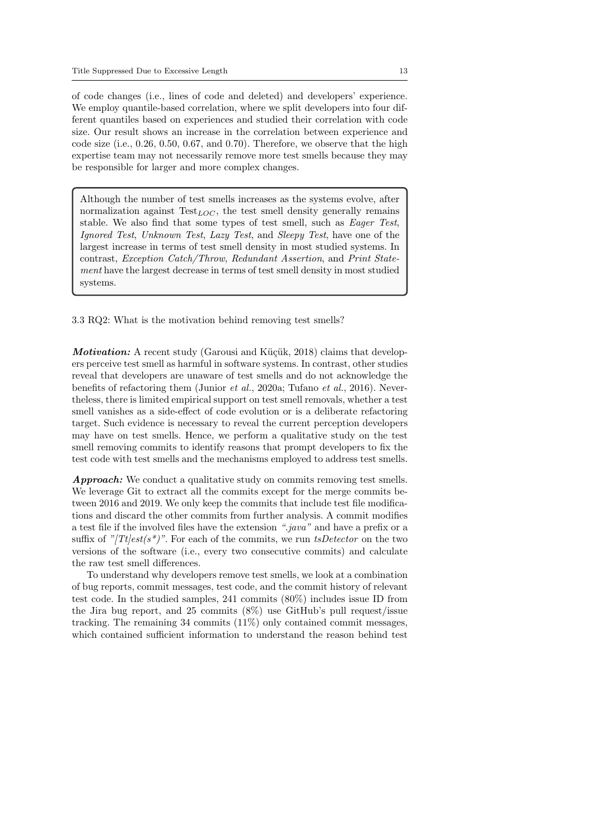of code changes (i.e., lines of code and deleted) and developers' experience. We employ quantile-based correlation, where we split developers into four different quantiles based on experiences and studied their correlation with code size. Our result shows an increase in the correlation between experience and code size (i.e., 0.26, 0.50, 0.67, and 0.70). Therefore, we observe that the high expertise team may not necessarily remove more test smells because they may be responsible for larger and more complex changes.

Although the number of test smells increases as the systems evolve, after normalization against  $Test_{LOC}$ , the test smell density generally remains stable. We also find that some types of test smell, such as Eager Test, Ignored Test, Unknown Test, Lazy Test, and Sleepy Test, have one of the largest increase in terms of test smell density in most studied systems. In contrast, Exception Catch/Throw, Redundant Assertion, and Print Statement have the largest decrease in terms of test smell density in most studied systems.

3.3 RQ2: What is the motivation behind removing test smells?

*Motivation:* A recent study (Garousi and Küçük, 2018) claims that developers perceive test smell as harmful in software systems. In contrast, other studies reveal that developers are unaware of test smells and do not acknowledge the benefits of refactoring them [\(Junior](#page-34-0) et al., [2020a;](#page-34-0) [Tufano](#page-37-2) et al., [2016\)](#page-37-2). Nevertheless, there is limited empirical support on test smell removals, whether a test smell vanishes as a side-effect of code evolution or is a deliberate refactoring target. Such evidence is necessary to reveal the current perception developers may have on test smells. Hence, we perform a qualitative study on the test smell removing commits to identify reasons that prompt developers to fix the test code with test smells and the mechanisms employed to address test smells.

Approach: We conduct a qualitative study on commits removing test smells. We leverage Git to extract all the commits except for the merge commits between 2016 and 2019. We only keep the commits that include test file modifications and discard the other commits from further analysis. A commit modifies a test file if the involved files have the extension ".java" and have a prefix or a suffix of " $|Tt|est(s^*)$ ". For each of the commits, we run tsDetector on the two versions of the software (i.e., every two consecutive commits) and calculate the raw test smell differences.

To understand why developers remove test smells, we look at a combination of bug reports, commit messages, test code, and the commit history of relevant test code. In the studied samples, 241 commits (80%) includes issue ID from the Jira bug report, and 25 commits (8%) use GitHub's pull request/issue tracking. The remaining  $34$  commits  $(11\%)$  only contained commit messages, which contained sufficient information to understand the reason behind test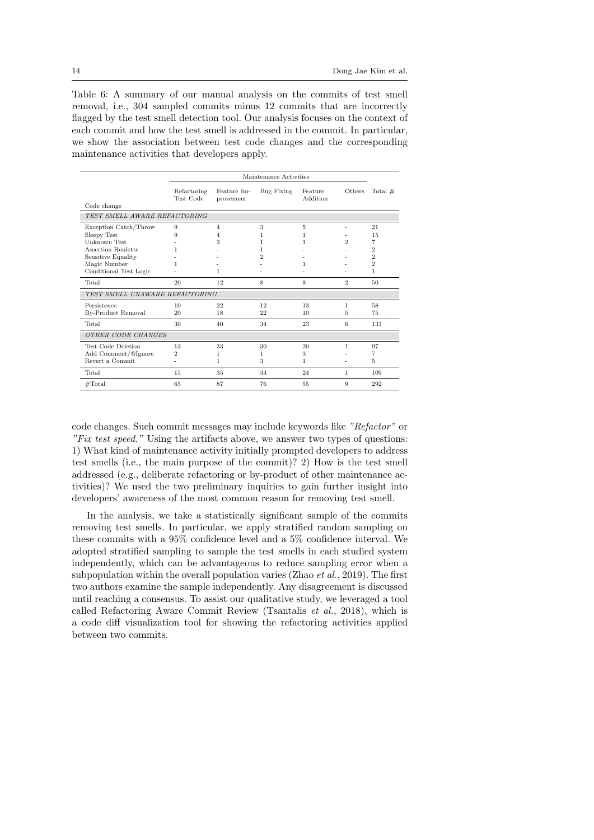<span id="page-13-0"></span>Table 6: A summary of our manual analysis on the commits of test smell removal, i.e., 304 sampled commits minus 12 commits that are incorrectly flagged by the test smell detection tool. Our analysis focuses on the context of each commit and how the test smell is addressed in the commit. In particular, we show the association between test code changes and the corresponding maintenance activities that developers apply.

|                                                                                                                  |                          |                          | Maintenance Activities |                     |                |                                                                     |
|------------------------------------------------------------------------------------------------------------------|--------------------------|--------------------------|------------------------|---------------------|----------------|---------------------------------------------------------------------|
| Code change                                                                                                      | Refactoring<br>Test Code | Feature Im-<br>provement | Bug Fixing             | Feature<br>Addition | Others         | Total $#$                                                           |
| TEST SMELL AWARE REFACTORING                                                                                     |                          |                          |                        |                     |                |                                                                     |
| Exception Catch/Throw<br>Sleepy Test<br>Unknown Test<br>Assertion Roulette<br>Sensitive Equality<br>Magic Number | 9<br>9<br>1<br>1         | 4<br>4<br>3              | 3<br>1<br>1<br>1<br>2  | 5<br>1<br>1<br>1    | $\overline{2}$ | 21<br>15<br>7<br>$\overline{2}$<br>$\overline{2}$<br>$\overline{2}$ |
| Conditional Test Logic<br>Total                                                                                  | ۰<br>20                  | 1<br>12                  | 8                      | 8                   | $\overline{2}$ | 1<br>50                                                             |
| TEST SMELL UNAWARE REFACTORING                                                                                   |                          |                          |                        |                     |                |                                                                     |
| Persistence<br>By-Product Removal                                                                                | 10<br>20                 | 22<br>18                 | 12<br>22               | 13<br>10            | 1<br>5         | 58<br>75                                                            |
| Total<br>OTHER CODE CHANGES                                                                                      | 30                       | 40                       | 34                     | 23                  | 6              | 133                                                                 |
| Test Code Deletion<br>Add Comment/@Ignore<br>Revert a Commit                                                     | 13<br>$\overline{2}$     | 33<br>1<br>1             | 30<br>1<br>3           | 20<br>3<br>1        | 1              | 97<br>7<br>5                                                        |
| Total<br>#Total                                                                                                  | 15<br>65                 | 35<br>87                 | 34<br>76               | 24<br>55            | 1<br>9         | 109<br>292                                                          |

code changes. Such commit messages may include keywords like "Refactor" or "Fix test speed." Using the artifacts above, we answer two types of questions: 1) What kind of maintenance activity initially prompted developers to address test smells (i.e., the main purpose of the commit)? 2) How is the test smell addressed (e.g., deliberate refactoring or by-product of other maintenance activities)? We used the two preliminary inquiries to gain further insight into developers' awareness of the most common reason for removing test smell.

In the analysis, we take a statistically significant sample of the commits removing test smells. In particular, we apply stratified random sampling on these commits with a 95% confidence level and a 5% confidence interval. We adopted stratified sampling to sample the test smells in each studied system independently, which can be advantageous to reduce sampling error when a subpopulation within the overall population varies [\(Zhao](#page-37-7)  $et al., 2019$ ). The first two authors examine the sample independently. Any disagreement is discussed until reaching a consensus. To assist our qualitative study, we leveraged a tool called Refactoring Aware Commit Review [\(Tsantalis](#page-37-8) et al., [2018\)](#page-37-8), which is a code diff visualization tool for showing the refactoring activities applied between two commits.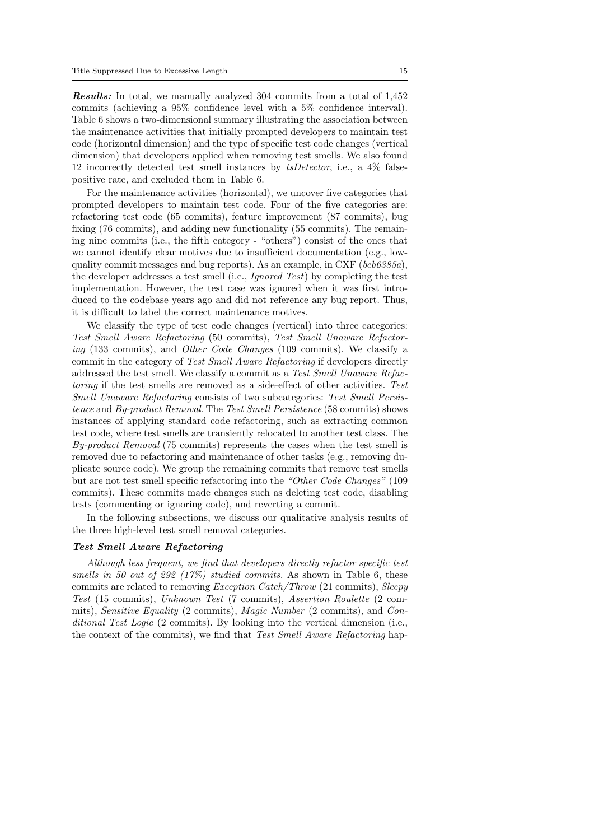Results: In total, we manually analyzed 304 commits from a total of 1,452 commits (achieving a 95% confidence level with a 5% confidence interval). Table [6](#page-13-0) shows a two-dimensional summary illustrating the association between the maintenance activities that initially prompted developers to maintain test code (horizontal dimension) and the type of specific test code changes (vertical dimension) that developers applied when removing test smells. We also found 12 incorrectly detected test smell instances by tsDetector, i.e., a 4% falsepositive rate, and excluded them in Table [6.](#page-13-0)

For the maintenance activities (horizontal), we uncover five categories that prompted developers to maintain test code. Four of the five categories are: refactoring test code (65 commits), feature improvement (87 commits), bug fixing (76 commits), and adding new functionality (55 commits). The remaining nine commits (i.e., the fifth category - "others") consist of the ones that we cannot identify clear motives due to insufficient documentation (e.g., lowquality commit messages and bug reports). As an example, in CXF ( $bcb6385a$ ), the developer addresses a test smell (i.e., Ignored Test) by completing the test implementation. However, the test case was ignored when it was first introduced to the codebase years ago and did not reference any bug report. Thus, it is difficult to label the correct maintenance motives.

We classify the type of test code changes (vertical) into three categories: Test Smell Aware Refactoring (50 commits), Test Smell Unaware Refactoring (133 commits), and Other Code Changes (109 commits). We classify a commit in the category of Test Smell Aware Refactoring if developers directly addressed the test smell. We classify a commit as a Test Smell Unaware Refactoring if the test smells are removed as a side-effect of other activities. Test Smell Unaware Refactoring consists of two subcategories: Test Smell Persistence and By-product Removal. The Test Smell Persistence (58 commits) shows instances of applying standard code refactoring, such as extracting common test code, where test smells are transiently relocated to another test class. The By-product Removal (75 commits) represents the cases when the test smell is removed due to refactoring and maintenance of other tasks (e.g., removing duplicate source code). We group the remaining commits that remove test smells but are not test smell specific refactoring into the "Other Code Changes" (109 commits). These commits made changes such as deleting test code, disabling tests (commenting or ignoring code), and reverting a commit.

In the following subsections, we discuss our qualitative analysis results of the three high-level test smell removal categories.

### Test Smell Aware Refactoring

Although less frequent, we find that developers directly refactor specific test smells in 50 out of 292 (17%) studied commits. As shown in Table [6,](#page-13-0) these commits are related to removing Exception Catch/Throw (21 commits), Sleepy Test (15 commits), Unknown Test (7 commits), Assertion Roulette (2 commits), Sensitive Equality (2 commits), Magic Number (2 commits), and Conditional Test Logic (2 commits). By looking into the vertical dimension (i.e., the context of the commits), we find that Test Smell Aware Refactoring hap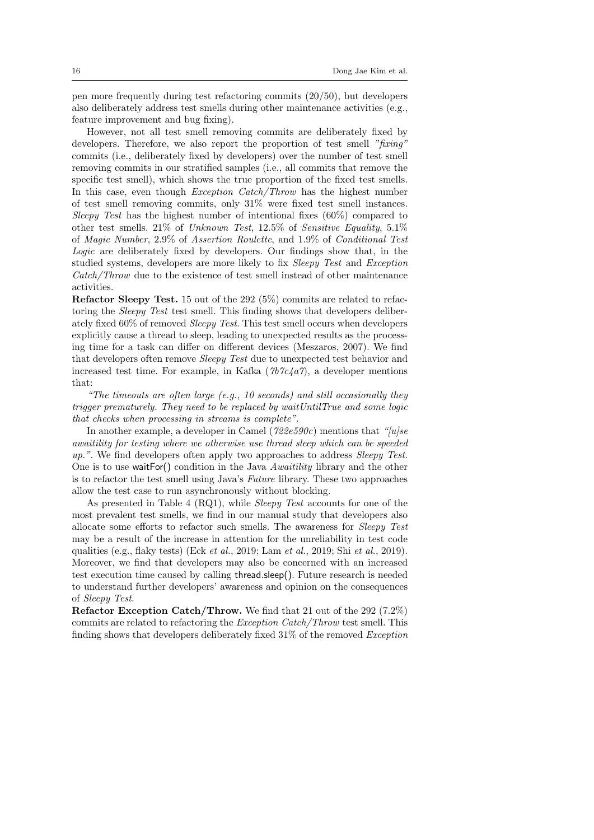pen more frequently during test refactoring commits (20/50), but developers also deliberately address test smells during other maintenance activities (e.g., feature improvement and bug fixing).

However, not all test smell removing commits are deliberately fixed by developers. Therefore, we also report the proportion of test smell "fixing" commits (i.e., deliberately fixed by developers) over the number of test smell removing commits in our stratified samples (i.e., all commits that remove the specific test smell), which shows the true proportion of the fixed test smells. In this case, even though *Exception Catch/Throw* has the highest number of test smell removing commits, only 31% were fixed test smell instances. Sleepy Test has the highest number of intentional fixes  $(60\%)$  compared to other test smells. 21% of Unknown Test, 12.5% of Sensitive Equality, 5.1% of Magic Number, 2.9% of Assertion Roulette, and 1.9% of Conditional Test Logic are deliberately fixed by developers. Our findings show that, in the studied systems, developers are more likely to fix Sleepy Test and Exception Catch/Throw due to the existence of test smell instead of other maintenance activities.

Refactor Sleepy Test. 15 out of the 292 (5%) commits are related to refactoring the Sleepy Test test smell. This finding shows that developers deliberately fixed 60% of removed Sleepy Test. This test smell occurs when developers explicitly cause a thread to sleep, leading to unexpected results as the processing time for a task can differ on different devices [\(Meszaros, 2007\)](#page-35-7). We find that developers often remove Sleepy Test due to unexpected test behavior and increased test time. For example, in Kafka  $(\partial \partial \partial \mathcal{L}_4 a \partial)$ , a developer mentions that:

"The timeouts are often large (e.g., 10 seconds) and still occasionally they trigger prematurely. They need to be replaced by waitUntilTrue and some logic that checks when processing in streams is complete".

In another example, a developer in Camel ( $722e590c$ ) mentions that "[u]se awaitility for testing where we otherwise use thread sleep which can be speeded up.". We find developers often apply two approaches to address *Sleepy Test*. One is to use waitFor() condition in the Java Awaitility library and the other is to refactor the test smell using Java's Future library. These two approaches allow the test case to run asynchronously without blocking.

As presented in Table [4](#page-10-0) (RQ1), while *Sleepy Test* accounts for one of the most prevalent test smells, we find in our manual study that developers also allocate some efforts to refactor such smells. The awareness for Sleepy Test may be a result of the increase in attention for the unreliability in test code qualities (e.g., flaky tests) (Eck [et al.](#page-34-8), [2019;](#page-34-8) Lam [et al.](#page-35-0), [2019;](#page-35-0) Shi [et al.](#page-36-6), [2019\)](#page-36-6). Moreover, we find that developers may also be concerned with an increased test execution time caused by calling thread.sleep(). Future research is needed to understand further developers' awareness and opinion on the consequences of Sleepy Test.

Refactor Exception Catch/Throw. We find that 21 out of the 292 (7.2%) commits are related to refactoring the Exception Catch/Throw test smell. This finding shows that developers deliberately fixed 31% of the removed Exception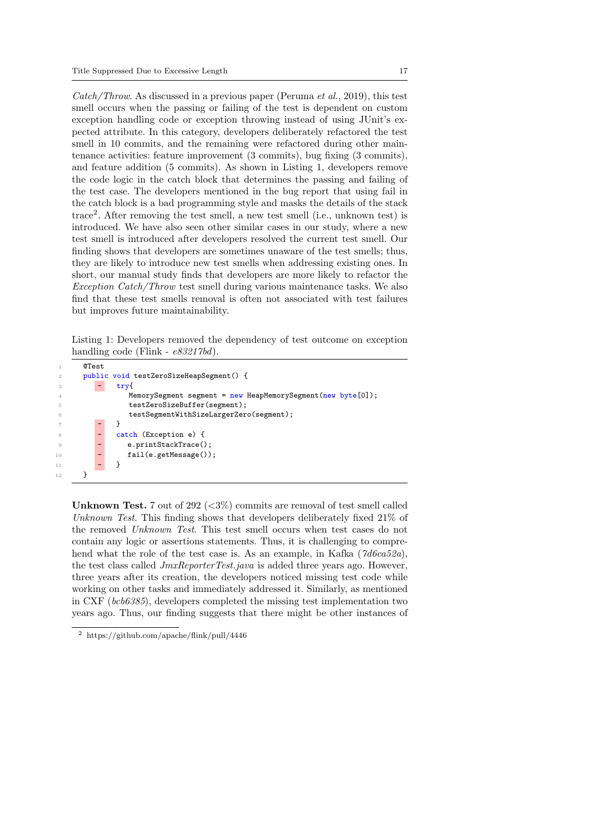$Catch/Throw.$  As discussed in a previous paper [\(Peruma](#page-36-0) *et al.*, [2019\)](#page-36-0), this test smell occurs when the passing or failing of the test is dependent on custom exception handling code or exception throwing instead of using JUnit's expected attribute. In this category, developers deliberately refactored the test smell in 10 commits, and the remaining were refactored during other maintenance activities: feature improvement (3 commits), bug fixing (3 commits), and feature addition (5 commits). As shown in Listing [1,](#page-16-0) developers remove the code logic in the catch block that determines the passing and failing of the test case. The developers mentioned in the bug report that using fail in the catch block is a bad programming style and masks the details of the stack trace<sup>[2](#page-16-1)</sup>. After removing the test smell, a new test smell (i.e., unknown test) is introduced. We have also seen other similar cases in our study, where a new test smell is introduced after developers resolved the current test smell. Our finding shows that developers are sometimes unaware of the test smells; thus, they are likely to introduce new test smells when addressing existing ones. In short, our manual study finds that developers are more likely to refactor the Exception Catch/Throw test smell during various maintenance tasks. We also find that these test smells removal is often not associated with test failures but improves future maintainability.

<span id="page-16-0"></span>Listing 1: Developers removed the dependency of test outcome on exception handling code (Flink - e83217bd).

```
@Test
2 public void testZeroSizeHeapSegment() {
3 \qquad - \qquad \text{try}\{4 MemorySegment segment = new HeapMemorySegment(new byte[0]);
5 testZeroSizeBuffer(segment);
6 testSegmentWithSizeLargerZero(segment);
\begin{array}{ccc} 7 & & & \end{array}8 - catch (Exception e) {<br>9 - e.printStackTrace()
          - e.printStackTrace();<br>- fail(e.getMessage())
10 - fail(e.getMessage());
11 - + +12 }
```
Unknown Test. 7 out of 292  $\left\langle \langle 3\% \rangle \right\rangle$  commits are removal of test smell called Unknown Test. This finding shows that developers deliberately fixed 21% of the removed Unknown Test. This test smell occurs when test cases do not contain any logic or assertions statements. Thus, it is challenging to comprehend what the role of the test case is. As an example, in Kafka  $(\gamma d6ca52a)$ , the test class called JmxReporterTest.java is added three years ago. However, three years after its creation, the developers noticed missing test code while working on other tasks and immediately addressed it. Similarly, as mentioned in CXF (bcb6385), developers completed the missing test implementation two years ago. Thus, our finding suggests that there might be other instances of

<span id="page-16-1"></span><sup>2</sup> https://github.com/apache/flink/pull/4446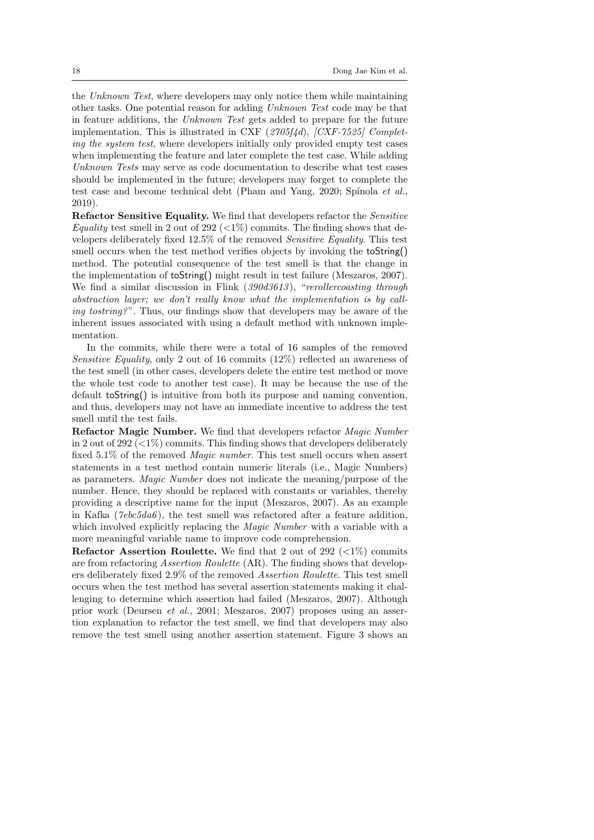the Unknown Test, where developers may only notice them while maintaining other tasks. One potential reason for adding Unknown Test code may be that in feature additions, the Unknown Test gets added to prepare for the future implementation. This is illustrated in CXF (2705f4d),  $|CXF-7525|$  Completing the system test, where developers initially only provided empty test cases when implementing the feature and later complete the test case. While adding Unknown Tests may serve as code documentation to describe what test cases should be implemented in the future; developers may forget to complete the test case and become technical debt [\(Pham and Yang, 2020;](#page-36-7) Spínola et al., [2019\)](#page-37-3).

Refactor Sensitive Equality. We find that developers refactor the Sensitive Equality test smell in 2 out of 292 ( $\langle 1\% \rangle$  commits. The finding shows that developers deliberately fixed 12.5% of the removed Sensitive Equality. This test smell occurs when the test method verifies objects by invoking the toString() method. The potential consequence of the test smell is that the change in the implementation of toString() might result in test failure [\(Meszaros, 2007\)](#page-35-7). We find a similar discussion in Flink (390d3613), "rerollercoasting through abstraction layer; we don't really know what the implementation is by calling tostring?". Thus, our findings show that developers may be aware of the inherent issues associated with using a default method with unknown implementation.

In the commits, while there were a total of 16 samples of the removed Sensitive Equality, only 2 out of 16 commits (12%) reflected an awareness of the test smell (in other cases, developers delete the entire test method or move the whole test code to another test case). It may be because the use of the default toString() is intuitive from both its purpose and naming convention, and thus, developers may not have an immediate incentive to address the test smell until the test fails.

Refactor Magic Number. We find that developers refactor Magic Number in 2 out of 292  $\left( \langle 1\% \rangle \right)$  commits. This finding shows that developers deliberately fixed 5.1% of the removed *Magic number*. This test smell occurs when assert statements in a test method contain numeric literals (i.e., Magic Numbers) as parameters. Magic Number does not indicate the meaning/purpose of the number. Hence, they should be replaced with constants or variables, thereby providing a descriptive name for the input [\(Meszaros, 2007\)](#page-35-7). As an example in Kafka ( $7ebc5da6$ ), the test smell was refactored after a feature addition, which involved explicitly replacing the *Magic Number* with a variable with a more meaningful variable name to improve code comprehension.

**Refactor Assertion Roulette.** We find that 2 out of 292  $(\langle 1\% \rangle)$  commits are from refactoring Assertion Roulette (AR). The finding shows that developers deliberately fixed 2.9% of the removed Assertion Roulette. This test smell occurs when the test method has several assertion statements making it challenging to determine which assertion had failed [\(Meszaros, 2007\)](#page-35-7). Although prior work [\(Deursen](#page-34-5) et al., [2001;](#page-34-5) [Meszaros, 2007\)](#page-35-7) proposes using an assertion explanation to refactor the test smell, we find that developers may also remove the test smell using another assertion statement. Figure [3](#page-18-0) shows an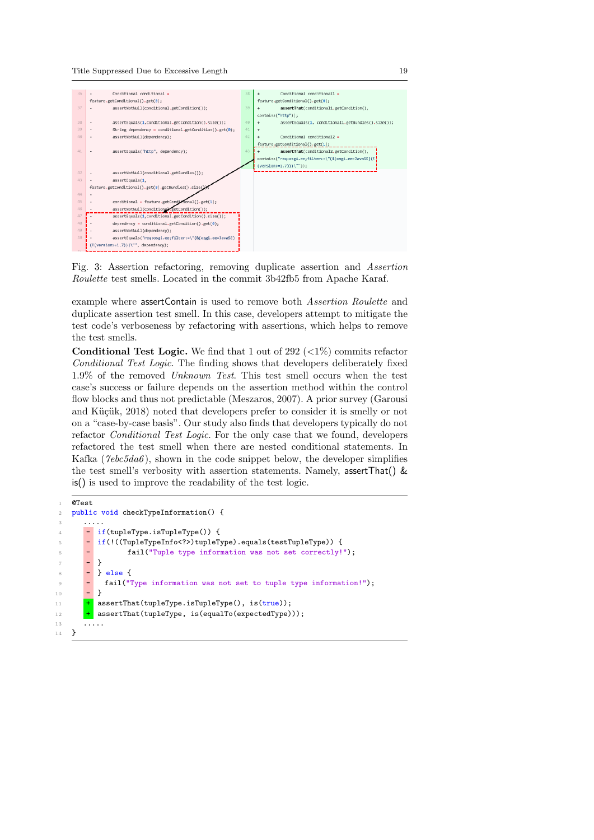<span id="page-18-0"></span>

Fig. 3: Assertion refactoring, removing duplicate assertion and Assertion Roulette test smells. Located in the commit 3b42fb5 from Apache Karaf.

example where assertContain is used to remove both Assertion Roulette and duplicate assertion test smell. In this case, developers attempt to mitigate the test code's verboseness by refactoring with assertions, which helps to remove the test smells.

**Conditional Test Logic.** We find that 1 out of 292  $\left(\langle 1\% \rangle \right)$  commits refactor Conditional Test Logic. The finding shows that developers deliberately fixed 1.9% of the removed Unknown Test. This test smell occurs when the test case's success or failure depends on the assertion method within the control flow blocks and thus not predictable [\(Meszaros, 2007\)](#page-35-7). A prior survey [\(Garousi](#page-34-2) and Küçük, 2018) noted that developers prefer to consider it is smelly or not on a "case-by-case basis". Our study also finds that developers typically do not refactor Conditional Test Logic. For the only case that we found, developers refactored the test smell when there are nested conditional statements. In Kafka ( $7ebc5da6$ ), shown in the code snippet below, the developer simplifies the test smell's verbosity with assertion statements. Namely, assertThat() & is() is used to improve the readability of the test logic.

```
1 @Test
2 public void checkTypeInformation() {
 3 .....
 4 \qquad - \text{if(tupleType.isTupleType())} {
5 - if(!((TupleTypeInfo<?>)tupleType).equals(testTupleType)) {
6 - fail("Tuple type information was not set correctly!");
       - }
8 \qquad - \} else {
9 - fail("Type information was not set to tuple type information!");
10 \qquad - \qquad \}11 + assertThat(tupleType.isTupleType(), is(true));
12 + assertThat(tupleType, is(equalTo(expectedType)));
13 .....
14 }
```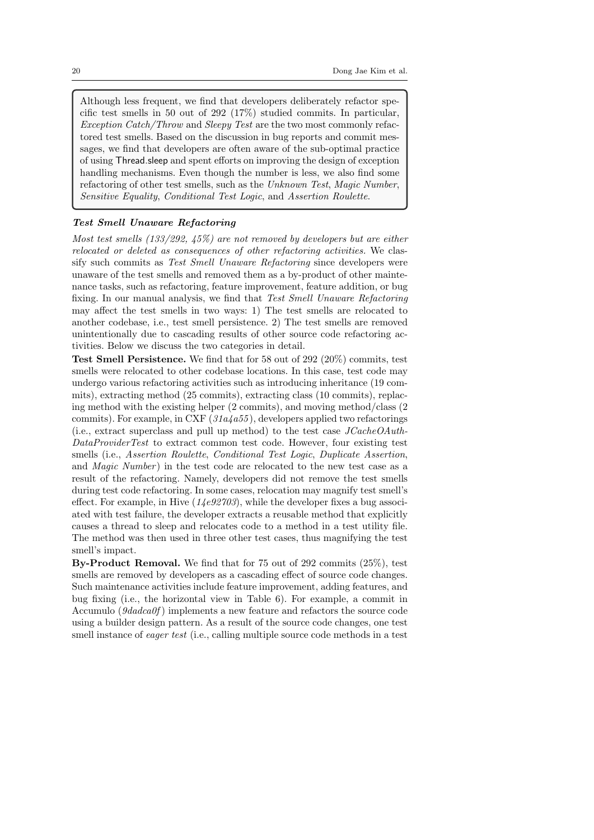Although less frequent, we find that developers deliberately refactor specific test smells in 50 out of 292 (17%) studied commits. In particular, Exception Catch/Throw and Sleepy Test are the two most commonly refactored test smells. Based on the discussion in bug reports and commit messages, we find that developers are often aware of the sub-optimal practice of using Thread.sleep and spent efforts on improving the design of exception handling mechanisms. Even though the number is less, we also find some refactoring of other test smells, such as the Unknown Test, Magic Number, Sensitive Equality, Conditional Test Logic, and Assertion Roulette.

### Test Smell Unaware Refactoring

Most test smells (133/292, 45%) are not removed by developers but are either relocated or deleted as consequences of other refactoring activities. We classify such commits as Test Smell Unaware Refactoring since developers were unaware of the test smells and removed them as a by-product of other maintenance tasks, such as refactoring, feature improvement, feature addition, or bug fixing. In our manual analysis, we find that Test Smell Unaware Refactoring may affect the test smells in two ways: 1) The test smells are relocated to another codebase, i.e., test smell persistence. 2) The test smells are removed unintentionally due to cascading results of other source code refactoring activities. Below we discuss the two categories in detail.

Test Smell Persistence. We find that for 58 out of 292 (20%) commits, test smells were relocated to other codebase locations. In this case, test code may undergo various refactoring activities such as introducing inheritance (19 commits), extracting method (25 commits), extracting class (10 commits), replacing method with the existing helper (2 commits), and moving method/class (2 commits). For example, in CXF  $(31a/4a55)$ , developers applied two refactorings (i.e., extract superclass and pull up method) to the test case  $JCacheOAuthor$ DataProviderTest to extract common test code. However, four existing test smells (i.e., Assertion Roulette, Conditional Test Logic, Duplicate Assertion, and *Magic Number*) in the test code are relocated to the new test case as a result of the refactoring. Namely, developers did not remove the test smells during test code refactoring. In some cases, relocation may magnify test smell's effect. For example, in Hive  $(14e92703)$ , while the developer fixes a bug associated with test failure, the developer extracts a reusable method that explicitly causes a thread to sleep and relocates code to a method in a test utility file. The method was then used in three other test cases, thus magnifying the test smell's impact.

By-Product Removal. We find that for 75 out of 292 commits (25%), test smells are removed by developers as a cascading effect of source code changes. Such maintenance activities include feature improvement, adding features, and bug fixing (i.e., the horizontal view in Table [6\)](#page-13-0). For example, a commit in Accumulo  $(\theta dada\theta f)$  implements a new feature and refactors the source code using a builder design pattern. As a result of the source code changes, one test smell instance of *eager test* (i.e., calling multiple source code methods in a test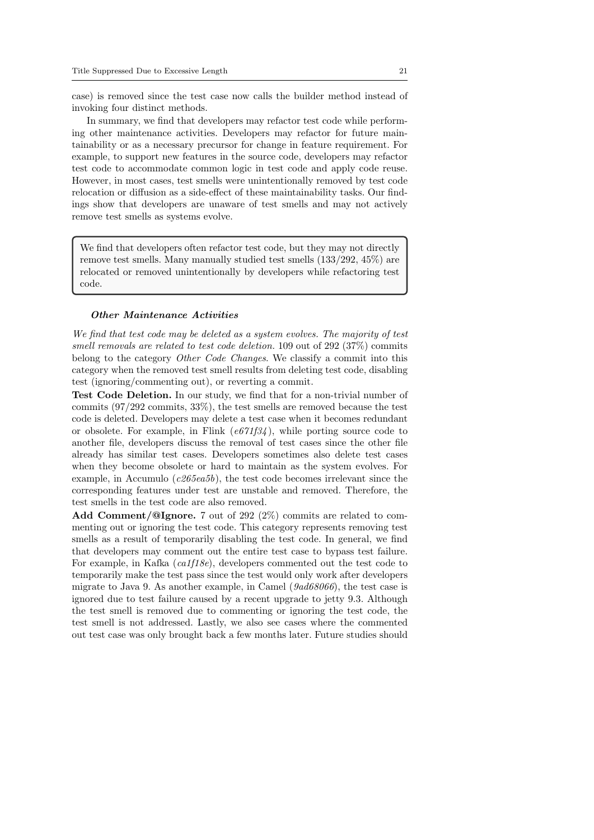case) is removed since the test case now calls the builder method instead of invoking four distinct methods.

In summary, we find that developers may refactor test code while performing other maintenance activities. Developers may refactor for future maintainability or as a necessary precursor for change in feature requirement. For example, to support new features in the source code, developers may refactor test code to accommodate common logic in test code and apply code reuse. However, in most cases, test smells were unintentionally removed by test code relocation or diffusion as a side-effect of these maintainability tasks. Our findings show that developers are unaware of test smells and may not actively remove test smells as systems evolve.

We find that developers often refactor test code, but they may not directly remove test smells. Many manually studied test smells (133/292, 45%) are relocated or removed unintentionally by developers while refactoring test code.

### Other Maintenance Activities

We find that test code may be deleted as a system evolves. The majority of test smell removals are related to test code deletion. 109 out of 292 (37%) commits belong to the category Other Code Changes. We classify a commit into this category when the removed test smell results from deleting test code, disabling test (ignoring/commenting out), or reverting a commit.

Test Code Deletion. In our study, we find that for a non-trivial number of commits (97/292 commits, 33%), the test smells are removed because the test code is deleted. Developers may delete a test case when it becomes redundant or obsolete. For example, in Flink  $(e671f34)$ , while porting source code to another file, developers discuss the removal of test cases since the other file already has similar test cases. Developers sometimes also delete test cases when they become obsolete or hard to maintain as the system evolves. For example, in Accumulo  $(c265ea5b)$ , the test code becomes irrelevant since the corresponding features under test are unstable and removed. Therefore, the test smells in the test code are also removed.

Add Comment/@Ignore. 7 out of 292 (2%) commits are related to commenting out or ignoring the test code. This category represents removing test smells as a result of temporarily disabling the test code. In general, we find that developers may comment out the entire test case to bypass test failure. For example, in Kafka (ca1f18e), developers commented out the test code to temporarily make the test pass since the test would only work after developers migrate to Java 9. As another example, in Camel  $(gad68066)$ , the test case is ignored due to test failure caused by a recent upgrade to jetty 9.3. Although the test smell is removed due to commenting or ignoring the test code, the test smell is not addressed. Lastly, we also see cases where the commented out test case was only brought back a few months later. Future studies should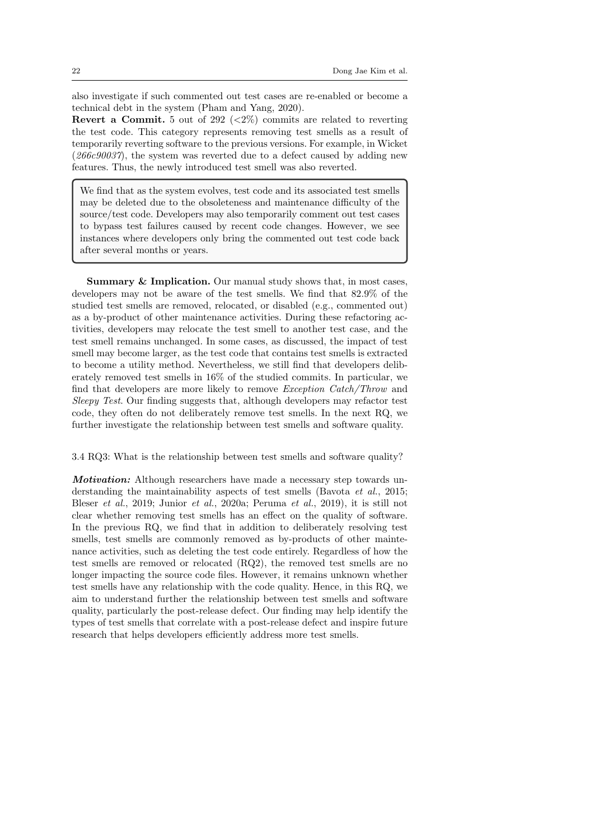also investigate if such commented out test cases are re-enabled or become a technical debt in the system [\(Pham and Yang, 2020\)](#page-36-7).

**Revert a Commit.** 5 out of 292  $\langle 2\% \rangle$  commits are related to reverting the test code. This category represents removing test smells as a result of temporarily reverting software to the previous versions. For example, in Wicket  $(266c90037)$ , the system was reverted due to a defect caused by adding new features. Thus, the newly introduced test smell was also reverted.

We find that as the system evolves, test code and its associated test smells may be deleted due to the obsoleteness and maintenance difficulty of the source/test code. Developers may also temporarily comment out test cases to bypass test failures caused by recent code changes. However, we see instances where developers only bring the commented out test code back after several months or years.

Summary & Implication. Our manual study shows that, in most cases, developers may not be aware of the test smells. We find that 82.9% of the studied test smells are removed, relocated, or disabled (e.g., commented out) as a by-product of other maintenance activities. During these refactoring activities, developers may relocate the test smell to another test case, and the test smell remains unchanged. In some cases, as discussed, the impact of test smell may become larger, as the test code that contains test smells is extracted to become a utility method. Nevertheless, we still find that developers deliberately removed test smells in 16% of the studied commits. In particular, we find that developers are more likely to remove Exception Catch/Throw and Sleepy Test. Our finding suggests that, although developers may refactor test code, they often do not deliberately remove test smells. In the next RQ, we further investigate the relationship between test smells and software quality.

3.4 RQ3: What is the relationship between test smells and software quality?

Motivation: Although researchers have made a necessary step towards un-derstanding the maintainability aspects of test smells [\(Bavota](#page-33-1) *et al.*, [2015;](#page-33-1) [Bleser](#page-34-6) et al., [2019;](#page-34-6) [Junior](#page-34-0) et al., [2020a;](#page-34-0) [Peruma](#page-36-0) et al., [2019\)](#page-36-0), it is still not clear whether removing test smells has an effect on the quality of software. In the previous RQ, we find that in addition to deliberately resolving test smells, test smells are commonly removed as by-products of other maintenance activities, such as deleting the test code entirely. Regardless of how the test smells are removed or relocated (RQ2), the removed test smells are no longer impacting the source code files. However, it remains unknown whether test smells have any relationship with the code quality. Hence, in this RQ, we aim to understand further the relationship between test smells and software quality, particularly the post-release defect. Our finding may help identify the types of test smells that correlate with a post-release defect and inspire future research that helps developers efficiently address more test smells.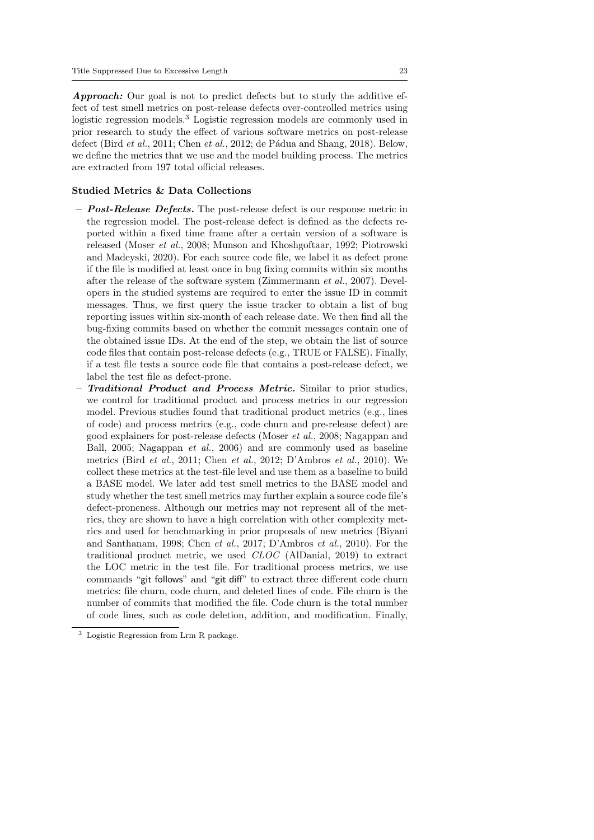Approach: Our goal is not to predict defects but to study the additive effect of test smell metrics on post-release defects over-controlled metrics using logistic regression models.[3](#page-22-0) Logistic regression models are commonly used in prior research to study the effect of various software metrics on post-release defect (Bird [et al.](#page-33-6), [2011;](#page-33-6) [Chen](#page-34-9) et al., [2012;](#page-34-9) de Pádua and Shang, 2018). Below, we define the metrics that we use and the model building process. The metrics are extracted from 197 total official releases.

### Studied Metrics & Data Collections

- $Post-Release Defects.$  The post-release defect is our response metric in the regression model. The post-release defect is defined as the defects reported within a fixed time frame after a certain version of a software is released [\(Moser](#page-35-2) et al., [2008;](#page-35-2) [Munson and Khoshgoftaar, 1992;](#page-35-3) [Piotrowski](#page-36-8) [and Madeyski, 2020\)](#page-36-8). For each source code file, we label it as defect prone if the file is modified at least once in bug fixing commits within six months after the release of the software system [\(Zimmermann](#page-37-9) et al., [2007\)](#page-37-9). Developers in the studied systems are required to enter the issue ID in commit messages. Thus, we first query the issue tracker to obtain a list of bug reporting issues within six-month of each release date. We then find all the bug-fixing commits based on whether the commit messages contain one of the obtained issue IDs. At the end of the step, we obtain the list of source code files that contain post-release defects (e.g., TRUE or FALSE). Finally, if a test file tests a source code file that contains a post-release defect, we label the test file as defect-prone.
- $-$  Traditional Product and Process Metric. Similar to prior studies, we control for traditional product and process metrics in our regression model. Previous studies found that traditional product metrics (e.g., lines of code) and process metrics (e.g., code churn and pre-release defect) are good explainers for post-release defects [\(Moser](#page-35-2) et al., [2008;](#page-35-2) [Nagappan and](#page-35-8) [Ball, 2005;](#page-35-8) [Nagappan](#page-35-9) et al., [2006\)](#page-35-9) and are commonly used as baseline metrics (Bird [et al.](#page-33-6), [2011;](#page-33-6) [Chen](#page-34-9) et al., [2012;](#page-34-9) [D'Ambros](#page-34-10) et al., [2010\)](#page-34-10). We collect these metrics at the test-file level and use them as a baseline to build a BASE model. We later add test smell metrics to the BASE model and study whether the test smell metrics may further explain a source code file's defect-proneness. Although our metrics may not represent all of the metrics, they are shown to have a high correlation with other complexity metrics and used for benchmarking in prior proposals of new metrics [\(Biyani](#page-33-7) [and Santhanam, 1998;](#page-33-7) [Chen](#page-34-3) et al., [2017;](#page-34-3) [D'Ambros](#page-34-10) et al., [2010\)](#page-34-10). For the traditional product metric, we used CLOC [\(AlDanial, 2019\)](#page-33-8) to extract the LOC metric in the test file. For traditional process metrics, we use commands "git follows" and "git diff" to extract three different code churn metrics: file churn, code churn, and deleted lines of code. File churn is the number of commits that modified the file. Code churn is the total number of code lines, such as code deletion, addition, and modification. Finally,

<span id="page-22-0"></span>Logistic Regression from Lrm R package.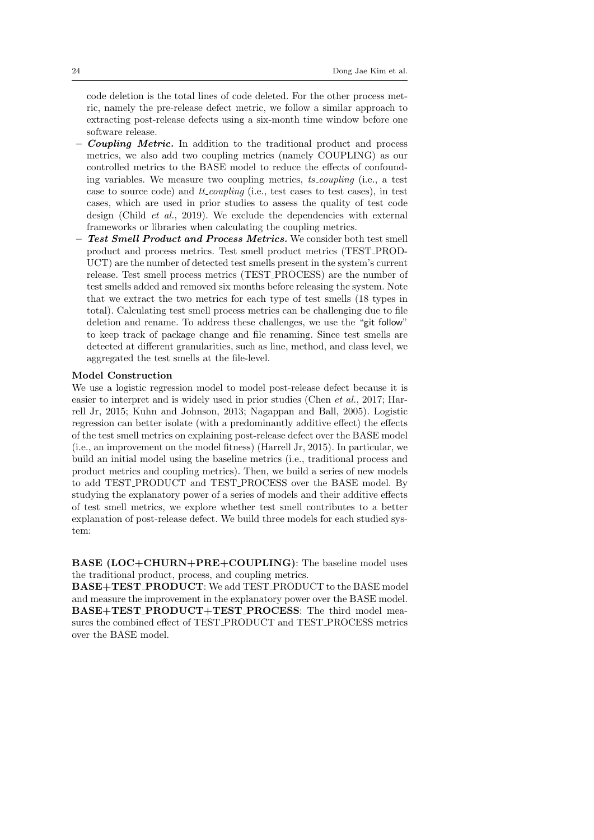code deletion is the total lines of code deleted. For the other process metric, namely the pre-release defect metric, we follow a similar approach to extracting post-release defects using a six-month time window before one software release.

- Coupling Metric. In addition to the traditional product and process metrics, we also add two coupling metrics (namely COUPLING) as our controlled metrics to the BASE model to reduce the effects of confounding variables. We measure two coupling metrics, ts coupling (i.e., a test case to source code) and  $tt\_coupling$  (i.e., test cases to test cases), in test cases, which are used in prior studies to assess the quality of test code design [\(Child](#page-34-11) *et al.*, [2019\)](#page-34-11). We exclude the dependencies with external frameworks or libraries when calculating the coupling metrics.
- Test Smell Product and Process Metrics. We consider both test smell product and process metrics. Test smell product metrics (TEST PROD-UCT) are the number of detected test smells present in the system's current release. Test smell process metrics (TEST PROCESS) are the number of test smells added and removed six months before releasing the system. Note that we extract the two metrics for each type of test smells (18 types in total). Calculating test smell process metrics can be challenging due to file deletion and rename. To address these challenges, we use the "git follow" to keep track of package change and file renaming. Since test smells are detected at different granularities, such as line, method, and class level, we aggregated the test smells at the file-level.

### Model Construction

We use a logistic regression model to model post-release defect because it is easier to interpret and is widely used in prior studies [\(Chen](#page-34-3) et al., [2017;](#page-34-3) [Har](#page-34-12)[rell Jr, 2015;](#page-34-12) [Kuhn and Johnson, 2013;](#page-35-10) [Nagappan and Ball, 2005\)](#page-35-8). Logistic regression can better isolate (with a predominantly additive effect) the effects of the test smell metrics on explaining post-release defect over the BASE model (i.e., an improvement on the model fitness) [\(Harrell Jr, 2015\)](#page-34-12). In particular, we build an initial model using the baseline metrics (i.e., traditional process and product metrics and coupling metrics). Then, we build a series of new models to add TEST PRODUCT and TEST PROCESS over the BASE model. By studying the explanatory power of a series of models and their additive effects of test smell metrics, we explore whether test smell contributes to a better explanation of post-release defect. We build three models for each studied system:

BASE (LOC+CHURN+PRE+COUPLING): The baseline model uses the traditional product, process, and coupling metrics.

BASE+TEST PRODUCT: We add TEST PRODUCT to the BASE model and measure the improvement in the explanatory power over the BASE model. BASE+TEST PRODUCT+TEST PROCESS: The third model measures the combined effect of TEST PRODUCT and TEST PROCESS metrics over the BASE model.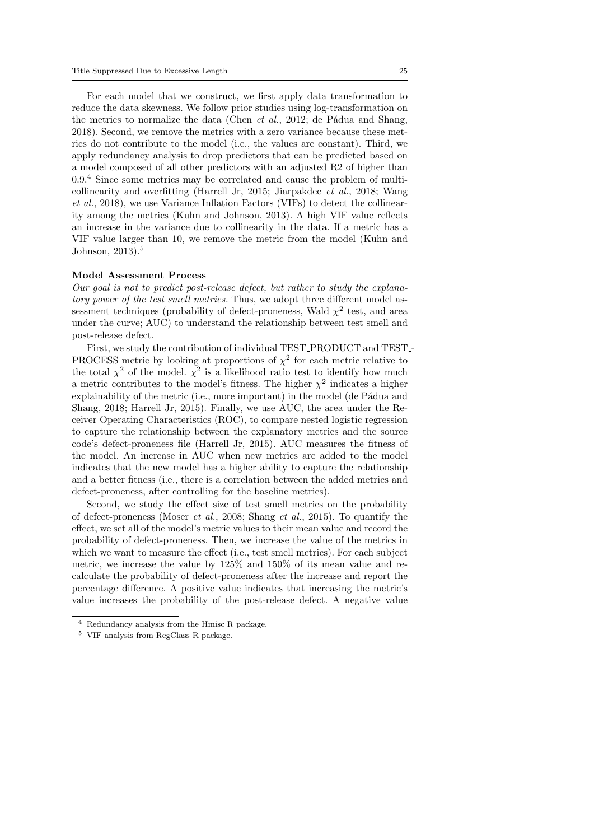For each model that we construct, we first apply data transformation to reduce the data skewness. We follow prior studies using log-transformation on the metrics to normalize the data [\(Chen](#page-34-9) *et al.*, [2012;](#page-34-9) de Pádua and Shang, [2018\)](#page-34-4). Second, we remove the metrics with a zero variance because these metrics do not contribute to the model (i.e., the values are constant). Third, we apply redundancy analysis to drop predictors that can be predicted based on a model composed of all other predictors with an adjusted R2 of higher than 0.9.[4](#page-24-0) Since some metrics may be correlated and cause the problem of multicollinearity and overfitting [\(Harrell Jr, 2015;](#page-34-12) [Jiarpakdee](#page-34-13) et al., [2018;](#page-34-13) [Wang](#page-37-10) [et al.](#page-37-10), [2018\)](#page-37-10), we use Variance Inflation Factors (VIFs) to detect the collinearity among the metrics [\(Kuhn and Johnson, 2013\)](#page-35-10). A high VIF value reflects an increase in the variance due to collinearity in the data. If a metric has a VIF value larger than 10, we remove the metric from the model [\(Kuhn and](#page-35-10) [Johnson, 2013\)](#page-35-10).<sup>[5](#page-24-1)</sup>

#### Model Assessment Process

Our goal is not to predict post-release defect, but rather to study the explanatory power of the test smell metrics. Thus, we adopt three different model assessment techniques (probability of defect-proneness, Wald  $\chi^2$  test, and area under the curve; AUC) to understand the relationship between test smell and post-release defect.

First, we study the contribution of individual TEST PRODUCT and TEST - PROCESS metric by looking at proportions of  $\chi^2$  for each metric relative to the total  $\chi^2$  of the model.  $\chi^2$  is a likelihood ratio test to identify how much a metric contributes to the model's fitness. The higher  $\chi^2$  indicates a higher explainability of the metric (i.e., more important) in the model (de Pádua and [Shang, 2018;](#page-34-4) [Harrell Jr, 2015\)](#page-34-12). Finally, we use AUC, the area under the Receiver Operating Characteristics (ROC), to compare nested logistic regression to capture the relationship between the explanatory metrics and the source code's defect-proneness file [\(Harrell Jr, 2015\)](#page-34-12). AUC measures the fitness of the model. An increase in AUC when new metrics are added to the model indicates that the new model has a higher ability to capture the relationship and a better fitness (i.e., there is a correlation between the added metrics and defect-proneness, after controlling for the baseline metrics).

Second, we study the effect size of test smell metrics on the probability of defect-proneness [\(Moser](#page-35-2) et al., [2008;](#page-35-2) [Shang](#page-36-9) et al., [2015\)](#page-36-9). To quantify the effect, we set all of the model's metric values to their mean value and record the probability of defect-proneness. Then, we increase the value of the metrics in which we want to measure the effect (i.e., test smell metrics). For each subject metric, we increase the value by 125% and 150% of its mean value and recalculate the probability of defect-proneness after the increase and report the percentage difference. A positive value indicates that increasing the metric's value increases the probability of the post-release defect. A negative value

<span id="page-24-0"></span><sup>4</sup> Redundancy analysis from the Hmisc R package.

<span id="page-24-1"></span><sup>5</sup> VIF analysis from RegClass R package.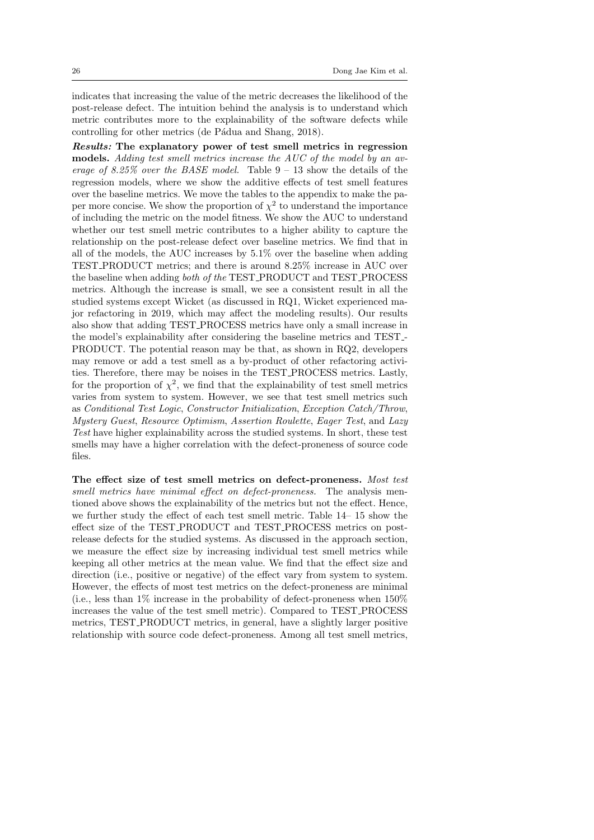indicates that increasing the value of the metric decreases the likelihood of the post-release defect. The intuition behind the analysis is to understand which metric contributes more to the explainability of the software defects while controlling for other metrics (de Pádua and Shang, 2018).

Results: The explanatory power of test smell metrics in regression models. Adding test smell metrics increase the AUC of the model by an average of 8.25% over the BASE model. Table  $9-13$  show the details of the regression models, where we show the additive effects of test smell features over the baseline metrics. We move the tables to the appendix to make the paper more concise. We show the proportion of  $\chi^2$  to understand the importance of including the metric on the model fitness. We show the AUC to understand whether our test smell metric contributes to a higher ability to capture the relationship on the post-release defect over baseline metrics. We find that in all of the models, the AUC increases by 5.1% over the baseline when adding TEST PRODUCT metrics; and there is around 8.25% increase in AUC over the baseline when adding both of the TEST PRODUCT and TEST PROCESS metrics. Although the increase is small, we see a consistent result in all the studied systems except Wicket (as discussed in RQ1, Wicket experienced major refactoring in 2019, which may affect the modeling results). Our results also show that adding TEST PROCESS metrics have only a small increase in the model's explainability after considering the baseline metrics and TEST - PRODUCT. The potential reason may be that, as shown in RQ2, developers may remove or add a test smell as a by-product of other refactoring activities. Therefore, there may be noises in the TEST PROCESS metrics. Lastly, for the proportion of  $\chi^2$ , we find that the explainability of test smell metrics varies from system to system. However, we see that test smell metrics such as Conditional Test Logic, Constructor Initialization, Exception Catch/Throw, Mystery Guest, Resource Optimism, Assertion Roulette, Eager Test, and Lazy Test have higher explainability across the studied systems. In short, these test smells may have a higher correlation with the defect-proneness of source code files.

The effect size of test smell metrics on defect-proneness. Most test smell metrics have minimal effect on defect-proneness. The analysis mentioned above shows the explainability of the metrics but not the effect. Hence, we further study the effect of each test smell metric. Table [14–](#page-45-0) [15](#page-46-0) show the effect size of the TEST PRODUCT and TEST PROCESS metrics on postrelease defects for the studied systems. As discussed in the approach section, we measure the effect size by increasing individual test smell metrics while keeping all other metrics at the mean value. We find that the effect size and direction (i.e., positive or negative) of the effect vary from system to system. However, the effects of most test metrics on the defect-proneness are minimal (i.e., less than 1% increase in the probability of defect-proneness when 150% increases the value of the test smell metric). Compared to TEST PROCESS metrics, TEST PRODUCT metrics, in general, have a slightly larger positive relationship with source code defect-proneness. Among all test smell metrics,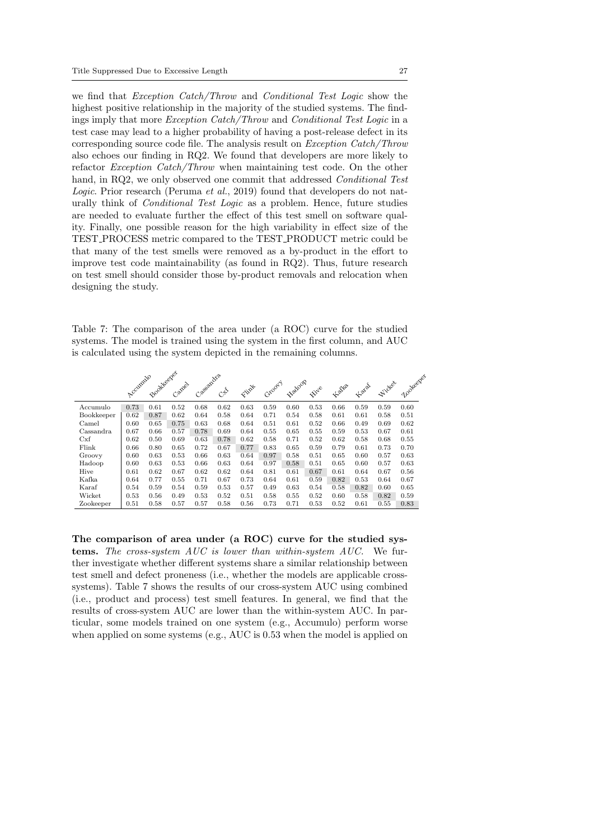we find that Exception Catch/Throw and Conditional Test Logic show the highest positive relationship in the majority of the studied systems. The findings imply that more Exception Catch/Throw and Conditional Test Logic in a test case may lead to a higher probability of having a post-release defect in its corresponding source code file. The analysis result on Exception Catch/Throw also echoes our finding in RQ2. We found that developers are more likely to refactor Exception Catch/Throw when maintaining test code. On the other hand, in RQ2, we only observed one commit that addressed *Conditional Test* Logic. Prior research [\(Peruma](#page-36-0) et al., [2019\)](#page-36-0) found that developers do not naturally think of Conditional Test Logic as a problem. Hence, future studies are needed to evaluate further the effect of this test smell on software quality. Finally, one possible reason for the high variability in effect size of the TEST PROCESS metric compared to the TEST PRODUCT metric could be that many of the test smells were removed as a by-product in the effort to improve test code maintainability (as found in RQ2). Thus, future research on test smell should consider those by-product removals and relocation when designing the study.

<span id="page-26-0"></span>Table 7: The comparison of the area under (a ROC) curve for the studied systems. The model is trained using the system in the first column, and AUC is calculated using the system depicted in the remaining columns.

|            | Accumulo | Bookkeeper | Cannel | Cassandra | $C^{\hat{\triangleright}}$ | Film | Groom | Fladoop | <b>Find</b> | <b>Halled</b> | Karak | Wicker | Zookeeper |
|------------|----------|------------|--------|-----------|----------------------------|------|-------|---------|-------------|---------------|-------|--------|-----------|
| Accumulo   | 0.73     | 0.61       | 0.52   | 0.68      | 0.62                       | 0.63 | 0.59  | 0.60    | 0.53        | 0.66          | 0.59  | 0.59   | 0.60      |
| Bookkeeper | 0.62     | 0.87       | 0.62   | 0.64      | 0.58                       | 0.64 | 0.71  | 0.54    | 0.58        | 0.61          | 0.61  | 0.58   | 0.51      |
| Camel      | 0.60     | 0.65       | 0.75   | 0.63      | 0.68                       | 0.64 | 0.51  | 0.61    | 0.52        | 0.66          | 0.49  | 0.69   | 0.62      |
| Cassandra  | 0.67     | 0.66       | 0.57   | 0.78      | 0.69                       | 0.64 | 0.55  | 0.65    | 0.55        | 0.59          | 0.53  | 0.67   | 0.61      |
| Cxf        | 0.62     | 0.50       | 0.69   | 0.63      | 0.78                       | 0.62 | 0.58  | 0.71    | 0.52        | 0.62          | 0.58  | 0.68   | 0.55      |
| Flink      | 0.66     | 0.80       | 0.65   | 0.72      | 0.67                       | 0.77 | 0.83  | 0.65    | 0.59        | 0.79          | 0.61  | 0.73   | 0.70      |
| Groovy     | 0.60     | 0.63       | 0.53   | 0.66      | 0.63                       | 0.64 | 0.97  | 0.58    | 0.51        | 0.65          | 0.60  | 0.57   | 0.63      |
| Hadoop     | 0.60     | 0.63       | 0.53   | 0.66      | 0.63                       | 0.64 | 0.97  | 0.58    | 0.51        | 0.65          | 0.60  | 0.57   | 0.63      |
| Hive       | 0.61     | 0.62       | 0.67   | 0.62      | 0.62                       | 0.64 | 0.81  | 0.61    | 0.67        | 0.61          | 0.64  | 0.67   | 0.56      |
| Kafka      | 0.64     | 0.77       | 0.55   | 0.71      | 0.67                       | 0.73 | 0.64  | 0.61    | 0.59        | 0.82          | 0.53  | 0.64   | 0.67      |
| Karaf      | 0.54     | 0.59       | 0.54   | 0.59      | 0.53                       | 0.57 | 0.49  | 0.63    | 0.54        | 0.58          | 0.82  | 0.60   | 0.65      |
| Wicket     | 0.53     | 0.56       | 0.49   | 0.53      | 0.52                       | 0.51 | 0.58  | 0.55    | 0.52        | 0.60          | 0.58  | 0.82   | 0.59      |
| Zookeeper  | 0.51     | 0.58       | 0.57   | 0.57      | 0.58                       | 0.56 | 0.73  | 0.71    | 0.53        | 0.52          | 0.61  | 0.55   | 0.83      |

The comparison of area under (a ROC) curve for the studied systems. The cross-system AUC is lower than within-system AUC. We further investigate whether different systems share a similar relationship between test smell and defect proneness (i.e., whether the models are applicable crosssystems). Table [7](#page-26-0) shows the results of our cross-system AUC using combined (i.e., product and process) test smell features. In general, we find that the results of cross-system AUC are lower than the within-system AUC. In particular, some models trained on one system (e.g., Accumulo) perform worse when applied on some systems (e.g., AUC is 0.53 when the model is applied on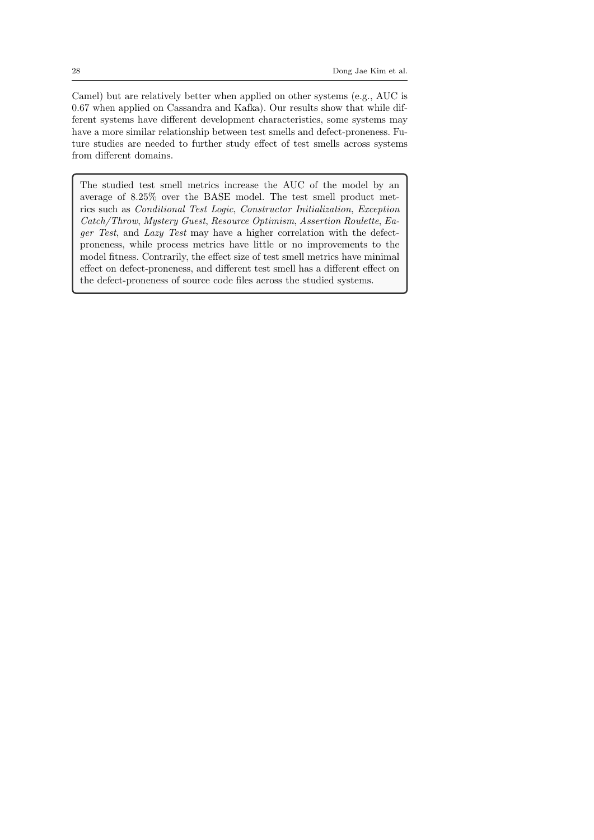Camel) but are relatively better when applied on other systems (e.g., AUC is 0.67 when applied on Cassandra and Kafka). Our results show that while different systems have different development characteristics, some systems may have a more similar relationship between test smells and defect-proneness. Future studies are needed to further study effect of test smells across systems from different domains.

The studied test smell metrics increase the AUC of the model by an average of 8.25% over the BASE model. The test smell product metrics such as Conditional Test Logic, Constructor Initialization, Exception Catch/Throw, Mystery Guest, Resource Optimism, Assertion Roulette, Eager Test, and Lazy Test may have a higher correlation with the defectproneness, while process metrics have little or no improvements to the model fitness. Contrarily, the effect size of test smell metrics have minimal effect on defect-proneness, and different test smell has a different effect on the defect-proneness of source code files across the studied systems.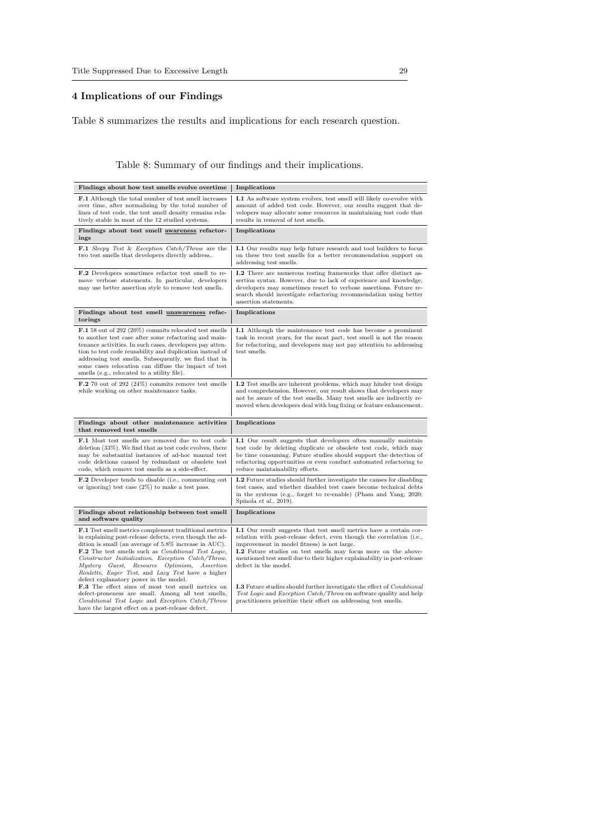# <span id="page-28-0"></span>4 Implications of our Findings

Table [8](#page-28-1) summarizes the results and implications for each research question.

# Table 8: Summary of our findings and their implications.

<span id="page-28-1"></span>

| Findings about how test smells evolve overtime                                                                                                                                                                                                                                                                                                                                                                                                         | Implications                                                                                                                                                                                                                                                                                                                                                            |
|--------------------------------------------------------------------------------------------------------------------------------------------------------------------------------------------------------------------------------------------------------------------------------------------------------------------------------------------------------------------------------------------------------------------------------------------------------|-------------------------------------------------------------------------------------------------------------------------------------------------------------------------------------------------------------------------------------------------------------------------------------------------------------------------------------------------------------------------|
| F.1 Although the total number of test smell increases<br>over time, after normalizing by the total number of<br>lines of test code, the test smell density remains rela-<br>tively stable in most of the 12 studied systems.                                                                                                                                                                                                                           | I.1 As software system evolves, test smell will likely co-evolve with<br>amount of added test code. However, our results suggest that de-<br>velopers may allocate some resources in maintaining test code that<br>results in removal of test smells.                                                                                                                   |
| Findings about test smell awareness refactor-<br>ings                                                                                                                                                                                                                                                                                                                                                                                                  | Implications                                                                                                                                                                                                                                                                                                                                                            |
| <b>F.1</b> Sleepy Test & Exception Catch/Throw are the<br>two test smells that developers directly address                                                                                                                                                                                                                                                                                                                                             | <b>I.1</b> Our results may help future research and tool builders to focus<br>on these two test smells for a better recommendation support on<br>addressing test smells.                                                                                                                                                                                                |
| <b>F.2</b> Developers sometimes refactor test smell to re-<br>move verbose statements. In particular, developers<br>may use better assertion style to remove test smells.                                                                                                                                                                                                                                                                              | <b>I.2</b> There are numerous testing frameworks that offer distinct as-<br>sertion syntax. However, due to lack of experience and knowledge,<br>developers may sometimes resort to verbose assertions. Future re-<br>search should investigate refactoring recommendation using better<br>assertion statements.                                                        |
| Findings about test smell unawareness refac-<br>torings                                                                                                                                                                                                                                                                                                                                                                                                | Implications                                                                                                                                                                                                                                                                                                                                                            |
| $\mathbf{F.1}$ 58 out of 292 (20%) commits relocated test smells<br>to another test case after some refactoring and main-<br>tenance activities. In such cases, developers pay atten-<br>tion to test code reusability and duplication instead of<br>addressing test smells. Subsequently, we find that in<br>some cases relocation can diffuse the impact of test<br>smells (e.g., relocated to a utility file).                                      | I.1 Although the maintenance test code has become a prominent<br>task in recent years, for the most part, test smell is not the reason<br>for refactoring, and developers may not pay attention to addressing<br>test smells.                                                                                                                                           |
| $\mathbf{F.2}$ 70 out of 292 (24%) commits remove test smells<br>while working on other maintenance tasks.                                                                                                                                                                                                                                                                                                                                             | I.2 Test smells are inherent problems, which may hinder test design<br>and comprehension. However, our result shows that developers may<br>not be aware of the test smells. Many test smells are indirectly re-<br>moved when developers deal with bug fixing or feature enhancement.                                                                                   |
| Findings about other maintenance activities<br>that removed test smells                                                                                                                                                                                                                                                                                                                                                                                | Implications                                                                                                                                                                                                                                                                                                                                                            |
| F.1 Most test smells are removed due to test code<br>deletion $(33\%)$ . We find that as test code evolves, there<br>may be substantial instances of ad-hoc manual test<br>code deletions caused by redundant or obsolete test<br>code, which remove test smells as a side-effect.                                                                                                                                                                     | <b>I.1</b> Our result suggests that developers often manually maintain<br>test code by deleting duplicate or obsolete test code, which may<br>be time consuming. Future studies should support the detection of<br>refactoring opportunities or even conduct automated refactoring to<br>reduce maintainability efforts.                                                |
| <b>F.2</b> Developer tends to disable (i.e., commenting out<br>or ignoring) test case $(2\%)$ to make a test pass.                                                                                                                                                                                                                                                                                                                                     | <b>I.2</b> Future studies should further investigate the causes for disabling<br>test cases, and whether disabled test cases become technical debts<br>in the systems (e.g., forget to re-enable) (Pham and Yang, 2020;<br>Spínola et al., 2019).                                                                                                                       |
| Findings about relationship between test smell<br>and software quality                                                                                                                                                                                                                                                                                                                                                                                 | Implications                                                                                                                                                                                                                                                                                                                                                            |
| <b>F.1</b> Test smell metrics complement traditional metrics<br>in explaining post-release defects, even though the ad-<br>dition is small (an average of 5.8% increase in AUC).<br>F.2 The test smells such as <i>Conditional Test Logic</i> ,<br>Constructor Initialization, Exception Catch/Throw,<br>Mystery Guest, Resource Optimism,<br>Assertion<br>Roulette, Eager Test, and Lazy Test have a higher<br>defect explanatory power in the model. | <b>I.1</b> Our result suggests that test smell metrics have a certain cor-<br>relation with post-release defect, even though the correlation (i.e.,<br>improvement in model fitness) is not large.<br>I.2 Future studies on test smells may focus more on the above-<br>mentioned test smell due to their higher explainability in post-release<br>defect in the model. |
| F.3 The effect sizes of most test smell metrics on<br>defect-proneness are small. Among all test smells,<br>Conditional Test Logic and Exception Catch/Throw<br>have the largest effect on a post-release defect.                                                                                                                                                                                                                                      | <b>I.3</b> Future studies should further investigate the effect of <i>Conditional</i><br>Test Logic and Exception Catch/Throw on software quality and help<br>practitioners prioritize their effort on addressing test smells.                                                                                                                                          |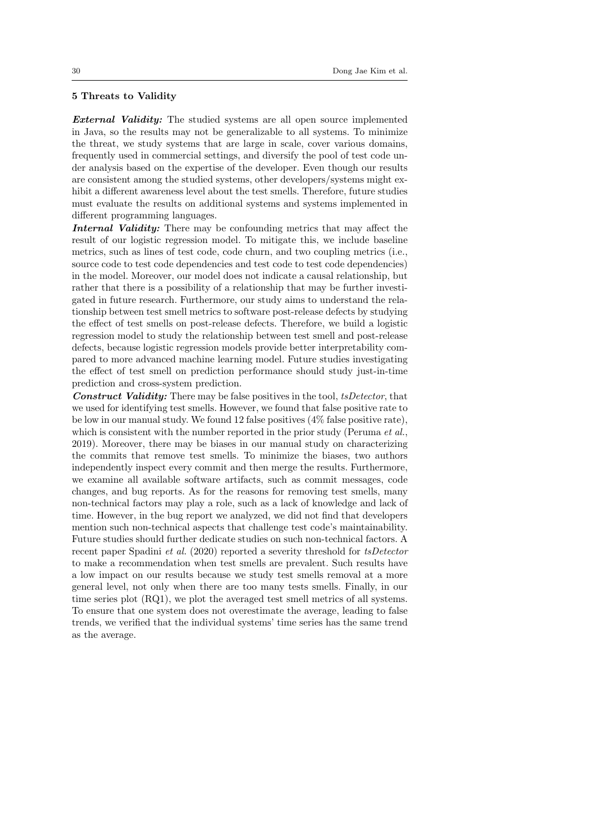### <span id="page-29-0"></span>5 Threats to Validity

External Validity: The studied systems are all open source implemented in Java, so the results may not be generalizable to all systems. To minimize the threat, we study systems that are large in scale, cover various domains, frequently used in commercial settings, and diversify the pool of test code under analysis based on the expertise of the developer. Even though our results are consistent among the studied systems, other developers/systems might exhibit a different awareness level about the test smells. Therefore, future studies must evaluate the results on additional systems and systems implemented in different programming languages.

Internal Validity: There may be confounding metrics that may affect the result of our logistic regression model. To mitigate this, we include baseline metrics, such as lines of test code, code churn, and two coupling metrics (i.e., source code to test code dependencies and test code to test code dependencies) in the model. Moreover, our model does not indicate a causal relationship, but rather that there is a possibility of a relationship that may be further investigated in future research. Furthermore, our study aims to understand the relationship between test smell metrics to software post-release defects by studying the effect of test smells on post-release defects. Therefore, we build a logistic regression model to study the relationship between test smell and post-release defects, because logistic regression models provide better interpretability compared to more advanced machine learning model. Future studies investigating the effect of test smell on prediction performance should study just-in-time prediction and cross-system prediction.

**Construct Validity:** There may be false positives in the tool, tsDetector, that we used for identifying test smells. However, we found that false positive rate to be low in our manual study. We found 12 false positives (4% false positive rate), which is consistent with the number reported in the prior study [\(Peruma](#page-36-0)  $et al.,$ [2019\)](#page-36-0). Moreover, there may be biases in our manual study on characterizing the commits that remove test smells. To minimize the biases, two authors independently inspect every commit and then merge the results. Furthermore, we examine all available software artifacts, such as commit messages, code changes, and bug reports. As for the reasons for removing test smells, many non-technical factors may play a role, such as a lack of knowledge and lack of time. However, in the bug report we analyzed, we did not find that developers mention such non-technical aspects that challenge test code's maintainability. Future studies should further dedicate studies on such non-technical factors. A recent paper [Spadini](#page-37-4) *et al.* [\(2020\)](#page-37-4) reported a severity threshold for *tsDetector* to make a recommendation when test smells are prevalent. Such results have a low impact on our results because we study test smells removal at a more general level, not only when there are too many tests smells. Finally, in our time series plot (RQ1), we plot the averaged test smell metrics of all systems. To ensure that one system does not overestimate the average, leading to false trends, we verified that the individual systems' time series has the same trend as the average.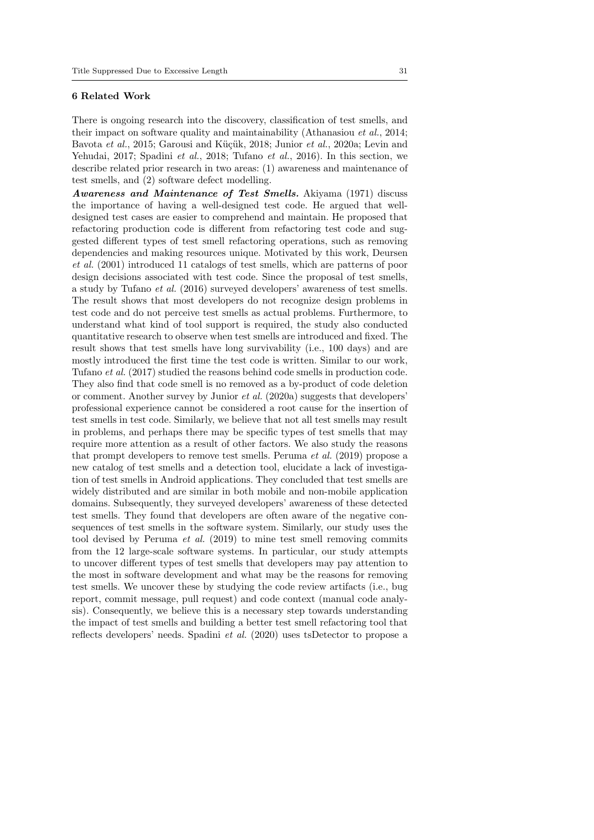### <span id="page-30-0"></span>6 Related Work

There is ongoing research into the discovery, classification of test smells, and their impact on software quality and maintainability [\(Athanasiou](#page-33-3) et al., [2014;](#page-33-3) [Bavota](#page-33-1) et al., [2015;](#page-33-1) Garousi and Küçük, 2018; [Junior](#page-34-0) et al., [2020a;](#page-34-0) [Levin and](#page-35-4) [Yehudai, 2017;](#page-35-4) [Spadini](#page-37-0) et al., [2018;](#page-37-0) [Tufano](#page-37-2) et al., [2016\)](#page-37-2). In this section, we describe related prior research in two areas: (1) awareness and maintenance of test smells, and (2) software defect modelling.

Awareness and Maintenance of Test Smells. [Akiyama](#page-33-9) [\(1971\)](#page-33-9) discuss the importance of having a well-designed test code. He argued that welldesigned test cases are easier to comprehend and maintain. He proposed that refactoring production code is different from refactoring test code and suggested different types of test smell refactoring operations, such as removing dependencies and making resources unique. Motivated by this work, [Deursen](#page-34-5) [et al.](#page-34-5) [\(2001\)](#page-34-5) introduced 11 catalogs of test smells, which are patterns of poor design decisions associated with test code. Since the proposal of test smells, a study by [Tufano](#page-37-2) et al. [\(2016\)](#page-37-2) surveyed developers' awareness of test smells. The result shows that most developers do not recognize design problems in test code and do not perceive test smells as actual problems. Furthermore, to understand what kind of tool support is required, the study also conducted quantitative research to observe when test smells are introduced and fixed. The result shows that test smells have long survivability (i.e., 100 days) and are mostly introduced the first time the test code is written. Similar to our work, [Tufano](#page-37-11) et al. [\(2017\)](#page-37-11) studied the reasons behind code smells in production code. They also find that code smell is no removed as a by-product of code deletion or comment. Another survey by [Junior](#page-34-0) et al. [\(2020a\)](#page-34-0) suggests that developers' professional experience cannot be considered a root cause for the insertion of test smells in test code. Similarly, we believe that not all test smells may result in problems, and perhaps there may be specific types of test smells that may require more attention as a result of other factors. We also study the reasons that prompt developers to remove test smells. [Peruma](#page-36-0) et al. [\(2019\)](#page-36-0) propose a new catalog of test smells and a detection tool, elucidate a lack of investigation of test smells in Android applications. They concluded that test smells are widely distributed and are similar in both mobile and non-mobile application domains. Subsequently, they surveyed developers' awareness of these detected test smells. They found that developers are often aware of the negative consequences of test smells in the software system. Similarly, our study uses the tool devised by [Peruma](#page-36-0) et al. [\(2019\)](#page-36-0) to mine test smell removing commits from the 12 large-scale software systems. In particular, our study attempts to uncover different types of test smells that developers may pay attention to the most in software development and what may be the reasons for removing test smells. We uncover these by studying the code review artifacts (i.e., bug report, commit message, pull request) and code context (manual code analysis). Consequently, we believe this is a necessary step towards understanding the impact of test smells and building a better test smell refactoring tool that reflects developers' needs. [Spadini](#page-37-4) et al. [\(2020\)](#page-37-4) uses tsDetector to propose a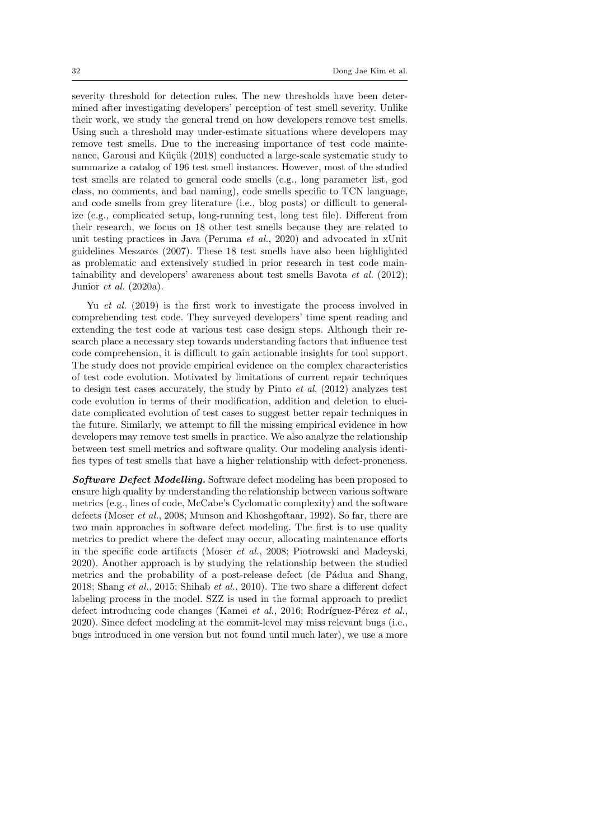severity threshold for detection rules. The new thresholds have been determined after investigating developers' perception of test smell severity. Unlike their work, we study the general trend on how developers remove test smells. Using such a threshold may under-estimate situations where developers may remove test smells. Due to the increasing importance of test code mainte-nance, Garousi and Küçük [\(2018\)](#page-34-2) conducted a large-scale systematic study to summarize a catalog of 196 test smell instances. However, most of the studied test smells are related to general code smells (e.g., long parameter list, god class, no comments, and bad naming), code smells specific to TCN language, and code smells from grey literature (i.e., blog posts) or difficult to generalize (e.g., complicated setup, long-running test, long test file). Different from their research, we focus on 18 other test smells because they are related to unit testing practices in Java [\(Peruma](#page-36-4) et al., [2020\)](#page-36-4) and advocated in xUnit guidelines [Meszaros](#page-35-7) [\(2007\)](#page-35-7). These 18 test smells have also been highlighted as problematic and extensively studied in prior research in test code main-tainability and developers' awareness about test smells [Bavota](#page-33-4) *et al.* [\(2012\)](#page-33-4); [Junior](#page-34-0) et al. [\(2020a\)](#page-34-0).

Yu [et al.](#page-37-12) [\(2019\)](#page-37-12) is the first work to investigate the process involved in comprehending test code. They surveyed developers' time spent reading and extending the test code at various test case design steps. Although their research place a necessary step towards understanding factors that influence test code comprehension, it is difficult to gain actionable insights for tool support. The study does not provide empirical evidence on the complex characteristics of test code evolution. Motivated by limitations of current repair techniques to design test cases accurately, the study by [Pinto](#page-36-2) et al. [\(2012\)](#page-36-2) analyzes test code evolution in terms of their modification, addition and deletion to elucidate complicated evolution of test cases to suggest better repair techniques in the future. Similarly, we attempt to fill the missing empirical evidence in how developers may remove test smells in practice. We also analyze the relationship between test smell metrics and software quality. Our modeling analysis identifies types of test smells that have a higher relationship with defect-proneness.

Software Defect Modelling. Software defect modeling has been proposed to ensure high quality by understanding the relationship between various software metrics (e.g., lines of code, McCabe's Cyclomatic complexity) and the software defects [\(Moser](#page-35-2) et al., [2008;](#page-35-2) [Munson and Khoshgoftaar, 1992\)](#page-35-3). So far, there are two main approaches in software defect modeling. The first is to use quality metrics to predict where the defect may occur, allocating maintenance efforts in the specific code artifacts [\(Moser](#page-35-2) et al., [2008;](#page-35-2) [Piotrowski and Madeyski,](#page-36-8) [2020\)](#page-36-8). Another approach is by studying the relationship between the studied metrics and the probability of a post-release defect (de Pádua and Shang, [2018;](#page-34-4) [Shang](#page-36-9) et al., [2015;](#page-36-9) [Shihab](#page-36-10) et al., [2010\)](#page-36-10). The two share a different defect labeling process in the model. SZZ is used in the formal approach to predict defect introducing code changes [\(Kamei](#page-35-11) et al., [2016;](#page-35-11) Rodríguez-Pérez et al., [2020\)](#page-36-11). Since defect modeling at the commit-level may miss relevant bugs (i.e., bugs introduced in one version but not found until much later), we use a more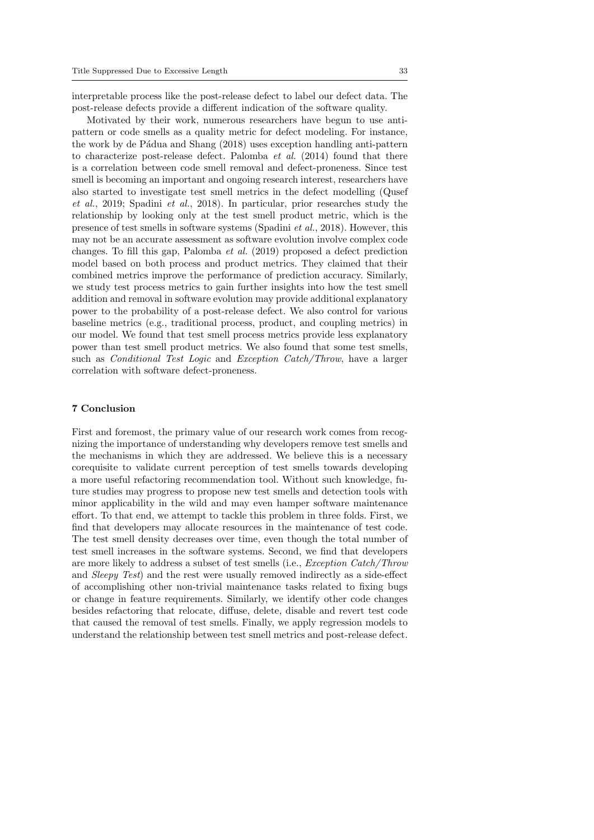interpretable process like the post-release defect to label our defect data. The post-release defects provide a different indication of the software quality.

Motivated by their work, numerous researchers have begun to use antipattern or code smells as a quality metric for defect modeling. For instance, the work by de Pádua and Shang [\(2018\)](#page-34-4) uses exception handling anti-pattern to characterize post-release defect. [Palomba](#page-35-12)  $et \, al.$  [\(2014\)](#page-35-12) found that there is a correlation between code smell removal and defect-proneness. Since test smell is becoming an important and ongoing research interest, researchers have also started to investigate test smell metrics in the defect modelling [\(Qusef](#page-36-1) [et al.](#page-36-1), [2019;](#page-36-1) [Spadini](#page-37-0) et al., [2018\)](#page-37-0). In particular, prior researches study the relationship by looking only at the test smell product metric, which is the presence of test smells in software systems [\(Spadini](#page-37-0) et al., [2018\)](#page-37-0). However, this may not be an accurate assessment as software evolution involve complex code changes. To fill this gap, [Palomba](#page-35-13) et al. [\(2019\)](#page-35-13) proposed a defect prediction model based on both process and product metrics. They claimed that their combined metrics improve the performance of prediction accuracy. Similarly, we study test process metrics to gain further insights into how the test smell addition and removal in software evolution may provide additional explanatory power to the probability of a post-release defect. We also control for various baseline metrics (e.g., traditional process, product, and coupling metrics) in our model. We found that test smell process metrics provide less explanatory power than test smell product metrics. We also found that some test smells, such as Conditional Test Logic and Exception Catch/Throw, have a larger correlation with software defect-proneness.

### <span id="page-32-0"></span>7 Conclusion

First and foremost, the primary value of our research work comes from recognizing the importance of understanding why developers remove test smells and the mechanisms in which they are addressed. We believe this is a necessary corequisite to validate current perception of test smells towards developing a more useful refactoring recommendation tool. Without such knowledge, future studies may progress to propose new test smells and detection tools with minor applicability in the wild and may even hamper software maintenance effort. To that end, we attempt to tackle this problem in three folds. First, we find that developers may allocate resources in the maintenance of test code. The test smell density decreases over time, even though the total number of test smell increases in the software systems. Second, we find that developers are more likely to address a subset of test smells (i.e., Exception Catch/Throw and Sleepy Test) and the rest were usually removed indirectly as a side-effect of accomplishing other non-trivial maintenance tasks related to fixing bugs or change in feature requirements. Similarly, we identify other code changes besides refactoring that relocate, diffuse, delete, disable and revert test code that caused the removal of test smells. Finally, we apply regression models to understand the relationship between test smell metrics and post-release defect.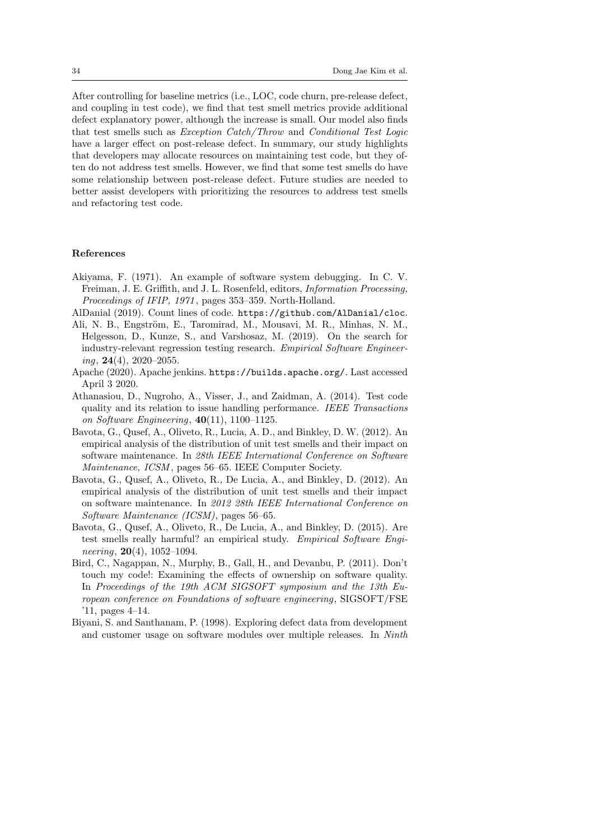After controlling for baseline metrics (i.e., LOC, code churn, pre-release defect, and coupling in test code), we find that test smell metrics provide additional defect explanatory power, although the increase is small. Our model also finds that test smells such as Exception Catch/Throw and Conditional Test Logic have a larger effect on post-release defect. In summary, our study highlights that developers may allocate resources on maintaining test code, but they often do not address test smells. However, we find that some test smells do have some relationship between post-release defect. Future studies are needed to better assist developers with prioritizing the resources to address test smells and refactoring test code.

#### References

- <span id="page-33-9"></span>Akiyama, F. (1971). An example of software system debugging. In C. V. Freiman, J. E. Griffith, and J. L. Rosenfeld, editors, Information Processing, Proceedings of IFIP, 1971 , pages 353–359. North-Holland.
- <span id="page-33-8"></span>AlDanial (2019). Count lines of code. <https://github.com/AlDanial/cloc>.
- <span id="page-33-0"></span>Ali, N. B., Engström, E., Taromirad, M., Mousavi, M. R., Minhas, N. M., Helgesson, D., Kunze, S., and Varshosaz, M. (2019). On the search for industry-relevant regression testing research. Empirical Software Engineer $ing, 24(4), 2020-2055.$
- <span id="page-33-5"></span>Apache (2020). Apache jenkins. <https://builds.apache.org/>. Last accessed April 3 2020.
- <span id="page-33-3"></span>Athanasiou, D., Nugroho, A., Visser, J., and Zaidman, A. (2014). Test code quality and its relation to issue handling performance. IEEE Transactions on Software Engineering,  $40(11)$ ,  $1100-1125$ .
- <span id="page-33-2"></span>Bavota, G., Qusef, A., Oliveto, R., Lucia, A. D., and Binkley, D. W. (2012). An empirical analysis of the distribution of unit test smells and their impact on software maintenance. In 28th IEEE International Conference on Software Maintenance, ICSM , pages 56–65. IEEE Computer Society.
- <span id="page-33-4"></span>Bavota, G., Qusef, A., Oliveto, R., De Lucia, A., and Binkley, D. (2012). An empirical analysis of the distribution of unit test smells and their impact on software maintenance. In 2012 28th IEEE International Conference on Software Maintenance (ICSM), pages 56–65.
- <span id="page-33-1"></span>Bavota, G., Qusef, A., Oliveto, R., De Lucia, A., and Binkley, D. (2015). Are test smells really harmful? an empirical study. Empirical Software Engineering,  $20(4)$ ,  $1052-1094$ .
- <span id="page-33-6"></span>Bird, C., Nagappan, N., Murphy, B., Gall, H., and Devanbu, P. (2011). Don't touch my code!: Examining the effects of ownership on software quality. In Proceedings of the 19th ACM SIGSOFT symposium and the 13th European conference on Foundations of software engineering, SIGSOFT/FSE '11, pages 4–14.
- <span id="page-33-7"></span>Biyani, S. and Santhanam, P. (1998). Exploring defect data from development and customer usage on software modules over multiple releases. In Ninth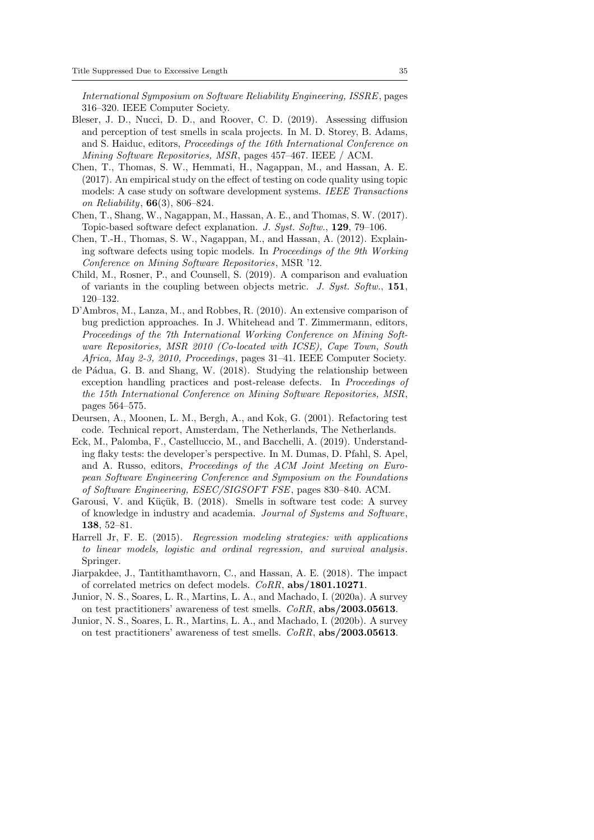International Symposium on Software Reliability Engineering, ISSRE, pages 316–320. IEEE Computer Society.

- <span id="page-34-6"></span>Bleser, J. D., Nucci, D. D., and Roover, C. D. (2019). Assessing diffusion and perception of test smells in scala projects. In M. D. Storey, B. Adams, and S. Haiduc, editors, Proceedings of the 16th International Conference on Mining Software Repositories, MSR, pages 457–467. IEEE / ACM.
- <span id="page-34-7"></span>Chen, T., Thomas, S. W., Hemmati, H., Nagappan, M., and Hassan, A. E. (2017). An empirical study on the effect of testing on code quality using topic models: A case study on software development systems. IEEE Transactions on Reliability, 66(3), 806–824.
- <span id="page-34-3"></span>Chen, T., Shang, W., Nagappan, M., Hassan, A. E., and Thomas, S. W. (2017). Topic-based software defect explanation. J. Syst. Softw., 129, 79–106.
- <span id="page-34-9"></span>Chen, T.-H., Thomas, S. W., Nagappan, M., and Hassan, A. (2012). Explaining software defects using topic models. In Proceedings of the 9th Working Conference on Mining Software Repositories, MSR '12.
- <span id="page-34-11"></span>Child, M., Rosner, P., and Counsell, S. (2019). A comparison and evaluation of variants in the coupling between objects metric. J. Syst. Softw., 151, 120–132.
- <span id="page-34-10"></span>D'Ambros, M., Lanza, M., and Robbes, R. (2010). An extensive comparison of bug prediction approaches. In J. Whitehead and T. Zimmermann, editors, Proceedings of the 7th International Working Conference on Mining Software Repositories, MSR 2010 (Co-located with ICSE), Cape Town, South Africa, May 2-3, 2010, Proceedings, pages 31–41. IEEE Computer Society.
- <span id="page-34-4"></span>de Pádua, G. B. and Shang, W. (2018). Studying the relationship between exception handling practices and post-release defects. In Proceedings of the 15th International Conference on Mining Software Repositories, MSR, pages 564–575.
- <span id="page-34-5"></span>Deursen, A., Moonen, L. M., Bergh, A., and Kok, G. (2001). Refactoring test code. Technical report, Amsterdam, The Netherlands, The Netherlands.
- <span id="page-34-8"></span>Eck, M., Palomba, F., Castelluccio, M., and Bacchelli, A. (2019). Understanding flaky tests: the developer's perspective. In M. Dumas, D. Pfahl, S. Apel, and A. Russo, editors, Proceedings of the ACM Joint Meeting on European Software Engineering Conference and Symposium on the Foundations of Software Engineering, ESEC/SIGSOFT FSE, pages 830–840. ACM.
- <span id="page-34-2"></span>Garousi, V. and Küçük, B. (2018). Smells in software test code: A survey of knowledge in industry and academia. Journal of Systems and Software, 138, 52–81.
- <span id="page-34-12"></span>Harrell Jr, F. E. (2015). Regression modeling strategies: with applications to linear models, logistic and ordinal regression, and survival analysis . Springer.
- <span id="page-34-13"></span>Jiarpakdee, J., Tantithamthavorn, C., and Hassan, A. E. (2018). The impact of correlated metrics on defect models. CoRR, abs/1801.10271.
- <span id="page-34-0"></span>Junior, N. S., Soares, L. R., Martins, L. A., and Machado, I. (2020a). A survey on test practitioners' awareness of test smells. CoRR, abs/2003.05613.
- <span id="page-34-1"></span>Junior, N. S., Soares, L. R., Martins, L. A., and Machado, I. (2020b). A survey on test practitioners' awareness of test smells. CoRR, abs/2003.05613.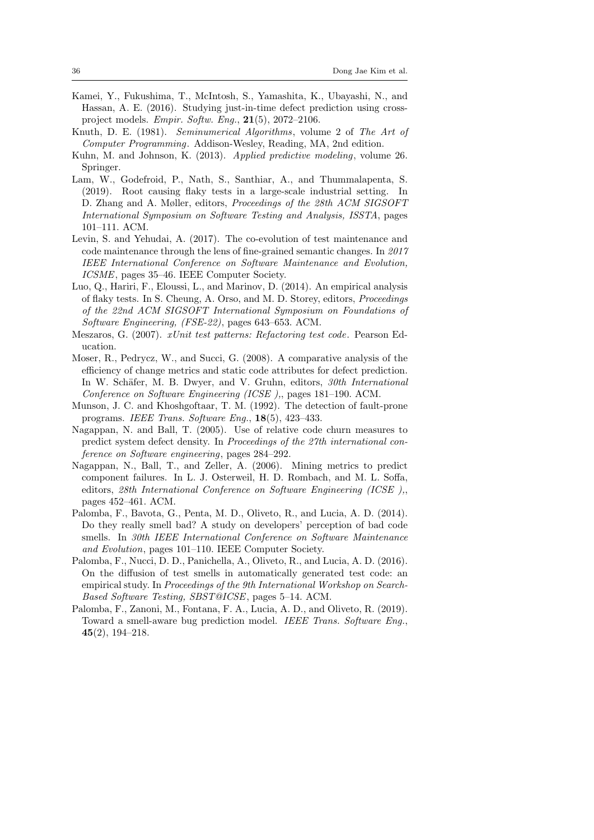- <span id="page-35-11"></span>Kamei, Y., Fukushima, T., McIntosh, S., Yamashita, K., Ubayashi, N., and Hassan, A. E. (2016). Studying just-in-time defect prediction using crossproject models. Empir. Softw. Eng., 21(5), 2072–2106.
- <span id="page-35-6"></span>Knuth, D. E. (1981). Seminumerical Algorithms, volume 2 of The Art of Computer Programming. Addison-Wesley, Reading, MA, 2nd edition.
- <span id="page-35-10"></span>Kuhn, M. and Johnson, K. (2013). Applied predictive modeling, volume 26. Springer.
- <span id="page-35-0"></span>Lam, W., Godefroid, P., Nath, S., Santhiar, A., and Thummalapenta, S. (2019). Root causing flaky tests in a large-scale industrial setting. In D. Zhang and A. Møller, editors, Proceedings of the 28th ACM SIGSOFT International Symposium on Software Testing and Analysis, ISSTA, pages 101–111. ACM.
- <span id="page-35-4"></span>Levin, S. and Yehudai, A. (2017). The co-evolution of test maintenance and code maintenance through the lens of fine-grained semantic changes. In 2017 IEEE International Conference on Software Maintenance and Evolution, ICSME, pages 35–46. IEEE Computer Society.
- <span id="page-35-1"></span>Luo, Q., Hariri, F., Eloussi, L., and Marinov, D. (2014). An empirical analysis of flaky tests. In S. Cheung, A. Orso, and M. D. Storey, editors, Proceedings of the 22nd ACM SIGSOFT International Symposium on Foundations of Software Engineering, (FSE-22), pages 643–653. ACM.
- <span id="page-35-7"></span>Meszaros, G. (2007). xUnit test patterns: Refactoring test code. Pearson Education.
- <span id="page-35-2"></span>Moser, R., Pedrycz, W., and Succi, G. (2008). A comparative analysis of the efficiency of change metrics and static code attributes for defect prediction. In W. Schäfer, M. B. Dwyer, and V. Gruhn, editors, 30th International Conference on Software Engineering (ICSE ),, pages 181–190. ACM.
- <span id="page-35-3"></span>Munson, J. C. and Khoshgoftaar, T. M. (1992). The detection of fault-prone programs. IEEE Trans. Software Eng., 18(5), 423–433.
- <span id="page-35-8"></span>Nagappan, N. and Ball, T. (2005). Use of relative code churn measures to predict system defect density. In Proceedings of the 27th international conference on Software engineering, pages 284–292.
- <span id="page-35-9"></span>Nagappan, N., Ball, T., and Zeller, A. (2006). Mining metrics to predict component failures. In L. J. Osterweil, H. D. Rombach, and M. L. Soffa, editors, 28th International Conference on Software Engineering (ICSE). pages 452–461. ACM.
- <span id="page-35-12"></span>Palomba, F., Bavota, G., Penta, M. D., Oliveto, R., and Lucia, A. D. (2014). Do they really smell bad? A study on developers' perception of bad code smells. In 30th IEEE International Conference on Software Maintenance and Evolution, pages 101–110. IEEE Computer Society.
- <span id="page-35-5"></span>Palomba, F., Nucci, D. D., Panichella, A., Oliveto, R., and Lucia, A. D. (2016). On the diffusion of test smells in automatically generated test code: an empirical study. In Proceedings of the 9th International Workshop on Search-Based Software Testing, SBST@ICSE, pages 5–14. ACM.
- <span id="page-35-13"></span>Palomba, F., Zanoni, M., Fontana, F. A., Lucia, A. D., and Oliveto, R. (2019). Toward a smell-aware bug prediction model. IEEE Trans. Software Eng., 45(2), 194–218.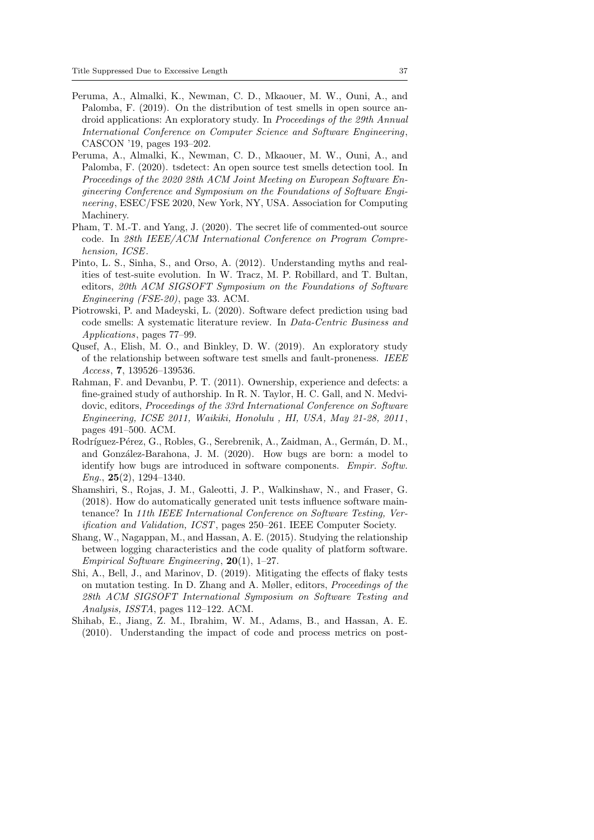- <span id="page-36-0"></span>Peruma, A., Almalki, K., Newman, C. D., Mkaouer, M. W., Ouni, A., and Palomba, F. (2019). On the distribution of test smells in open source android applications: An exploratory study. In Proceedings of the 29th Annual International Conference on Computer Science and Software Engineering, CASCON '19, pages 193–202.
- <span id="page-36-4"></span>Peruma, A., Almalki, K., Newman, C. D., Mkaouer, M. W., Ouni, A., and Palomba, F. (2020). tsdetect: An open source test smells detection tool. In Proceedings of the 2020 28th ACM Joint Meeting on European Software Engineering Conference and Symposium on the Foundations of Software Engineering, ESEC/FSE 2020, New York, NY, USA. Association for Computing Machinery.
- <span id="page-36-7"></span>Pham, T. M.-T. and Yang, J. (2020). The secret life of commented-out source code. In 28th IEEE/ACM International Conference on Program Comprehension, ICSE.
- <span id="page-36-2"></span>Pinto, L. S., Sinha, S., and Orso, A. (2012). Understanding myths and realities of test-suite evolution. In W. Tracz, M. P. Robillard, and T. Bultan, editors, 20th ACM SIGSOFT Symposium on the Foundations of Software Engineering (FSE-20), page 33. ACM.
- <span id="page-36-8"></span>Piotrowski, P. and Madeyski, L. (2020). Software defect prediction using bad code smells: A systematic literature review. In Data-Centric Business and Applications, pages 77–99.
- <span id="page-36-1"></span>Qusef, A., Elish, M. O., and Binkley, D. W. (2019). An exploratory study of the relationship between software test smells and fault-proneness. IEEE Access, 7, 139526–139536.
- <span id="page-36-5"></span>Rahman, F. and Devanbu, P. T. (2011). Ownership, experience and defects: a fine-grained study of authorship. In R. N. Taylor, H. C. Gall, and N. Medvidovic, editors, Proceedings of the 33rd International Conference on Software Engineering, ICSE 2011, Waikiki, Honolulu , HI, USA, May 21-28, 2011 , pages 491–500. ACM.
- <span id="page-36-11"></span>Rodríguez-Pérez, G., Robles, G., Serebrenik, A., Zaidman, A., Germán, D. M., and González-Barahona, J. M. (2020). How bugs are born: a model to identify how bugs are introduced in software components. Empir. Softw.  $Enq., 25(2), 1294-1340.$
- <span id="page-36-3"></span>Shamshiri, S., Rojas, J. M., Galeotti, J. P., Walkinshaw, N., and Fraser, G. (2018). How do automatically generated unit tests influence software maintenance? In 11th IEEE International Conference on Software Testing, Verification and Validation, ICST, pages 250–261. IEEE Computer Society.
- <span id="page-36-9"></span>Shang, W., Nagappan, M., and Hassan, A. E. (2015). Studying the relationship between logging characteristics and the code quality of platform software. Empirical Software Engineering, 20(1), 1–27.
- <span id="page-36-6"></span>Shi, A., Bell, J., and Marinov, D. (2019). Mitigating the effects of flaky tests on mutation testing. In D. Zhang and A. Møller, editors, Proceedings of the 28th ACM SIGSOFT International Symposium on Software Testing and Analysis, ISSTA, pages 112–122. ACM.
- <span id="page-36-10"></span>Shihab, E., Jiang, Z. M., Ibrahim, W. M., Adams, B., and Hassan, A. E. (2010). Understanding the impact of code and process metrics on post-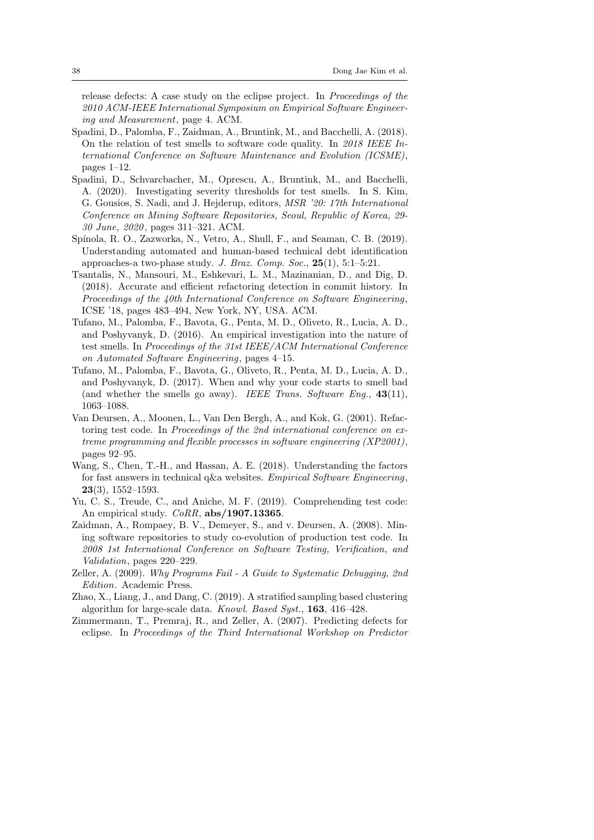release defects: A case study on the eclipse project. In Proceedings of the 2010 ACM-IEEE International Symposium on Empirical Software Engineering and Measurement, page 4. ACM.

- <span id="page-37-0"></span>Spadini, D., Palomba, F., Zaidman, A., Bruntink, M., and Bacchelli, A. (2018). On the relation of test smells to software code quality. In 2018 IEEE International Conference on Software Maintenance and Evolution (ICSME), pages 1–12.
- <span id="page-37-4"></span>Spadini, D., Schvarcbacher, M., Oprescu, A., Bruntink, M., and Bacchelli, A. (2020). Investigating severity thresholds for test smells. In S. Kim, G. Gousios, S. Nadi, and J. Hejderup, editors, MSR '20: 17th International Conference on Mining Software Repositories, Seoul, Republic of Korea, 29- 30 June, 2020 , pages 311–321. ACM.
- <span id="page-37-3"></span>Spínola, R. O., Zazworka, N., Vetro, A., Shull, F., and Seaman, C. B. (2019). Understanding automated and human-based technical debt identification approaches-a two-phase study. J. Braz. Comp. Soc., 25(1), 5:1–5:21.
- <span id="page-37-8"></span>Tsantalis, N., Mansouri, M., Eshkevari, L. M., Mazinanian, D., and Dig, D. (2018). Accurate and efficient refactoring detection in commit history. In Proceedings of the 40th International Conference on Software Engineering, ICSE '18, pages 483–494, New York, NY, USA. ACM.
- <span id="page-37-2"></span>Tufano, M., Palomba, F., Bavota, G., Penta, M. D., Oliveto, R., Lucia, A. D., and Poshyvanyk, D. (2016). An empirical investigation into the nature of test smells. In Proceedings of the 31st IEEE/ACM International Conference on Automated Software Engineering, pages 4–15.
- <span id="page-37-11"></span>Tufano, M., Palomba, F., Bavota, G., Oliveto, R., Penta, M. D., Lucia, A. D., and Poshyvanyk, D. (2017). When and why your code starts to smell bad (and whether the smells go away). IEEE Trans. Software Enq.,  $43(11)$ , 1063–1088.
- <span id="page-37-1"></span>Van Deursen, A., Moonen, L., Van Den Bergh, A., and Kok, G. (2001). Refactoring test code. In Proceedings of the 2nd international conference on extreme programming and flexible processes in software engineering (XP2001), pages 92–95.
- <span id="page-37-10"></span>Wang, S., Chen, T.-H., and Hassan, A. E. (2018). Understanding the factors for fast answers in technical q&a websites. Empirical Software Engineering,  $23(3)$ , 1552–1593.
- <span id="page-37-12"></span>Yu, C. S., Treude, C., and Aniche, M. F. (2019). Comprehending test code: An empirical study. CoRR, abs/1907.13365.
- <span id="page-37-5"></span>Zaidman, A., Rompaey, B. V., Demeyer, S., and v. Deursen, A. (2008). Mining software repositories to study co-evolution of production test code. In 2008 1st International Conference on Software Testing, Verification, and Validation, pages 220–229.
- <span id="page-37-6"></span>Zeller, A. (2009). Why Programs Fail - A Guide to Systematic Debugging, 2nd Edition. Academic Press.
- <span id="page-37-7"></span>Zhao, X., Liang, J., and Dang, C. (2019). A stratified sampling based clustering algorithm for large-scale data. Knowl. Based Syst., 163, 416–428.
- <span id="page-37-9"></span>Zimmermann, T., Premraj, R., and Zeller, A. (2007). Predicting defects for eclipse. In Proceedings of the Third International Workshop on Predictor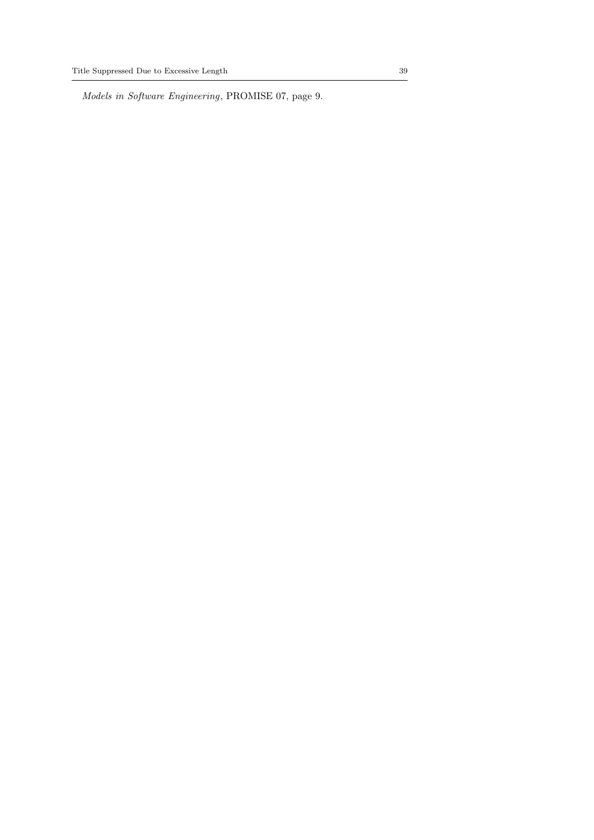Models in Software Engineering, PROMISE 07, page 9.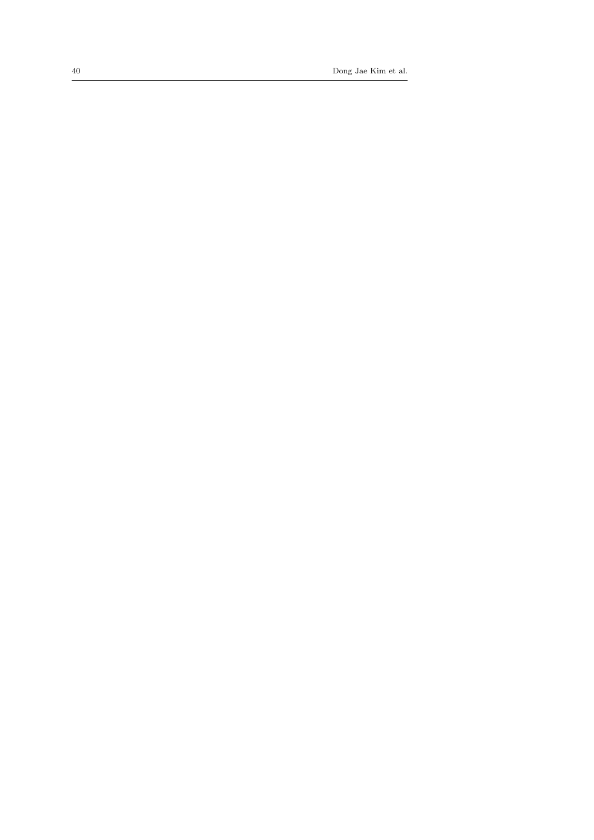40 Dong Jae Kim et al.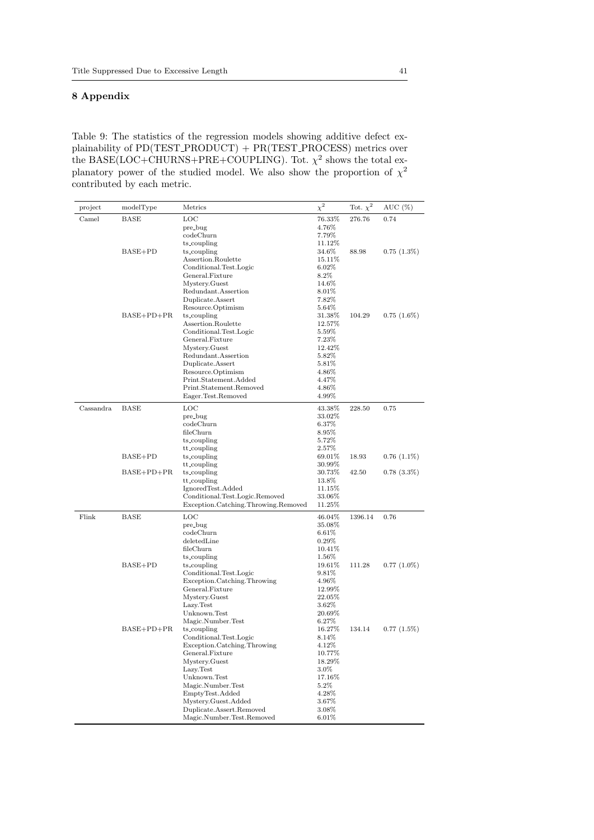### 8 Appendix

<span id="page-40-0"></span>Table 9: The statistics of the regression models showing additive defect explainability of PD(TEST PRODUCT) + PR(TEST PROCESS) metrics over the BASE(LOC+CHURNS+PRE+COUPLING). Tot.  $\chi^2$  shows the total explanatory power of the studied model. We also show the proportion of  $\chi^2$ contributed by each metric.

| LOC<br>276.76<br>Camel<br><b>BASE</b><br>76.33%<br>0.74<br>4.76%<br>pre_bug<br>7.79%<br>codeChurn<br>ts_coupling<br>11.12%<br>BASE+PD<br>ts_coupling<br>34.6%<br>88.98<br>$0.75(1.3\%)$<br>Assertion.Roulette<br>15.11%<br>Conditional.Test.Logic<br>$6.02\%$<br>$8.2\%$<br>General.Fixture<br>14.6%<br>Mystery.Guest<br>8.01%<br>Redundant.Assertion<br>Duplicate.Assert<br>$7.82\%$<br>Resource.Optimism<br>5.64%<br>BASE+PD+PR<br>31.38%<br>$0.75~(1.6\%)$<br>ts_coupling<br>104.29<br>Assertion.Roulette<br>12.57%<br>Conditional.Test.Logic<br>$5.59\%$<br>General.Fixture<br>7.23%<br>Mystery.Guest<br>12.42%<br>Redundant.Assertion<br>5.82%<br>Duplicate.Assert<br>5.81%<br>Resource.Optimism<br>4.86%<br>Print.Statement.Added<br>4.47%<br>Print.Statement.Removed<br>4.86%<br>4.99%<br>Eager.Test.Removed<br>Cassandra<br><b>BASE</b><br>LOC<br>43.38%<br>228.50<br>0.75<br>pre_bug<br>33.02%<br>codeChurn<br>6.37%<br>fileChurn<br>$8.95\%$<br>ts_coupling<br>5.72%<br>2.57%<br>tt_coupling<br>BASE+PD<br>ts_coupling<br>69.01%<br>18.93<br>$0.76(1.1\%)$<br>tt_coupling<br>30.99%<br>BASE+PD+PR<br>ts_coupling<br>30.73%<br>$0.78(3.3\%)$<br>42.50<br>tt_coupling<br>13.8%<br>IgnoredTest.Added<br>11.15%<br>Conditional.Test.Logic.Removed<br>33.06%<br>Exception.Catching.Throwing.Removed<br>11.25%<br>Flink<br><b>BASE</b><br>LOC<br>1396.14<br>0.76<br>46.04%<br>pre_bug<br>35.08%<br>codeChurn<br>6.61%<br>deletedLine<br>0.29%<br>fileChurn<br>10.41%<br>ts_coupling<br>$1.56\%$<br>BASE+PD<br>ts_coupling<br>19.61%<br>$0.77(1.0\%)$<br>111.28<br>Conditional.Test.Logic<br>9.81%<br>Exception.Catching.Throwing<br>4.96%<br>General.Fixture<br>12.99%<br>Mystery.Guest<br>22.05%<br>3.62%<br>Lazy.Test<br>Unknown.Test<br>20.69%<br>Magic.Number.Test<br>6.27%<br>16.27%<br>$BASE+PD+PR$<br>ts_coupling<br>134.14<br>$0.77(1.5\%)$<br>Conditional.Test.Logic<br>$8.14\%$<br>Exception.Catching.Throwing<br>4.12%<br>General.Fixture<br>10.77%<br>Mystery.Guest<br>18.29%<br>Lazy.Test<br>3.0%<br>17.16%<br>Unknown.Test<br>Magic.Number.Test<br>5.2%<br>4.28%<br>EmptyTest.Added<br>3.67%<br>Mystery.Guest.Added<br>3.08%<br>Duplicate.Assert.Removed<br>Magic.Number.Test.Removed<br>6.01% | project | modelType | Metrics | $\chi^2$ | Tot. $\chi^2$ | AUC $(\%)$ |
|------------------------------------------------------------------------------------------------------------------------------------------------------------------------------------------------------------------------------------------------------------------------------------------------------------------------------------------------------------------------------------------------------------------------------------------------------------------------------------------------------------------------------------------------------------------------------------------------------------------------------------------------------------------------------------------------------------------------------------------------------------------------------------------------------------------------------------------------------------------------------------------------------------------------------------------------------------------------------------------------------------------------------------------------------------------------------------------------------------------------------------------------------------------------------------------------------------------------------------------------------------------------------------------------------------------------------------------------------------------------------------------------------------------------------------------------------------------------------------------------------------------------------------------------------------------------------------------------------------------------------------------------------------------------------------------------------------------------------------------------------------------------------------------------------------------------------------------------------------------------------------------------------------------------------------------------------------------------------------------------------------------------------------------------------------------------------------------------------------------------------------------------------------------------------------------------------------------|---------|-----------|---------|----------|---------------|------------|
|                                                                                                                                                                                                                                                                                                                                                                                                                                                                                                                                                                                                                                                                                                                                                                                                                                                                                                                                                                                                                                                                                                                                                                                                                                                                                                                                                                                                                                                                                                                                                                                                                                                                                                                                                                                                                                                                                                                                                                                                                                                                                                                                                                                                                  |         |           |         |          |               |            |
|                                                                                                                                                                                                                                                                                                                                                                                                                                                                                                                                                                                                                                                                                                                                                                                                                                                                                                                                                                                                                                                                                                                                                                                                                                                                                                                                                                                                                                                                                                                                                                                                                                                                                                                                                                                                                                                                                                                                                                                                                                                                                                                                                                                                                  |         |           |         |          |               |            |
|                                                                                                                                                                                                                                                                                                                                                                                                                                                                                                                                                                                                                                                                                                                                                                                                                                                                                                                                                                                                                                                                                                                                                                                                                                                                                                                                                                                                                                                                                                                                                                                                                                                                                                                                                                                                                                                                                                                                                                                                                                                                                                                                                                                                                  |         |           |         |          |               |            |
|                                                                                                                                                                                                                                                                                                                                                                                                                                                                                                                                                                                                                                                                                                                                                                                                                                                                                                                                                                                                                                                                                                                                                                                                                                                                                                                                                                                                                                                                                                                                                                                                                                                                                                                                                                                                                                                                                                                                                                                                                                                                                                                                                                                                                  |         |           |         |          |               |            |
|                                                                                                                                                                                                                                                                                                                                                                                                                                                                                                                                                                                                                                                                                                                                                                                                                                                                                                                                                                                                                                                                                                                                                                                                                                                                                                                                                                                                                                                                                                                                                                                                                                                                                                                                                                                                                                                                                                                                                                                                                                                                                                                                                                                                                  |         |           |         |          |               |            |
|                                                                                                                                                                                                                                                                                                                                                                                                                                                                                                                                                                                                                                                                                                                                                                                                                                                                                                                                                                                                                                                                                                                                                                                                                                                                                                                                                                                                                                                                                                                                                                                                                                                                                                                                                                                                                                                                                                                                                                                                                                                                                                                                                                                                                  |         |           |         |          |               |            |
|                                                                                                                                                                                                                                                                                                                                                                                                                                                                                                                                                                                                                                                                                                                                                                                                                                                                                                                                                                                                                                                                                                                                                                                                                                                                                                                                                                                                                                                                                                                                                                                                                                                                                                                                                                                                                                                                                                                                                                                                                                                                                                                                                                                                                  |         |           |         |          |               |            |
|                                                                                                                                                                                                                                                                                                                                                                                                                                                                                                                                                                                                                                                                                                                                                                                                                                                                                                                                                                                                                                                                                                                                                                                                                                                                                                                                                                                                                                                                                                                                                                                                                                                                                                                                                                                                                                                                                                                                                                                                                                                                                                                                                                                                                  |         |           |         |          |               |            |
|                                                                                                                                                                                                                                                                                                                                                                                                                                                                                                                                                                                                                                                                                                                                                                                                                                                                                                                                                                                                                                                                                                                                                                                                                                                                                                                                                                                                                                                                                                                                                                                                                                                                                                                                                                                                                                                                                                                                                                                                                                                                                                                                                                                                                  |         |           |         |          |               |            |
|                                                                                                                                                                                                                                                                                                                                                                                                                                                                                                                                                                                                                                                                                                                                                                                                                                                                                                                                                                                                                                                                                                                                                                                                                                                                                                                                                                                                                                                                                                                                                                                                                                                                                                                                                                                                                                                                                                                                                                                                                                                                                                                                                                                                                  |         |           |         |          |               |            |
|                                                                                                                                                                                                                                                                                                                                                                                                                                                                                                                                                                                                                                                                                                                                                                                                                                                                                                                                                                                                                                                                                                                                                                                                                                                                                                                                                                                                                                                                                                                                                                                                                                                                                                                                                                                                                                                                                                                                                                                                                                                                                                                                                                                                                  |         |           |         |          |               |            |
|                                                                                                                                                                                                                                                                                                                                                                                                                                                                                                                                                                                                                                                                                                                                                                                                                                                                                                                                                                                                                                                                                                                                                                                                                                                                                                                                                                                                                                                                                                                                                                                                                                                                                                                                                                                                                                                                                                                                                                                                                                                                                                                                                                                                                  |         |           |         |          |               |            |
|                                                                                                                                                                                                                                                                                                                                                                                                                                                                                                                                                                                                                                                                                                                                                                                                                                                                                                                                                                                                                                                                                                                                                                                                                                                                                                                                                                                                                                                                                                                                                                                                                                                                                                                                                                                                                                                                                                                                                                                                                                                                                                                                                                                                                  |         |           |         |          |               |            |
|                                                                                                                                                                                                                                                                                                                                                                                                                                                                                                                                                                                                                                                                                                                                                                                                                                                                                                                                                                                                                                                                                                                                                                                                                                                                                                                                                                                                                                                                                                                                                                                                                                                                                                                                                                                                                                                                                                                                                                                                                                                                                                                                                                                                                  |         |           |         |          |               |            |
|                                                                                                                                                                                                                                                                                                                                                                                                                                                                                                                                                                                                                                                                                                                                                                                                                                                                                                                                                                                                                                                                                                                                                                                                                                                                                                                                                                                                                                                                                                                                                                                                                                                                                                                                                                                                                                                                                                                                                                                                                                                                                                                                                                                                                  |         |           |         |          |               |            |
|                                                                                                                                                                                                                                                                                                                                                                                                                                                                                                                                                                                                                                                                                                                                                                                                                                                                                                                                                                                                                                                                                                                                                                                                                                                                                                                                                                                                                                                                                                                                                                                                                                                                                                                                                                                                                                                                                                                                                                                                                                                                                                                                                                                                                  |         |           |         |          |               |            |
|                                                                                                                                                                                                                                                                                                                                                                                                                                                                                                                                                                                                                                                                                                                                                                                                                                                                                                                                                                                                                                                                                                                                                                                                                                                                                                                                                                                                                                                                                                                                                                                                                                                                                                                                                                                                                                                                                                                                                                                                                                                                                                                                                                                                                  |         |           |         |          |               |            |
|                                                                                                                                                                                                                                                                                                                                                                                                                                                                                                                                                                                                                                                                                                                                                                                                                                                                                                                                                                                                                                                                                                                                                                                                                                                                                                                                                                                                                                                                                                                                                                                                                                                                                                                                                                                                                                                                                                                                                                                                                                                                                                                                                                                                                  |         |           |         |          |               |            |
|                                                                                                                                                                                                                                                                                                                                                                                                                                                                                                                                                                                                                                                                                                                                                                                                                                                                                                                                                                                                                                                                                                                                                                                                                                                                                                                                                                                                                                                                                                                                                                                                                                                                                                                                                                                                                                                                                                                                                                                                                                                                                                                                                                                                                  |         |           |         |          |               |            |
|                                                                                                                                                                                                                                                                                                                                                                                                                                                                                                                                                                                                                                                                                                                                                                                                                                                                                                                                                                                                                                                                                                                                                                                                                                                                                                                                                                                                                                                                                                                                                                                                                                                                                                                                                                                                                                                                                                                                                                                                                                                                                                                                                                                                                  |         |           |         |          |               |            |
|                                                                                                                                                                                                                                                                                                                                                                                                                                                                                                                                                                                                                                                                                                                                                                                                                                                                                                                                                                                                                                                                                                                                                                                                                                                                                                                                                                                                                                                                                                                                                                                                                                                                                                                                                                                                                                                                                                                                                                                                                                                                                                                                                                                                                  |         |           |         |          |               |            |
|                                                                                                                                                                                                                                                                                                                                                                                                                                                                                                                                                                                                                                                                                                                                                                                                                                                                                                                                                                                                                                                                                                                                                                                                                                                                                                                                                                                                                                                                                                                                                                                                                                                                                                                                                                                                                                                                                                                                                                                                                                                                                                                                                                                                                  |         |           |         |          |               |            |
|                                                                                                                                                                                                                                                                                                                                                                                                                                                                                                                                                                                                                                                                                                                                                                                                                                                                                                                                                                                                                                                                                                                                                                                                                                                                                                                                                                                                                                                                                                                                                                                                                                                                                                                                                                                                                                                                                                                                                                                                                                                                                                                                                                                                                  |         |           |         |          |               |            |
|                                                                                                                                                                                                                                                                                                                                                                                                                                                                                                                                                                                                                                                                                                                                                                                                                                                                                                                                                                                                                                                                                                                                                                                                                                                                                                                                                                                                                                                                                                                                                                                                                                                                                                                                                                                                                                                                                                                                                                                                                                                                                                                                                                                                                  |         |           |         |          |               |            |
|                                                                                                                                                                                                                                                                                                                                                                                                                                                                                                                                                                                                                                                                                                                                                                                                                                                                                                                                                                                                                                                                                                                                                                                                                                                                                                                                                                                                                                                                                                                                                                                                                                                                                                                                                                                                                                                                                                                                                                                                                                                                                                                                                                                                                  |         |           |         |          |               |            |
|                                                                                                                                                                                                                                                                                                                                                                                                                                                                                                                                                                                                                                                                                                                                                                                                                                                                                                                                                                                                                                                                                                                                                                                                                                                                                                                                                                                                                                                                                                                                                                                                                                                                                                                                                                                                                                                                                                                                                                                                                                                                                                                                                                                                                  |         |           |         |          |               |            |
|                                                                                                                                                                                                                                                                                                                                                                                                                                                                                                                                                                                                                                                                                                                                                                                                                                                                                                                                                                                                                                                                                                                                                                                                                                                                                                                                                                                                                                                                                                                                                                                                                                                                                                                                                                                                                                                                                                                                                                                                                                                                                                                                                                                                                  |         |           |         |          |               |            |
|                                                                                                                                                                                                                                                                                                                                                                                                                                                                                                                                                                                                                                                                                                                                                                                                                                                                                                                                                                                                                                                                                                                                                                                                                                                                                                                                                                                                                                                                                                                                                                                                                                                                                                                                                                                                                                                                                                                                                                                                                                                                                                                                                                                                                  |         |           |         |          |               |            |
|                                                                                                                                                                                                                                                                                                                                                                                                                                                                                                                                                                                                                                                                                                                                                                                                                                                                                                                                                                                                                                                                                                                                                                                                                                                                                                                                                                                                                                                                                                                                                                                                                                                                                                                                                                                                                                                                                                                                                                                                                                                                                                                                                                                                                  |         |           |         |          |               |            |
|                                                                                                                                                                                                                                                                                                                                                                                                                                                                                                                                                                                                                                                                                                                                                                                                                                                                                                                                                                                                                                                                                                                                                                                                                                                                                                                                                                                                                                                                                                                                                                                                                                                                                                                                                                                                                                                                                                                                                                                                                                                                                                                                                                                                                  |         |           |         |          |               |            |
|                                                                                                                                                                                                                                                                                                                                                                                                                                                                                                                                                                                                                                                                                                                                                                                                                                                                                                                                                                                                                                                                                                                                                                                                                                                                                                                                                                                                                                                                                                                                                                                                                                                                                                                                                                                                                                                                                                                                                                                                                                                                                                                                                                                                                  |         |           |         |          |               |            |
|                                                                                                                                                                                                                                                                                                                                                                                                                                                                                                                                                                                                                                                                                                                                                                                                                                                                                                                                                                                                                                                                                                                                                                                                                                                                                                                                                                                                                                                                                                                                                                                                                                                                                                                                                                                                                                                                                                                                                                                                                                                                                                                                                                                                                  |         |           |         |          |               |            |
|                                                                                                                                                                                                                                                                                                                                                                                                                                                                                                                                                                                                                                                                                                                                                                                                                                                                                                                                                                                                                                                                                                                                                                                                                                                                                                                                                                                                                                                                                                                                                                                                                                                                                                                                                                                                                                                                                                                                                                                                                                                                                                                                                                                                                  |         |           |         |          |               |            |
|                                                                                                                                                                                                                                                                                                                                                                                                                                                                                                                                                                                                                                                                                                                                                                                                                                                                                                                                                                                                                                                                                                                                                                                                                                                                                                                                                                                                                                                                                                                                                                                                                                                                                                                                                                                                                                                                                                                                                                                                                                                                                                                                                                                                                  |         |           |         |          |               |            |
|                                                                                                                                                                                                                                                                                                                                                                                                                                                                                                                                                                                                                                                                                                                                                                                                                                                                                                                                                                                                                                                                                                                                                                                                                                                                                                                                                                                                                                                                                                                                                                                                                                                                                                                                                                                                                                                                                                                                                                                                                                                                                                                                                                                                                  |         |           |         |          |               |            |
|                                                                                                                                                                                                                                                                                                                                                                                                                                                                                                                                                                                                                                                                                                                                                                                                                                                                                                                                                                                                                                                                                                                                                                                                                                                                                                                                                                                                                                                                                                                                                                                                                                                                                                                                                                                                                                                                                                                                                                                                                                                                                                                                                                                                                  |         |           |         |          |               |            |
|                                                                                                                                                                                                                                                                                                                                                                                                                                                                                                                                                                                                                                                                                                                                                                                                                                                                                                                                                                                                                                                                                                                                                                                                                                                                                                                                                                                                                                                                                                                                                                                                                                                                                                                                                                                                                                                                                                                                                                                                                                                                                                                                                                                                                  |         |           |         |          |               |            |
|                                                                                                                                                                                                                                                                                                                                                                                                                                                                                                                                                                                                                                                                                                                                                                                                                                                                                                                                                                                                                                                                                                                                                                                                                                                                                                                                                                                                                                                                                                                                                                                                                                                                                                                                                                                                                                                                                                                                                                                                                                                                                                                                                                                                                  |         |           |         |          |               |            |
|                                                                                                                                                                                                                                                                                                                                                                                                                                                                                                                                                                                                                                                                                                                                                                                                                                                                                                                                                                                                                                                                                                                                                                                                                                                                                                                                                                                                                                                                                                                                                                                                                                                                                                                                                                                                                                                                                                                                                                                                                                                                                                                                                                                                                  |         |           |         |          |               |            |
|                                                                                                                                                                                                                                                                                                                                                                                                                                                                                                                                                                                                                                                                                                                                                                                                                                                                                                                                                                                                                                                                                                                                                                                                                                                                                                                                                                                                                                                                                                                                                                                                                                                                                                                                                                                                                                                                                                                                                                                                                                                                                                                                                                                                                  |         |           |         |          |               |            |
|                                                                                                                                                                                                                                                                                                                                                                                                                                                                                                                                                                                                                                                                                                                                                                                                                                                                                                                                                                                                                                                                                                                                                                                                                                                                                                                                                                                                                                                                                                                                                                                                                                                                                                                                                                                                                                                                                                                                                                                                                                                                                                                                                                                                                  |         |           |         |          |               |            |
|                                                                                                                                                                                                                                                                                                                                                                                                                                                                                                                                                                                                                                                                                                                                                                                                                                                                                                                                                                                                                                                                                                                                                                                                                                                                                                                                                                                                                                                                                                                                                                                                                                                                                                                                                                                                                                                                                                                                                                                                                                                                                                                                                                                                                  |         |           |         |          |               |            |
|                                                                                                                                                                                                                                                                                                                                                                                                                                                                                                                                                                                                                                                                                                                                                                                                                                                                                                                                                                                                                                                                                                                                                                                                                                                                                                                                                                                                                                                                                                                                                                                                                                                                                                                                                                                                                                                                                                                                                                                                                                                                                                                                                                                                                  |         |           |         |          |               |            |
|                                                                                                                                                                                                                                                                                                                                                                                                                                                                                                                                                                                                                                                                                                                                                                                                                                                                                                                                                                                                                                                                                                                                                                                                                                                                                                                                                                                                                                                                                                                                                                                                                                                                                                                                                                                                                                                                                                                                                                                                                                                                                                                                                                                                                  |         |           |         |          |               |            |
|                                                                                                                                                                                                                                                                                                                                                                                                                                                                                                                                                                                                                                                                                                                                                                                                                                                                                                                                                                                                                                                                                                                                                                                                                                                                                                                                                                                                                                                                                                                                                                                                                                                                                                                                                                                                                                                                                                                                                                                                                                                                                                                                                                                                                  |         |           |         |          |               |            |
|                                                                                                                                                                                                                                                                                                                                                                                                                                                                                                                                                                                                                                                                                                                                                                                                                                                                                                                                                                                                                                                                                                                                                                                                                                                                                                                                                                                                                                                                                                                                                                                                                                                                                                                                                                                                                                                                                                                                                                                                                                                                                                                                                                                                                  |         |           |         |          |               |            |
|                                                                                                                                                                                                                                                                                                                                                                                                                                                                                                                                                                                                                                                                                                                                                                                                                                                                                                                                                                                                                                                                                                                                                                                                                                                                                                                                                                                                                                                                                                                                                                                                                                                                                                                                                                                                                                                                                                                                                                                                                                                                                                                                                                                                                  |         |           |         |          |               |            |
|                                                                                                                                                                                                                                                                                                                                                                                                                                                                                                                                                                                                                                                                                                                                                                                                                                                                                                                                                                                                                                                                                                                                                                                                                                                                                                                                                                                                                                                                                                                                                                                                                                                                                                                                                                                                                                                                                                                                                                                                                                                                                                                                                                                                                  |         |           |         |          |               |            |
|                                                                                                                                                                                                                                                                                                                                                                                                                                                                                                                                                                                                                                                                                                                                                                                                                                                                                                                                                                                                                                                                                                                                                                                                                                                                                                                                                                                                                                                                                                                                                                                                                                                                                                                                                                                                                                                                                                                                                                                                                                                                                                                                                                                                                  |         |           |         |          |               |            |
|                                                                                                                                                                                                                                                                                                                                                                                                                                                                                                                                                                                                                                                                                                                                                                                                                                                                                                                                                                                                                                                                                                                                                                                                                                                                                                                                                                                                                                                                                                                                                                                                                                                                                                                                                                                                                                                                                                                                                                                                                                                                                                                                                                                                                  |         |           |         |          |               |            |
|                                                                                                                                                                                                                                                                                                                                                                                                                                                                                                                                                                                                                                                                                                                                                                                                                                                                                                                                                                                                                                                                                                                                                                                                                                                                                                                                                                                                                                                                                                                                                                                                                                                                                                                                                                                                                                                                                                                                                                                                                                                                                                                                                                                                                  |         |           |         |          |               |            |
|                                                                                                                                                                                                                                                                                                                                                                                                                                                                                                                                                                                                                                                                                                                                                                                                                                                                                                                                                                                                                                                                                                                                                                                                                                                                                                                                                                                                                                                                                                                                                                                                                                                                                                                                                                                                                                                                                                                                                                                                                                                                                                                                                                                                                  |         |           |         |          |               |            |
|                                                                                                                                                                                                                                                                                                                                                                                                                                                                                                                                                                                                                                                                                                                                                                                                                                                                                                                                                                                                                                                                                                                                                                                                                                                                                                                                                                                                                                                                                                                                                                                                                                                                                                                                                                                                                                                                                                                                                                                                                                                                                                                                                                                                                  |         |           |         |          |               |            |
|                                                                                                                                                                                                                                                                                                                                                                                                                                                                                                                                                                                                                                                                                                                                                                                                                                                                                                                                                                                                                                                                                                                                                                                                                                                                                                                                                                                                                                                                                                                                                                                                                                                                                                                                                                                                                                                                                                                                                                                                                                                                                                                                                                                                                  |         |           |         |          |               |            |
|                                                                                                                                                                                                                                                                                                                                                                                                                                                                                                                                                                                                                                                                                                                                                                                                                                                                                                                                                                                                                                                                                                                                                                                                                                                                                                                                                                                                                                                                                                                                                                                                                                                                                                                                                                                                                                                                                                                                                                                                                                                                                                                                                                                                                  |         |           |         |          |               |            |
|                                                                                                                                                                                                                                                                                                                                                                                                                                                                                                                                                                                                                                                                                                                                                                                                                                                                                                                                                                                                                                                                                                                                                                                                                                                                                                                                                                                                                                                                                                                                                                                                                                                                                                                                                                                                                                                                                                                                                                                                                                                                                                                                                                                                                  |         |           |         |          |               |            |
|                                                                                                                                                                                                                                                                                                                                                                                                                                                                                                                                                                                                                                                                                                                                                                                                                                                                                                                                                                                                                                                                                                                                                                                                                                                                                                                                                                                                                                                                                                                                                                                                                                                                                                                                                                                                                                                                                                                                                                                                                                                                                                                                                                                                                  |         |           |         |          |               |            |
|                                                                                                                                                                                                                                                                                                                                                                                                                                                                                                                                                                                                                                                                                                                                                                                                                                                                                                                                                                                                                                                                                                                                                                                                                                                                                                                                                                                                                                                                                                                                                                                                                                                                                                                                                                                                                                                                                                                                                                                                                                                                                                                                                                                                                  |         |           |         |          |               |            |
|                                                                                                                                                                                                                                                                                                                                                                                                                                                                                                                                                                                                                                                                                                                                                                                                                                                                                                                                                                                                                                                                                                                                                                                                                                                                                                                                                                                                                                                                                                                                                                                                                                                                                                                                                                                                                                                                                                                                                                                                                                                                                                                                                                                                                  |         |           |         |          |               |            |
|                                                                                                                                                                                                                                                                                                                                                                                                                                                                                                                                                                                                                                                                                                                                                                                                                                                                                                                                                                                                                                                                                                                                                                                                                                                                                                                                                                                                                                                                                                                                                                                                                                                                                                                                                                                                                                                                                                                                                                                                                                                                                                                                                                                                                  |         |           |         |          |               |            |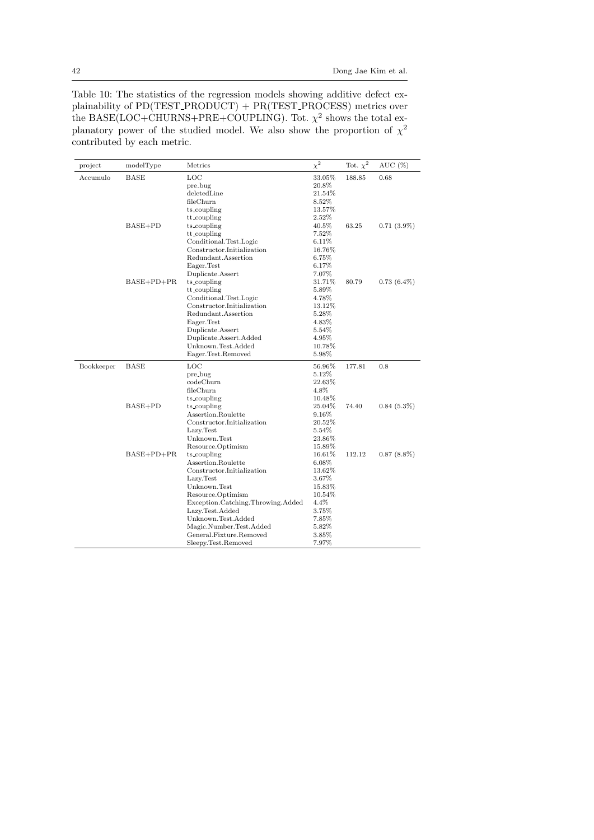Table 10: The statistics of the regression models showing additive defect explainability of PD(TEST PRODUCT) + PR(TEST PROCESS) metrics over the BASE(LOC+CHURNS+PRE+COUPLING). Tot.  $\chi^2$  shows the total explanatory power of the studied model. We also show the proportion of  $\chi^2$ contributed by each metric.

| project    | modelType    | Metrics                                                                                                                                                                                                                                                                      | $\chi^2$                                                                                                             | Tot. $\chi^2$ | AUC $(\%)$    |
|------------|--------------|------------------------------------------------------------------------------------------------------------------------------------------------------------------------------------------------------------------------------------------------------------------------------|----------------------------------------------------------------------------------------------------------------------|---------------|---------------|
| Accumulo   | <b>BASE</b>  | LOC<br>pre_bug<br>deletedLine<br>fileChurn<br>ts_coupling<br>tt_coupling                                                                                                                                                                                                     | 33.05%<br>20.8%<br>21.54%<br>8.52%<br>13.57%<br>2.52%                                                                | 188.85        | 0.68          |
|            | $BASE+PD$    | ts_coupling<br>tt_coupling<br>Conditional.Test.Logic<br>Constructor.Initialization<br>Redundant.Assertion<br>Eager.Test<br>Duplicate.Assert                                                                                                                                  | 40.5%<br>7.52%<br>$6.11\%$<br>16.76%<br>6.75%<br>6.17%<br>7.07%                                                      | 63.25         | $0.71(3.9\%)$ |
|            | $BASE+PD+PR$ | ts_coupling<br>tt_coupling<br>Conditional.Test.Logic<br>Constructor.Initialization<br>Redundant.Assertion<br>Eager.Test<br>Duplicate.Assert<br>Duplicate.Assert.Added<br>Unknown.Test.Added<br>Eager.Test.Removed                                                            | 31.71%<br>5.89%<br>4.78%<br>13.12%<br>5.28%<br>4.83%<br>5.54%<br>4.95%<br>10.78%<br>5.98%                            | 80.79         | $0.73(6.4\%)$ |
| Bookkeeper | <b>BASE</b>  | LOC<br>pre_bug<br>codeChurn<br>fileChurn<br>ts_coupling                                                                                                                                                                                                                      | 56.96%<br>5.12%<br>22.63%<br>4.8%<br>10.48%                                                                          | 177.81        | 0.8           |
|            | BASE+PD      | ts_coupling<br>Assertion.Roulette<br>Constructor.Initialization<br>Lazy.Test<br>Unknown.Test<br>Resource.Optimism                                                                                                                                                            | 25.04%<br>$9.16\%$<br>20.52%<br>5.54%<br>23.86%<br>15.89%                                                            | 74.40         | $0.84(5.3\%)$ |
|            | $BASE+PD+PR$ | ts_coupling<br>Assertion.Roulette<br>Constructor.Initialization<br>Lazy.Test<br>Unknown.Test<br>Resource.Optimism<br>Exception.Catching.Throwing.Added<br>Lazy.Test.Added<br>Unknown.Test.Added<br>Magic.Number.Test.Added<br>General.Fixture.Removed<br>Sleepy.Test.Removed | 16.61%<br>$6.08\%$<br>13.62%<br>3.67%<br>15.83%<br>10.54%<br>$4.4\%$<br>3.75%<br>7.85%<br>5.82%<br>$3.85\%$<br>7.97% | 112.12        | $0.87(8.8\%)$ |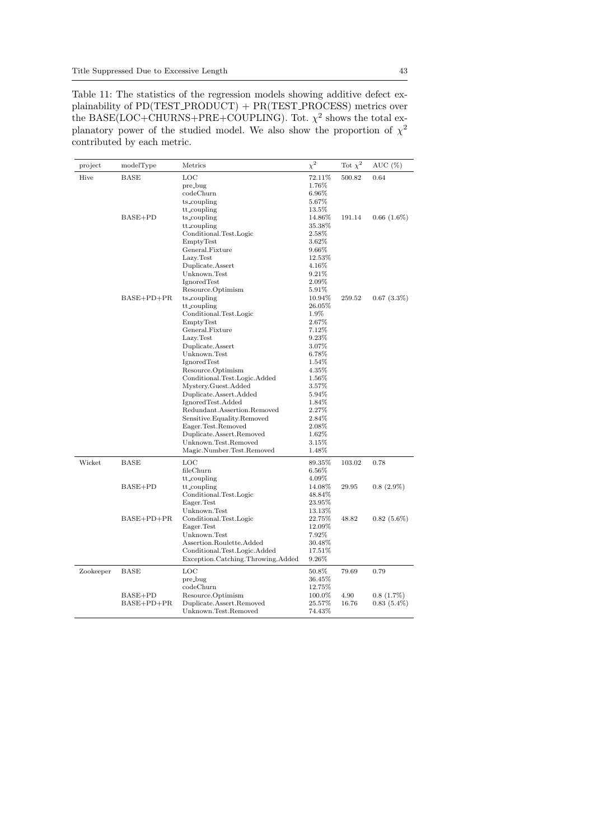Table 11: The statistics of the regression models showing additive defect explainability of PD(TEST\_PRODUCT) + PR(TEST\_PROCESS) metrics over the BASE(LOC+CHURNS+PRE+COUPLING). Tot.  $\chi^2$  shows the total explanatory power of the studied model. We also show the proportion of  $\chi^2$ contributed by each metric.

| $\chi^2$<br>modelType<br>Metrics<br>project      | Tot $\chi^2$ | AUC $(\%)$    |
|--------------------------------------------------|--------------|---------------|
| <b>BASE</b><br>72.11%<br>Hive<br>LOC             | 500.82       | 0.64          |
| 1.76%<br>pre_bug                                 |              |               |
| codeChurn<br>6.96%                               |              |               |
| 5.67%<br>ts_coupling                             |              |               |
| tt_coupling<br>13.5%                             |              |               |
| BASE+PD<br>ts_coupling<br>14.86%                 | 191.14       | $0.66(1.6\%)$ |
| 35.38%<br>tt_coupling                            |              |               |
| Conditional.Test.Logic<br>2.58%                  |              |               |
| 3.62%<br>EmptyTest                               |              |               |
| 9.66%<br>General.Fixture                         |              |               |
| Lazy.Test<br>12.53%                              |              |               |
| 4.16%<br>Duplicate.Assert                        |              |               |
| Unknown.Test<br>9.21\%                           |              |               |
| <b>IgnoredTest</b><br>2.09%                      |              |               |
| Resource.Optimism<br>5.91%                       |              |               |
| 10.94%<br>$BASE+PD+PR$<br>ts_coupling            | 259.52       | $0.67(3.3\%)$ |
| tt_coupling<br>26.05%                            |              |               |
| Conditional.Test.Logic<br>1.9%                   |              |               |
| EmptyTest<br>2.67%                               |              |               |
| 7.12%<br>General.Fixture                         |              |               |
| Lazy.Test<br>9.23%                               |              |               |
| 3.07%<br>Duplicate.Assert                        |              |               |
| 6.78%<br>Unknown.Test                            |              |               |
| <b>IgnoredTest</b><br>1.54%                      |              |               |
| 4.35%<br>Resource.Optimism                       |              |               |
| Conditional.Test.Logic.Added<br>1.56%            |              |               |
| Mystery.Guest.Added<br>3.57%                     |              |               |
| 5.94%<br>Duplicate.Assert.Added                  |              |               |
| IgnoredTest.Added<br>1.84%                       |              |               |
| Redundant.Assertion.Removed<br>2.27%             |              |               |
| 2.84%<br>Sensitive.Equality.Removed              |              |               |
| Eager.Test.Removed<br>2.08%                      |              |               |
| Duplicate.Assert.Removed<br>1.62%                |              |               |
| Unknown.Test.Removed<br>3.15%                    |              |               |
| Magic.Number.Test.Removed<br>1.48%               |              |               |
| Wicket<br><b>BASE</b><br>LOC<br>89.35%           | 103.02       | 0.78          |
| fileChurn<br>6.56%                               |              |               |
| tt_coupling<br>4.09%                             |              |               |
| 14.08%<br>$BASE+PD$<br>tt_coupling               | 29.95        | $0.8(2.9\%)$  |
| Conditional.Test.Logic<br>48.84%                 |              |               |
| 23.95%<br>Eager.Test                             |              |               |
| 13.13%<br>Unknown.Test                           |              |               |
| $BASE+PD+PR$<br>Conditional.Test.Logic<br>22.75% | 48.82        | $0.82(5.6\%)$ |
| Eager.Test<br>12.09%                             |              |               |
| 7.92%<br>Unknown.Test                            |              |               |
| Assertion.Roulette.Added<br>30.48%               |              |               |
| 17.51%<br>Conditional.Test.Logic.Added           |              |               |
| Exception.Catching.Throwing.Added<br>9.26%       |              |               |
| Zookeeper<br><b>BASE</b><br>LOC<br>50.8%         | 79.69        | 0.79          |
| pre_bug<br>36.45%                                |              |               |
| codeChurn<br>12.75%                              |              |               |
| BASE+PD<br>Resource.Optimism<br>100.0%           | 4.90         | $0.8(1.7\%)$  |
| BASE+PD+PR<br>Duplicate.Assert.Removed<br>25.57% | 16.76        | $0.83(5.4\%)$ |
| Unknown.Test.Removed<br>74.43%                   |              |               |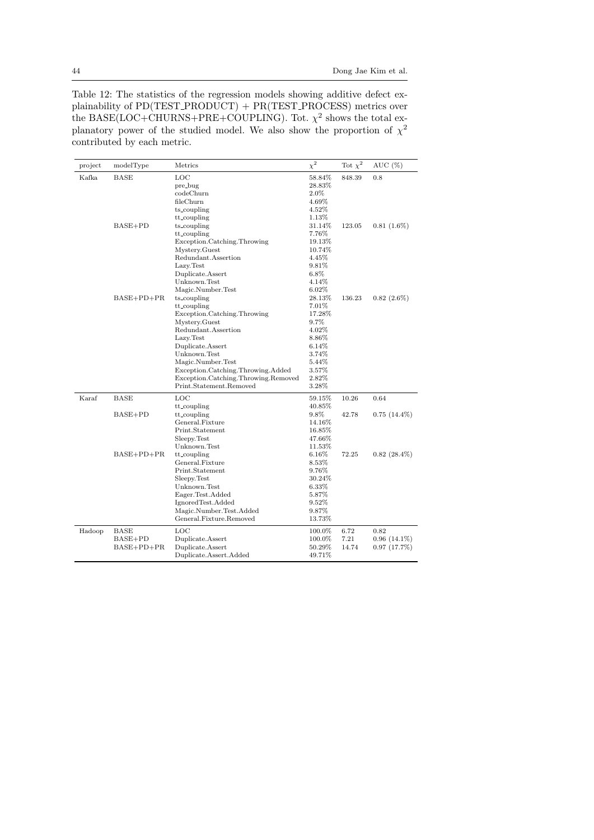Table 12: The statistics of the regression models showing additive defect explainability of PD(TEST PRODUCT) + PR(TEST PROCESS) metrics over the BASE(LOC+CHURNS+PRE+COUPLING). Tot.  $\chi^2$  shows the total explanatory power of the studied model. We also show the proportion of  $\chi^2$ contributed by each metric.

| project | modelType    | Metrics                             | $\chi^2$ | Tot $\chi^2$ | AUC $(\%)$     |
|---------|--------------|-------------------------------------|----------|--------------|----------------|
| Kafka   | <b>BASE</b>  | LOC                                 | 58.84%   | 848.39       | 0.8            |
|         |              | pre_bug                             | 28.83%   |              |                |
|         |              | codeChurn                           | 2.0%     |              |                |
|         |              | fileChurn                           | 4.69%    |              |                |
|         |              | ts_coupling                         | 4.52%    |              |                |
|         |              | tt_coupling                         | $1.13\%$ |              |                |
|         | BASE+PD      | ts_coupling                         | 31.14%   | 123.05       | $0.81(1.6\%)$  |
|         |              | tt_coupling                         | 7.76%    |              |                |
|         |              | Exception.Catching.Throwing         | 19.13%   |              |                |
|         |              | Mystery.Guest                       | 10.74%   |              |                |
|         |              | Redundant.Assertion                 | 4.45%    |              |                |
|         |              | Lazy.Test                           | 9.81%    |              |                |
|         |              | Duplicate.Assert                    | $6.8\%$  |              |                |
|         |              | Unknown.Test                        | 4.14%    |              |                |
|         |              | Magic.Number.Test                   | 6.02%    |              |                |
|         | $BASE+PD+PR$ | ts_coupling                         | 28.13%   | 136.23       | $0.82(2.6\%)$  |
|         |              | tt_coupling                         | 7.01%    |              |                |
|         |              | Exception.Catching.Throwing         | 17.28%   |              |                |
|         |              | Mystery.Guest                       | 9.7%     |              |                |
|         |              | Redundant.Assertion                 | 4.02%    |              |                |
|         |              | Lazy.Test                           | 8.86%    |              |                |
|         |              | Duplicate.Assert                    | $6.14\%$ |              |                |
|         |              | Unknown.Test                        | 3.74%    |              |                |
|         |              | Magic.Number.Test                   | 5.44%    |              |                |
|         |              | Exception.Catching.Throwing.Added   | 3.57%    |              |                |
|         |              | Exception.Catching.Throwing.Removed | 2.82%    |              |                |
|         |              | Print.Statement.Removed             | 3.28%    |              |                |
| Karaf   | <b>BASE</b>  | LOC                                 | 59.15%   | 10.26        | 0.64           |
|         |              | tt_coupling                         | 40.85%   |              |                |
|         | BASE+PD      | tt_coupling                         | 9.8%     | 42.78        | $0.75(14.4\%)$ |
|         |              | General.Fixture                     | 14.16%   |              |                |
|         |              | Print.Statement                     | 16.85%   |              |                |
|         |              | Sleepy.Test                         | 47.66%   |              |                |
|         |              | Unknown.Test                        | 11.53%   |              |                |
|         | BASE+PD+PR   | tt_coupling                         | $6.16\%$ | 72.25        | $0.82(28.4\%)$ |
|         |              | General.Fixture                     | 8.53%    |              |                |
|         |              | Print.Statement                     | 9.76%    |              |                |
|         |              | Sleepy.Test                         | 30.24%   |              |                |
|         |              | Unknown.Test                        | 6.33%    |              |                |
|         |              | Eager.Test.Added                    | 5.87%    |              |                |
|         |              | IgnoredTest.Added                   | 9.52%    |              |                |
|         |              | Magic.Number.Test.Added             | 9.87%    |              |                |
|         |              | General.Fixture.Removed             | 13.73%   |              |                |
| Hadoop  | <b>BASE</b>  | LOC                                 | 100.0%   | 6.72         | 0.82           |
|         | BASE+PD      | Duplicate.Assert                    | 100.0%   | 7.21         | $0.96(14.1\%)$ |
|         | BASE+PD+PR   | Duplicate.Assert                    | 50.29%   | 14.74        | 0.97(17.7%)    |
|         |              | Duplicate.Assert.Added              | 49.71%   |              |                |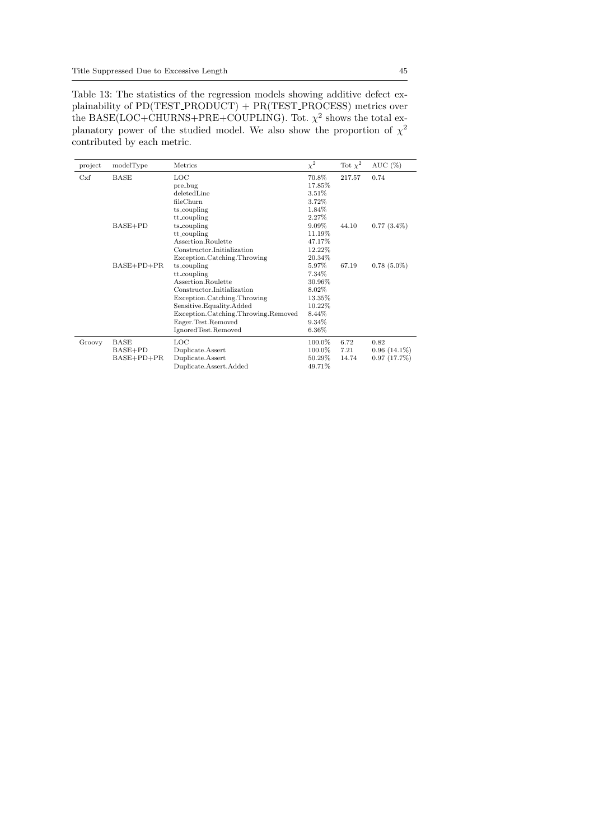<span id="page-44-0"></span>Table 13: The statistics of the regression models showing additive defect explainability of PD(TEST PRODUCT) + PR(TEST PROCESS) metrics over the BASE(LOC+CHURNS+PRE+COUPLING). Tot.  $\chi^2$  shows the total explanatory power of the studied model. We also show the proportion of  $\chi^2$ contributed by each metric.

| project | modelType    | Metrics                             | $\chi^2$        | Tot $\chi^2$ | AUC $(%)$      |
|---------|--------------|-------------------------------------|-----------------|--------------|----------------|
| Cxf     | <b>BASE</b>  | <b>LOC</b><br>pre_bug               | 70.8%<br>17.85% | 217.57       | 0.74           |
|         |              | deletedLine                         | 3.51%           |              |                |
|         |              | fileChurn                           | 3.72%           |              |                |
|         |              |                                     | 1.84%           |              |                |
|         |              | ts_coupling                         | 2.27%           |              |                |
|         |              | tt_coupling                         | $9.09\%$        |              |                |
|         | $BASE+PD$    | ts_coupling                         | 11.19%          | 44.10        | $0.77(3.4\%)$  |
|         |              | tt_coupling<br>Assertion.Roulette   | 47.17%          |              |                |
|         |              | Constructor.Initialization          |                 |              |                |
|         |              |                                     | 12.22%          |              |                |
|         | $BASE+PD+PR$ | Exception.Catching.Throwing         | 20.34\%         |              |                |
|         |              | ts_coupling                         | 5.97%           | 67.19        | $0.78(5.0\%)$  |
|         |              | tt_coupling                         | 7.34%           |              |                |
|         |              | Assertion.Roulette                  | 30.96%          |              |                |
|         |              | Constructor.Initialization          | 8.02%           |              |                |
|         |              | Exception.Catching.Throwing         | 13.35%          |              |                |
|         |              | Sensitive.Equality.Added            | 10.22\%         |              |                |
|         |              | Exception.Catching.Throwing.Removed | 8.44%           |              |                |
|         |              | Eager.Test.Removed                  | 9.34%           |              |                |
|         |              | IgnoredTest.Removed                 | 6.36%           |              |                |
| Groovy  | BASE         | <b>LOC</b>                          | 100.0%          | 6.72         | 0.82           |
|         | $BASE+PD$    | Duplicate.Assert                    | 100.0%          | 7.21         | $0.96(14.1\%)$ |
|         | $BASE+PD+PR$ | Duplicate.Assert                    | 50.29%          | 14.74        | 0.97(17.7%)    |
|         |              | Duplicate.Assert.Added              | 49.71%          |              |                |
|         |              |                                     |                 |              |                |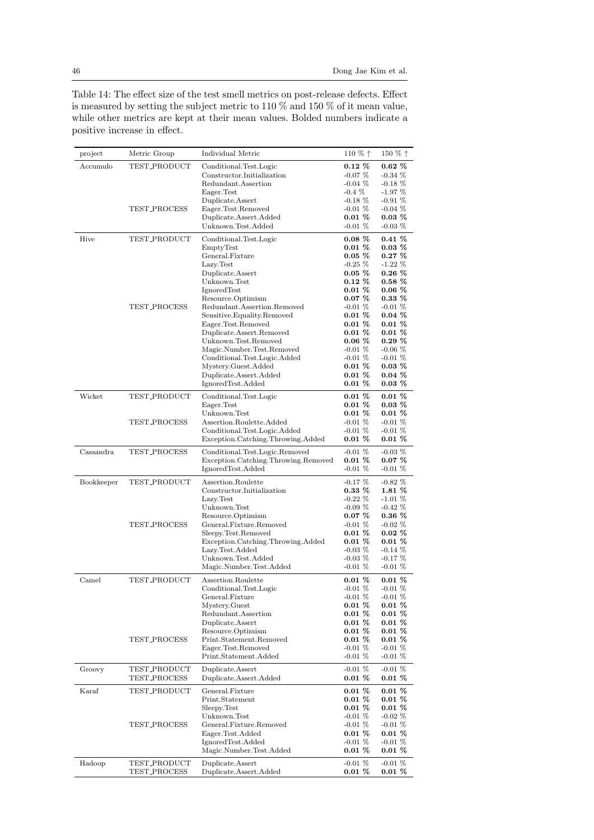<span id="page-45-0"></span>Table 14: The effect size of the test smell metrics on post-release defects. Effect is measured by setting the subject metric to 110 % and 150 % of it mean value, while other metrics are kept at their mean values. Bolded numbers indicate a positive increase in effect.

| project    | Metric Group                 | Individual Metric                            | 110 $%$ ↑              | 150 $%$ ↑               |
|------------|------------------------------|----------------------------------------------|------------------------|-------------------------|
| Accumulo   | TEST_PRODUCT                 | Conditional.Test.Logic                       | $0.12\, \,\%$          | $0.62\,~\%$             |
|            |                              | Constructor.Initialization                   | $-0.07\%$              | $-0.34\%$               |
|            |                              | Redundant.Assertion                          | $-0.04\%$              | $-0.18\%$               |
|            |                              | Eager.Test                                   | $-0.4\%$               | $-1.97%$                |
|            |                              | Duplicate.Assert                             | $-0.18\%$              | $-0.91\%$               |
|            | TEST_PROCESS                 | Eager.Test.Removed                           | $-0.01\%$              | $-0.04\%$               |
|            |                              | Duplicate.Assert.Added                       | $0.01 \%$              | 0.03~%                  |
|            |                              | Unknown.Test.Added                           | $-0.01\%$              | $-0.03\%$               |
| Hive       | TEST_PRODUCT                 | Conditional.Test.Logic                       | $0.08\%$               | $0.41\%$                |
|            |                              | EmptyTest                                    | $0.01\%$               | $0.03\%$                |
|            |                              | General.Fixture<br>Lazy.Test                 | $0.05\%$<br>$-0.25\%$  | $0.27~\%$<br>$-1.22\%$  |
|            |                              | Duplicate.Assert                             | $0.05\%$               | $0.26\%$                |
|            |                              | Unknown.Test                                 | $0.12\%$               | $0.58\,$ $\%$           |
|            |                              | <b>IgnoredTest</b>                           | $0.01\%$               | $0.06\%$                |
|            |                              | Resource.Optimism                            | $0.07 \%$              | $0.33\%$                |
|            | TEST_PROCESS                 | Redundant.Assertion.Removed                  | $-0.01\%$              | $-0.01\%$               |
|            |                              | Sensitive.Equality.Removed                   | $0.01 \%$              | $0.04\%$                |
|            |                              | Eager.Test.Removed                           | $0.01 \%$              | $0.01 \%$               |
|            |                              | Duplicate.Assert.Removed                     | $0.01 \%$              | $0.01\,\,\%$            |
|            |                              | Unknown.Test.Removed                         | $0.06\%$               | $0.29\,~\%$             |
|            |                              | Magic.Number.Test.Removed                    | $-0.01\%$              | $-0.06\%$               |
|            |                              | Conditional.Test.Logic.Added                 | $-0.01\%$              | $-0.01\%$               |
|            |                              | Mystery.Guest.Added                          | $0.01\%$               | 0.03~%                  |
|            |                              | Duplicate.Assert.Added                       | $0.01 \%$              | $0.04\%$                |
|            |                              | IgnoredTest.Added                            | $0.01 \%$              | $0.03\,$ $\%$           |
| Wicket     | TEST_PRODUCT                 | Conditional.Test.Logic                       | $0.01\%$               | $0.01\ \%$              |
|            |                              | Eager.Test                                   | $0.01\%$               | $0.03\,$ $\%$           |
|            |                              | Unknown.Test                                 | $0.01 \%$              | $0.01\,\,\%$            |
|            | TEST_PROCESS                 | Assertion.Roulette.Added                     | $-0.01\%$              | $-0.01\%$               |
|            |                              | Conditional.Test.Logic.Added                 | $-0.01\%$              | $-0.01\%$               |
|            |                              | Exception.Catching.Throwing.Added            | $0.01 \%$              | $0.01 \%$               |
| Cassandra  | TEST_PROCESS                 | Conditional.Test.Logic.Removed               | $-0.01\%$              | $-0.03\%$               |
|            |                              | Exception.Catching.Throwing.Removed          | $0.01\%$               | $0.07 \%$               |
|            |                              | IgnoredTest.Added                            | $-0.01\%$              | $-0.01\%$               |
| Bookkeeper | TEST_PRODUCT                 | Assertion.Roulette                           | $-0.17\%$              | $-0.82\%$               |
|            |                              | Constructor.Initialization                   | $0.33\%$               | $1.81\%$                |
|            |                              | Lazy.Test                                    | $-0.22\%$              | $-1.01\%$               |
|            |                              | Unknown.Test                                 | $-0.09\%$<br>$0.07 \%$ | -0.42 $\%$<br>$0.36\%$  |
|            | TEST_PROCESS                 | Resource.Optimism<br>General.Fixture.Removed | $-0.01\%$              | $-0.02\%$               |
|            |                              | Sleepy.Test.Removed                          | $0.01 \%$              | $0.02\%$                |
|            |                              | Exception.Catching.Throwing.Added            | $0.01 \%$              | $0.01 \%$               |
|            |                              | Lazy.Test.Added                              | $-0.03\%$              | $-0.14\%$               |
|            |                              | Unknown.Test.Added                           | $-0.03\%$              | $-0.17\%$               |
|            |                              | Magic.Number.Test.Added                      | $-0.01\%$              | $-0.01\%$               |
| Camel      | TEST_PRODUCT                 | Assertion.Roulette                           | $0.01\%$               | $0.01 \%$               |
|            |                              | Conditional.Test.Logic                       | $-0.01\%$              | $-0.01\%$               |
|            |                              | General.Fixture                              | -0.01 $\%$             | -0.01 $\%$              |
|            |                              | Mystery.Guest                                | 0.01%                  | $0.01\,\,\%$            |
|            |                              | Redundant.Assertion                          | $0.01 \%$              | $0.01\ \%$              |
|            |                              | Duplicate.Assert                             | 0.01%                  | $0.01\ \%$              |
|            |                              | Resource.Optimism                            | $0.01 \%$              | $0.01\%$                |
|            | TEST_PROCESS                 | Print.Statement.Removed                      | $0.01 \%$              | $0.01\%$                |
|            |                              | Eager.Test.Removed                           | $-0.01\%$              | $-0.01\%$               |
|            |                              | Print.Statement.Added                        | $-0.01\%$              | $-0.01\%$               |
| Groovy     | TEST_PRODUCT<br>TEST_PROCESS | Duplicate.Assert<br>Duplicate.Assert.Added   | $-0.01\%$<br>$0.01 \%$ | $-0.01\%$<br>$0.01\ \%$ |
| Karaf      | TEST_PRODUCT                 | General.Fixture                              | $0.01 \%$              | $0.01\%$                |
|            |                              | Print.Statement                              | $0.01 \%$              | $0.01\ \%$              |
|            |                              | Sleepy.Test                                  | $0.01 \%$              | $0.01\ \%$              |
|            |                              | Unknown.Test                                 | $-0.01\%$              | $-0.02\%$               |
|            | TEST_PROCESS                 | General.Fixture.Removed                      | $-0.01\%$              | $-0.01\%$               |
|            |                              | Eager.Test.Added                             | $0.01 \%$              | $0.01\ \%$              |
|            |                              | IgnoredTest.Added                            | $-0.01\%$              | $-0.01\%$               |
|            |                              | Magic.Number.Test.Added                      | $0.01\%$               | $0.01 \%$               |
| Hadoop     | TEST_PRODUCT                 | Duplicate.Assert                             | $-0.01\%$              | $-0.01\%$               |
|            | TEST_PROCESS                 | Duplicate.Assert.Added                       | $0.01 \%$              | $0.01 \%$               |